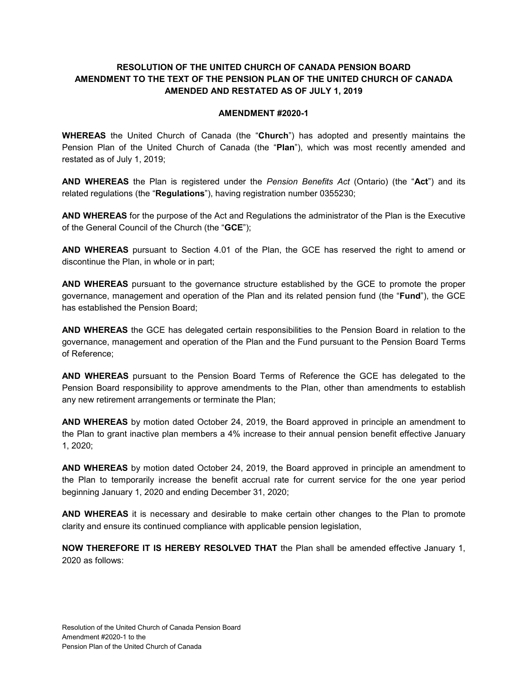#### **RESOLUTION OF THE UNITED CHURCH OF CANADA PENSION BOARD AMENDMENT TO THE TEXT OF THE PENSION PLAN OF THE UNITED CHURCH OF CANADA AMENDED AND RESTATED AS OF JULY 1, 2019**

#### **AMENDMENT #2020-1**

**WHEREAS** the United Church of Canada (the "**Church**") has adopted and presently maintains the Pension Plan of the United Church of Canada (the "**Plan**"), which was most recently amended and restated as of July 1, 2019;

**AND WHEREAS** the Plan is registered under the *Pension Benefits Act* (Ontario) (the "**Act**") and its related regulations (the "**Regulations**"), having registration number 0355230;

**AND WHEREAS** for the purpose of the Act and Regulations the administrator of the Plan is the Executive of the General Council of the Church (the "**GCE**");

**AND WHEREAS** pursuant to Section 4.01 of the Plan, the GCE has reserved the right to amend or discontinue the Plan, in whole or in part;

**AND WHEREAS** pursuant to the governance structure established by the GCE to promote the proper governance, management and operation of the Plan and its related pension fund (the "**Fund**"), the GCE has established the Pension Board;

**AND WHEREAS** the GCE has delegated certain responsibilities to the Pension Board in relation to the governance, management and operation of the Plan and the Fund pursuant to the Pension Board Terms of Reference;

**AND WHEREAS** pursuant to the Pension Board Terms of Reference the GCE has delegated to the Pension Board responsibility to approve amendments to the Plan, other than amendments to establish any new retirement arrangements or terminate the Plan;

**AND WHEREAS** by motion dated October 24, 2019, the Board approved in principle an amendment to the Plan to grant inactive plan members a 4% increase to their annual pension benefit effective January 1, 2020;

**AND WHEREAS** by motion dated October 24, 2019, the Board approved in principle an amendment to the Plan to temporarily increase the benefit accrual rate for current service for the one year period beginning January 1, 2020 and ending December 31, 2020;

**AND WHEREAS** it is necessary and desirable to make certain other changes to the Plan to promote clarity and ensure its continued compliance with applicable pension legislation,

**NOW THEREFORE IT IS HEREBY RESOLVED THAT** the Plan shall be amended effective January 1, 2020 as follows: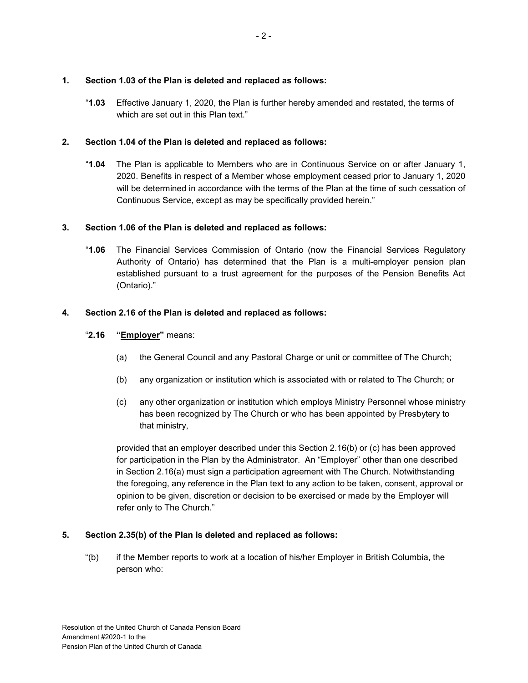#### **1. Section 1.03 of the Plan is deleted and replaced as follows:**

"**1.03** Effective January 1, 2020, the Plan is further hereby amended and restated, the terms of which are set out in this Plan text."

#### **2. Section 1.04 of the Plan is deleted and replaced as follows:**

"**1.04** The Plan is applicable to Members who are in Continuous Service on or after January 1, 2020. Benefits in respect of a Member whose employment ceased prior to January 1, 2020 will be determined in accordance with the terms of the Plan at the time of such cessation of Continuous Service, except as may be specifically provided herein."

#### **3. Section 1.06 of the Plan is deleted and replaced as follows:**

"**1.06** The Financial Services Commission of Ontario (now the Financial Services Regulatory Authority of Ontario) has determined that the Plan is a multi-employer pension plan established pursuant to a trust agreement for the purposes of the Pension Benefits Act (Ontario)."

#### **4. Section 2.16 of the Plan is deleted and replaced as follows:**

#### "**2.16 "Employer"** means:

- (a) the General Council and any Pastoral Charge or unit or committee of The Church;
- (b) any organization or institution which is associated with or related to The Church; or
- (c) any other organization or institution which employs Ministry Personnel whose ministry has been recognized by The Church or who has been appointed by Presbytery to that ministry,

provided that an employer described under this Section 2.16(b) or (c) has been approved for participation in the Plan by the Administrator. An "Employer" other than one described in Section 2.16(a) must sign a participation agreement with The Church. Notwithstanding the foregoing, any reference in the Plan text to any action to be taken, consent, approval or opinion to be given, discretion or decision to be exercised or made by the Employer will refer only to The Church."

#### **5. Section 2.35(b) of the Plan is deleted and replaced as follows:**

"(b) if the Member reports to work at a location of his/her Employer in British Columbia, the person who: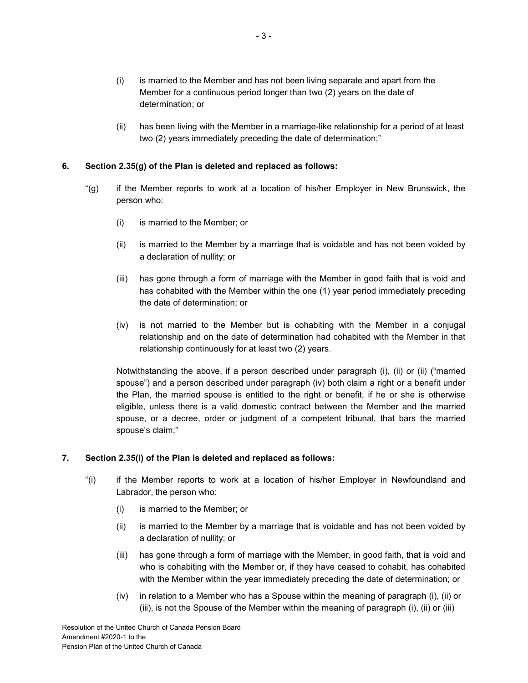- (i) is married to the Member and has not been living separate and apart from the Member for a continuous period longer than two (2) years on the date of determination; or
- (ii) has been living with the Member in a marriage-like relationship for a period of at least two (2) years immediately preceding the date of determination;"

#### **6. Section 2.35(g) of the Plan is deleted and replaced as follows:**

- "(g) if the Member reports to work at a location of his/her Employer in New Brunswick, the person who:
	- (i) is married to the Member; or
	- (ii) is married to the Member by a marriage that is voidable and has not been voided by a declaration of nullity; or
	- (iii) has gone through a form of marriage with the Member in good faith that is void and has cohabited with the Member within the one (1) year period immediately preceding the date of determination; or
	- (iv) is not married to the Member but is cohabiting with the Member in a conjugal relationship and on the date of determination had cohabited with the Member in that relationship continuously for at least two (2) years.

Notwithstanding the above, if a person described under paragraph (i), (ii) or (ii) ("married spouse") and a person described under paragraph (iv) both claim a right or a benefit under the Plan, the married spouse is entitled to the right or benefit, if he or she is otherwise eligible, unless there is a valid domestic contract between the Member and the married spouse, or a decree, order or judgment of a competent tribunal, that bars the married spouse's claim;"

#### **7. Section 2.35(i) of the Plan is deleted and replaced as follows:**

- "(i) if the Member reports to work at a location of his/her Employer in Newfoundland and Labrador, the person who:
	- (i) is married to the Member; or
	- (ii) is married to the Member by a marriage that is voidable and has not been voided by a declaration of nullity; or
	- (iii) has gone through a form of marriage with the Member, in good faith, that is void and who is cohabiting with the Member or, if they have ceased to cohabit, has cohabited with the Member within the year immediately preceding the date of determination; or
	- (iv) in relation to a Member who has a Spouse within the meaning of paragraph (i), (ii) or (iii), is not the Spouse of the Member within the meaning of paragraph (i), (ii) or (iii)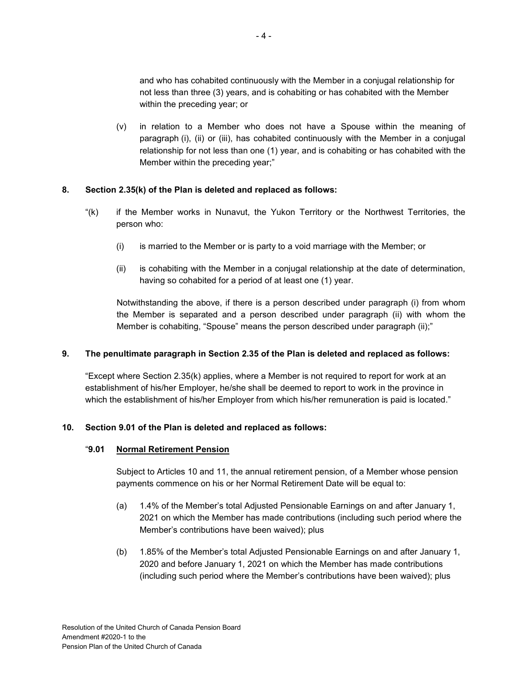and who has cohabited continuously with the Member in a conjugal relationship for not less than three (3) years, and is cohabiting or has cohabited with the Member within the preceding year; or

(v) in relation to a Member who does not have a Spouse within the meaning of paragraph (i), (ii) or (iii), has cohabited continuously with the Member in a conjugal relationship for not less than one (1) year, and is cohabiting or has cohabited with the Member within the preceding year;"

#### **8. Section 2.35(k) of the Plan is deleted and replaced as follows:**

- "(k) if the Member works in Nunavut, the Yukon Territory or the Northwest Territories, the person who:
	- (i) is married to the Member or is party to a void marriage with the Member; or
	- (ii) is cohabiting with the Member in a conjugal relationship at the date of determination, having so cohabited for a period of at least one (1) year.

Notwithstanding the above, if there is a person described under paragraph (i) from whom the Member is separated and a person described under paragraph (ii) with whom the Member is cohabiting, "Spouse" means the person described under paragraph (ii);"

#### **9. The penultimate paragraph in Section 2.35 of the Plan is deleted and replaced as follows:**

"Except where Section  $2.35(k)$  applies, where a Member is not required to report for work at an establishment of his/her Employer, he/she shall be deemed to report to work in the province in which the establishment of his/her Employer from which his/her remuneration is paid is located."

#### **10. Section 9.01 of the Plan is deleted and replaced as follows:**

#### "**9.01 Normal Retirement Pension**

Subject to Articles 10 and 11, the annual retirement pension, of a Member whose pension payments commence on his or her Normal Retirement Date will be equal to:

- (a) 1.4% of the Member's total Adjusted Pensionable Earnings on and after January 1, 2021 on which the Member has made contributions (including such period where the Member's contributions have been waived); plus
- (b) 1.85% of the Member's total Adjusted Pensionable Earnings on and after January 1, 2020 and before January 1, 2021 on which the Member has made contributions (including such period where the Member's contributions have been waived); plus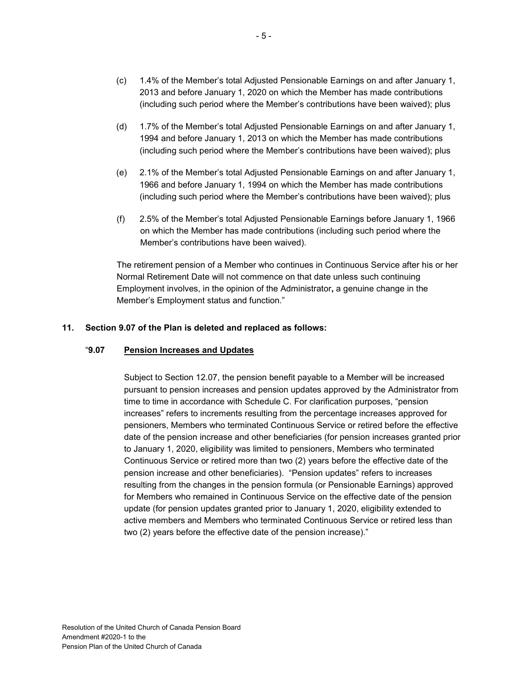- (c) 1.4% of the Member's total Adjusted Pensionable Earnings on and after January 1, 2013 and before January 1, 2020 on which the Member has made contributions (including such period where the Member's contributions have been waived); plus
- (d) 1.7% of the Member's total Adjusted Pensionable Earnings on and after January 1, 1994 and before January 1, 2013 on which the Member has made contributions (including such period where the Member's contributions have been waived); plus
- (e) 2.1% of the Member's total Adjusted Pensionable Earnings on and after January 1, 1966 and before January 1, 1994 on which the Member has made contributions (including such period where the Member's contributions have been waived); plus
- (f) 2.5% of the Member's total Adjusted Pensionable Earnings before January 1, 1966 on which the Member has made contributions (including such period where the Member's contributions have been waived).

The retirement pension of a Member who continues in Continuous Service after his or her Normal Retirement Date will not commence on that date unless such continuing Employment involves, in the opinion of the Administrator**,** a genuine change in the Member's Employment status and function."

#### **11. Section 9.07 of the Plan is deleted and replaced as follows:**

#### "**9.07 Pension Increases and Updates**

Subject to Section 12.07, the pension benefit payable to a Member will be increased pursuant to pension increases and pension updates approved by the Administrator from time to time in accordance with Schedule C. For clarification purposes, "pension increases" refers to increments resulting from the percentage increases approved for pensioners, Members who terminated Continuous Service or retired before the effective date of the pension increase and other beneficiaries (for pension increases granted prior to January 1, 2020, eligibility was limited to pensioners, Members who terminated Continuous Service or retired more than two (2) years before the effective date of the pension increase and other beneficiaries). "Pension updates" refers to increases resulting from the changes in the pension formula (or Pensionable Earnings) approved for Members who remained in Continuous Service on the effective date of the pension update (for pension updates granted prior to January 1, 2020, eligibility extended to active members and Members who terminated Continuous Service or retired less than two (2) years before the effective date of the pension increase)."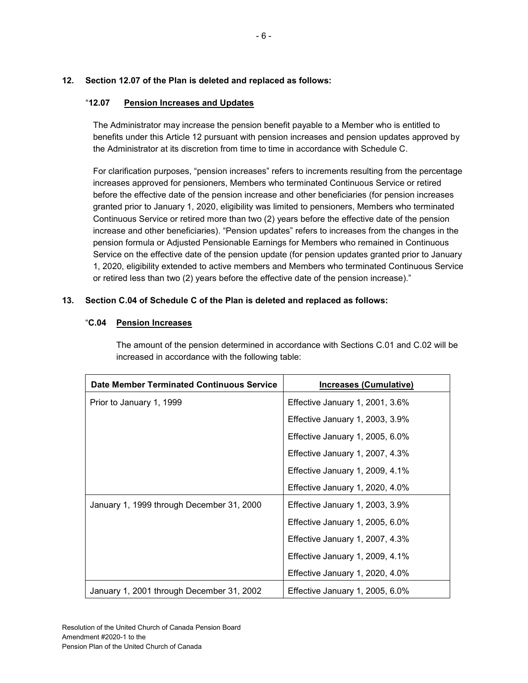#### **12. Section 12.07 of the Plan is deleted and replaced as follows:**

#### "**12.07 Pension Increases and Updates**

The Administrator may increase the pension benefit payable to a Member who is entitled to benefits under this Article 12 pursuant with pension increases and pension updates approved by the Administrator at its discretion from time to time in accordance with Schedule C.

For clarification purposes, "pension increases" refers to increments resulting from the percentage increases approved for pensioners, Members who terminated Continuous Service or retired before the effective date of the pension increase and other beneficiaries (for pension increases granted prior to January 1, 2020, eligibility was limited to pensioners, Members who terminated Continuous Service or retired more than two (2) years before the effective date of the pension increase and other beneficiaries). "Pension updates" refers to increases from the changes in the pension formula or Adjusted Pensionable Earnings for Members who remained in Continuous Service on the effective date of the pension update (for pension updates granted prior to January 1, 2020, eligibility extended to active members and Members who terminated Continuous Service or retired less than two (2) years before the effective date of the pension increase)."

#### **13. Section C.04 of Schedule C of the Plan is deleted and replaced as follows:**

#### "**C.04 Pension Increases**

The amount of the pension determined in accordance with Sections C.01 and C.02 will be increased in accordance with the following table:

| <b>Date Member Terminated Continuous Service</b> | Increases (Cumulative)          |
|--------------------------------------------------|---------------------------------|
| Prior to January 1, 1999                         | Effective January 1, 2001, 3.6% |
|                                                  | Effective January 1, 2003, 3.9% |
|                                                  | Effective January 1, 2005, 6.0% |
|                                                  | Effective January 1, 2007, 4.3% |
|                                                  | Effective January 1, 2009, 4.1% |
|                                                  | Effective January 1, 2020, 4.0% |
| January 1, 1999 through December 31, 2000        | Effective January 1, 2003, 3.9% |
|                                                  | Effective January 1, 2005, 6.0% |
|                                                  | Effective January 1, 2007, 4.3% |
|                                                  | Effective January 1, 2009, 4.1% |
|                                                  | Effective January 1, 2020, 4.0% |
| January 1, 2001 through December 31, 2002        | Effective January 1, 2005, 6.0% |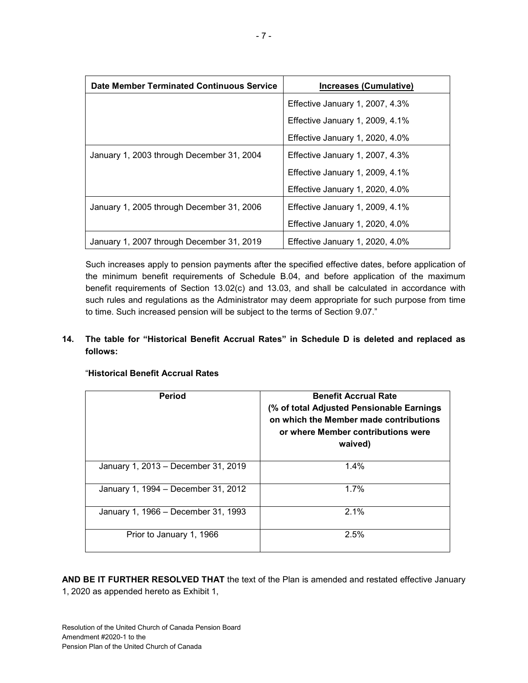| <b>Date Member Terminated Continuous Service</b>                             | <b>Increases (Cumulative)</b>   |  |
|------------------------------------------------------------------------------|---------------------------------|--|
|                                                                              | Effective January 1, 2007, 4.3% |  |
|                                                                              | Effective January 1, 2009, 4.1% |  |
|                                                                              | Effective January 1, 2020, 4.0% |  |
| January 1, 2003 through December 31, 2004                                    | Effective January 1, 2007, 4.3% |  |
|                                                                              | Effective January 1, 2009, 4.1% |  |
|                                                                              | Effective January 1, 2020, 4.0% |  |
| January 1, 2005 through December 31, 2006<br>Effective January 1, 2009, 4.1% |                                 |  |
|                                                                              | Effective January 1, 2020, 4.0% |  |
| January 1, 2007 through December 31, 2019                                    | Effective January 1, 2020, 4.0% |  |

Such increases apply to pension payments after the specified effective dates, before application of the minimum benefit requirements of Schedule B.04, and before application of the maximum benefit requirements of Section 13.02(c) and 13.03, and shall be calculated in accordance with such rules and regulations as the Administrator may deem appropriate for such purpose from time to time. Such increased pension will be subject to the terms of Section 9.07."

#### **14. The table for "Historical Benefit Accrual Rates" in Schedule D is deleted and replaced as follows:**

| <b>Period</b>                       | <b>Benefit Accrual Rate</b><br>(% of total Adjusted Pensionable Earnings<br>on which the Member made contributions<br>or where Member contributions were<br>waived) |
|-------------------------------------|---------------------------------------------------------------------------------------------------------------------------------------------------------------------|
| January 1, 2013 – December 31, 2019 | 1.4%                                                                                                                                                                |
| January 1, 1994 – December 31, 2012 | 1.7%                                                                                                                                                                |
| January 1, 1966 – December 31, 1993 | 2.1%                                                                                                                                                                |
| Prior to January 1, 1966            | 2.5%                                                                                                                                                                |

#### "**Historical Benefit Accrual Rates**

**AND BE IT FURTHER RESOLVED THAT** the text of the Plan is amended and restated effective January 1, 2020 as appended hereto as Exhibit 1,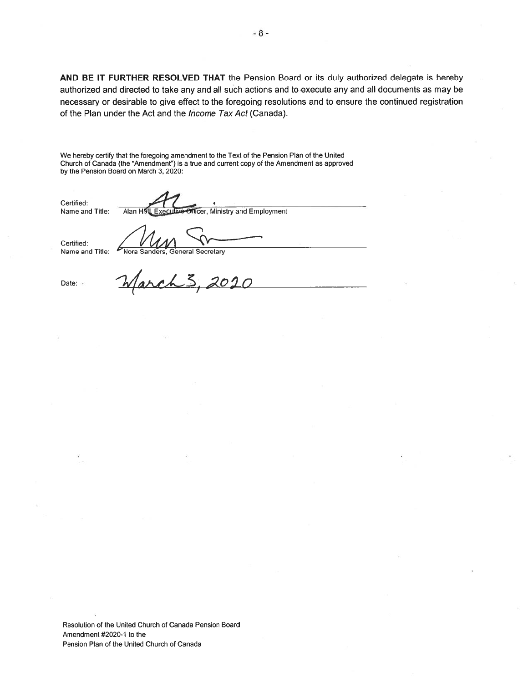AND BE IT FURTHER RESOLVED THAT the Pension Board or its duly authorized delegate is hereby authorized and directed to take any and all such actions and to execute any and all documents as may be necessary or desirable to give effect to the foregoing resolutions and to ensure the continued registration of the Plan under the Act and the Income Tax Act (Canada). AND BE IT FURTHER RESOLVED THAT the Pe<br>authorized and directed to take any and all such accessary or desirable to give effect to the foregoin<br>of the Plan under the Act and the *Income Tax Act* ((<br>We hereby certify that th

We hereby certify that the foregoing amendment to the Text of the Pension Plan of the United Church of Canada (the "Amendment") is <sup>a</sup> true and current copy of the Amendment as approved by the Pension Board on March 3, 2020:

Certified:

Name and Title: Alan Hall, Executive Officer, Ministry and Employment

Certified:

Name and Title: Mora Sanders, General Secretary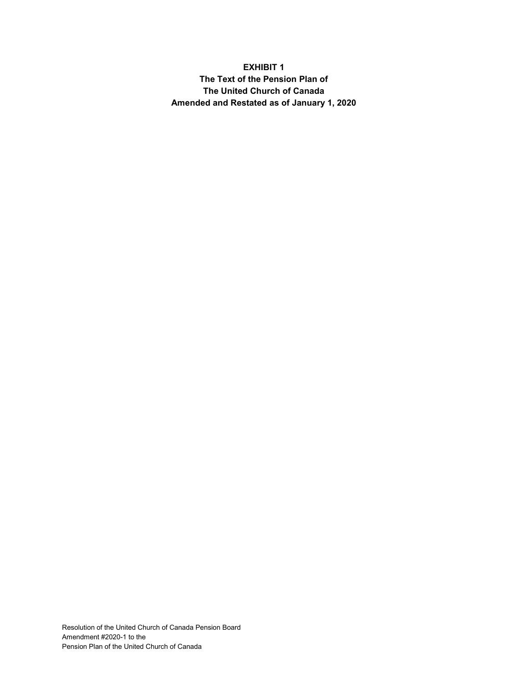## **EXHIBIT 1 The Text of the Pension Plan of The United Church of Canada Amended and Restated as of January 1, 2020**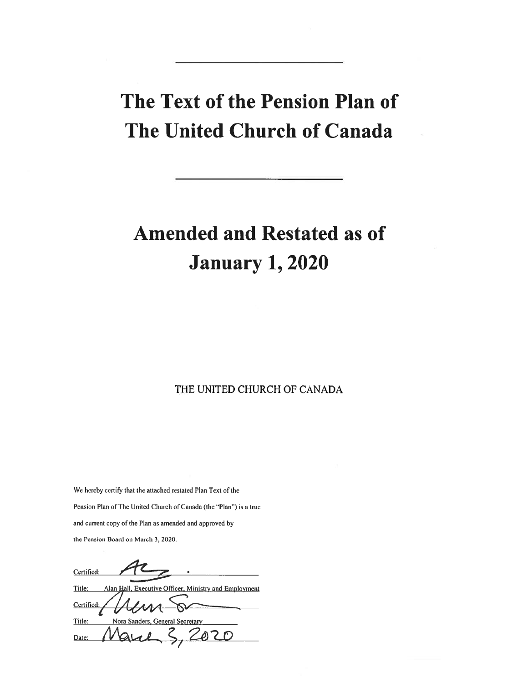# The Text of the Pension Plan of The United Church of Canada

# Amended and Restated as of January 1, 2020

THE UNITED CHURCH OF CANADA

We hereby certify that the attached restated Plan Text of the Pension Plan of The United Church of Canada (the "Plan") is a true and current copy of the Plan as amended and approved by the Pension Board on March 3, 2020.

**Certified** Title: Alan Hall, Executive Officer, Ministry and Employment **Certified** Title: Nora Sanders, General Secretary 020  $D$ ate:  $\vee$   $\vee$   $\vee$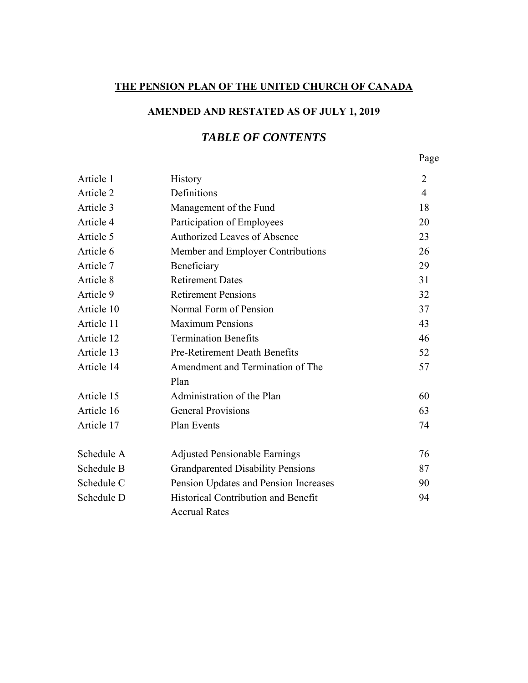## **THE PENSION PLAN OF THE UNITED CHURCH OF CANADA**

# **AMENDED AND RESTATED AS OF JULY 1, 2019**

# *TABLE OF CONTENTS*

Page **Page** 

| Article 1  | <b>History</b>                           | $\overline{2}$ |
|------------|------------------------------------------|----------------|
| Article 2  | Definitions                              | $\overline{4}$ |
| Article 3  | Management of the Fund                   | 18             |
| Article 4  | Participation of Employees               | 20             |
| Article 5  | <b>Authorized Leaves of Absence</b>      | 23             |
| Article 6  | Member and Employer Contributions        | 26             |
| Article 7  | Beneficiary                              | 29             |
| Article 8  | <b>Retirement Dates</b>                  | 31             |
| Article 9  | <b>Retirement Pensions</b>               | 32             |
| Article 10 | Normal Form of Pension                   | 37             |
| Article 11 | <b>Maximum Pensions</b>                  | 43             |
| Article 12 | <b>Termination Benefits</b>              | 46             |
| Article 13 | <b>Pre-Retirement Death Benefits</b>     | 52             |
| Article 14 | Amendment and Termination of The         | 57             |
|            | Plan                                     |                |
| Article 15 | Administration of the Plan               | 60             |
| Article 16 | <b>General Provisions</b>                | 63             |
| Article 17 | <b>Plan Events</b>                       | 74             |
| Schedule A | <b>Adjusted Pensionable Earnings</b>     | 76             |
| Schedule B | <b>Grandparented Disability Pensions</b> | 87             |
| Schedule C | Pension Updates and Pension Increases    | 90             |
| Schedule D | Historical Contribution and Benefit      | 94             |
|            | <b>Accrual Rates</b>                     |                |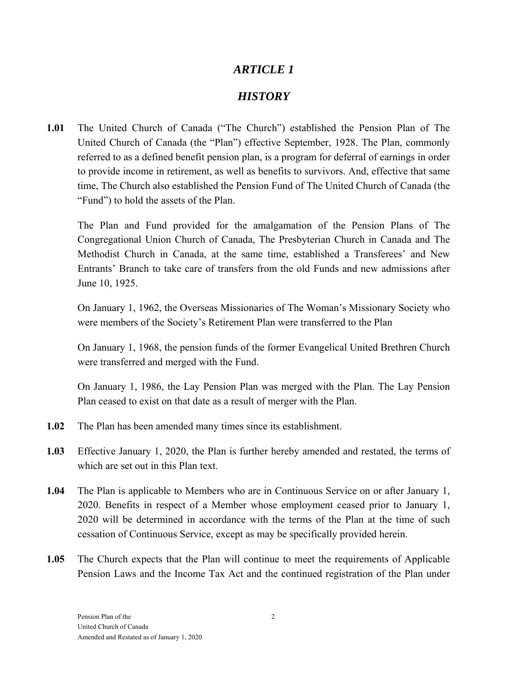# *ARTICLE 1*

# *HISTORY*

**1.01** The United Church of Canada ("The Church") established the Pension Plan of The United Church of Canada (the "Plan") effective September, 1928. The Plan, commonly referred to as a defined benefit pension plan, is a program for deferral of earnings in order to provide income in retirement, as well as benefits to survivors. And, effective that same time, The Church also established the Pension Fund of The United Church of Canada (the "Fund") to hold the assets of the Plan.

The Plan and Fund provided for the amalgamation of the Pension Plans of The Congregational Union Church of Canada, The Presbyterian Church in Canada and The Methodist Church in Canada, at the same time, established a Transferees' and New Entrants' Branch to take care of transfers from the old Funds and new admissions after June 10, 1925.

On January 1, 1962, the Overseas Missionaries of The Woman's Missionary Society who were members of the Society's Retirement Plan were transferred to the Plan

On January 1, 1968, the pension funds of the former Evangelical United Brethren Church were transferred and merged with the Fund.

On January 1, 1986, the Lay Pension Plan was merged with the Plan. The Lay Pension Plan ceased to exist on that date as a result of merger with the Plan.

- **1.02** The Plan has been amended many times since its establishment.
- **1.03** Effective January 1, 2020, the Plan is further hereby amended and restated, the terms of which are set out in this Plan text.
- **1.04** The Plan is applicable to Members who are in Continuous Service on or after January 1, 2020. Benefits in respect of a Member whose employment ceased prior to January 1, 2020 will be determined in accordance with the terms of the Plan at the time of such cessation of Continuous Service, except as may be specifically provided herein.
- **1.05** The Church expects that the Plan will continue to meet the requirements of Applicable Pension Laws and the Income Tax Act and the continued registration of the Plan under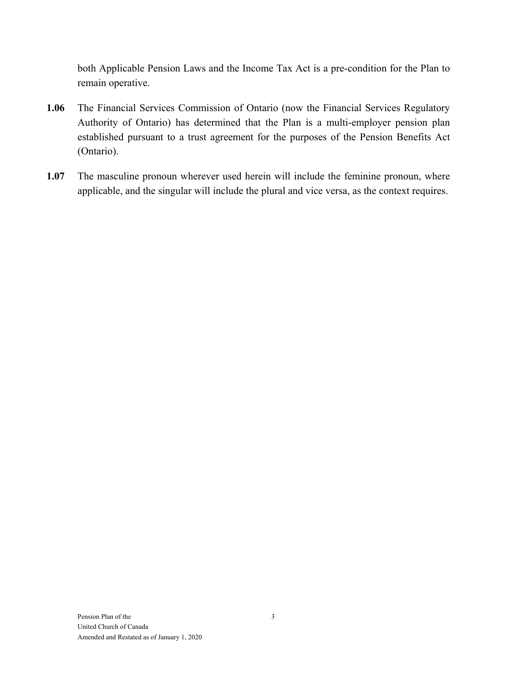both Applicable Pension Laws and the Income Tax Act is a pre-condition for the Plan to remain operative.

- **1.06** The Financial Services Commission of Ontario (now the Financial Services Regulatory Authority of Ontario) has determined that the Plan is a multi-employer pension plan established pursuant to a trust agreement for the purposes of the Pension Benefits Act (Ontario).
- **1.07** The masculine pronoun wherever used herein will include the feminine pronoun, where applicable, and the singular will include the plural and vice versa, as the context requires.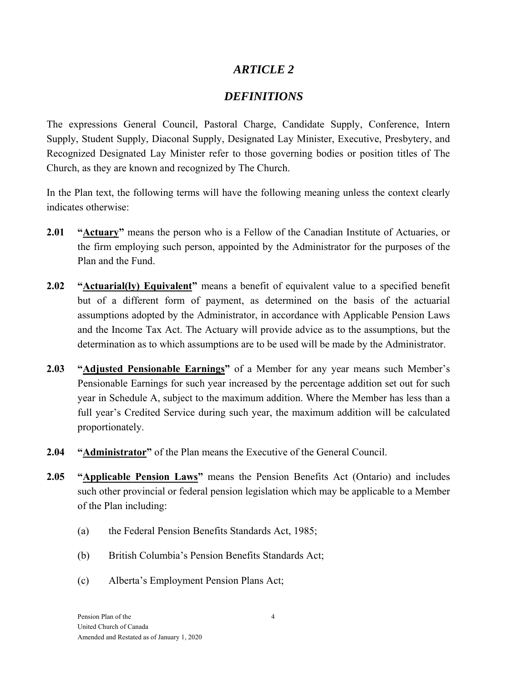# *ARTICLE 2*

# *DEFINITIONS*

The expressions General Council, Pastoral Charge, Candidate Supply, Conference, Intern Supply, Student Supply, Diaconal Supply, Designated Lay Minister, Executive, Presbytery, and Recognized Designated Lay Minister refer to those governing bodies or position titles of The Church, as they are known and recognized by The Church.

In the Plan text, the following terms will have the following meaning unless the context clearly indicates otherwise:

- **2.01 "Actuary"** means the person who is a Fellow of the Canadian Institute of Actuaries, or the firm employing such person, appointed by the Administrator for the purposes of the Plan and the Fund.
- **2.02** "**Actuarial(ly) Equivalent**" means a benefit of equivalent value to a specified benefit but of a different form of payment, as determined on the basis of the actuarial assumptions adopted by the Administrator, in accordance with Applicable Pension Laws and the Income Tax Act. The Actuary will provide advice as to the assumptions, but the determination as to which assumptions are to be used will be made by the Administrator.
- **2.03 "Adjusted Pensionable Earnings"** of a Member for any year means such Member's Pensionable Earnings for such year increased by the percentage addition set out for such year in Schedule A, subject to the maximum addition. Where the Member has less than a full year's Credited Service during such year, the maximum addition will be calculated proportionately.
- **2.04 "Administrator"** of the Plan means the Executive of the General Council.
- **2.05 "Applicable Pension Laws"** means the Pension Benefits Act (Ontario) and includes such other provincial or federal pension legislation which may be applicable to a Member of the Plan including:
	- (a) the Federal Pension Benefits Standards Act, 1985;
	- (b) British Columbia's Pension Benefits Standards Act;
	- (c) Alberta's Employment Pension Plans Act;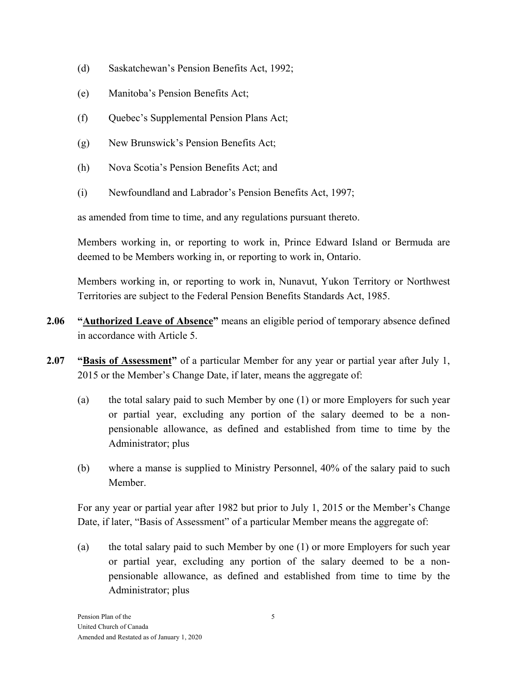- (d) Saskatchewan's Pension Benefits Act, 1992;
- (e) Manitoba's Pension Benefits Act;
- (f) Quebec's Supplemental Pension Plans Act;
- (g) New Brunswick's Pension Benefits Act;
- (h) Nova Scotia's Pension Benefits Act; and
- (i) Newfoundland and Labrador's Pension Benefits Act, 1997;

as amended from time to time, and any regulations pursuant thereto.

Members working in, or reporting to work in, Prince Edward Island or Bermuda are deemed to be Members working in, or reporting to work in, Ontario.

Members working in, or reporting to work in, Nunavut, Yukon Territory or Northwest Territories are subject to the Federal Pension Benefits Standards Act, 1985.

- **2.06 "Authorized Leave of Absence"** means an eligible period of temporary absence defined in accordance with Article 5.
- **2.07 "Basis of Assessment"** of a particular Member for any year or partial year after July 1, 2015 or the Member's Change Date, if later, means the aggregate of:
	- (a) the total salary paid to such Member by one (1) or more Employers for such year or partial year, excluding any portion of the salary deemed to be a nonpensionable allowance, as defined and established from time to time by the Administrator; plus
	- (b) where a manse is supplied to Ministry Personnel, 40% of the salary paid to such Member.

For any year or partial year after 1982 but prior to July 1, 2015 or the Member's Change Date, if later, "Basis of Assessment" of a particular Member means the aggregate of:

(a) the total salary paid to such Member by one (1) or more Employers for such year or partial year, excluding any portion of the salary deemed to be a nonpensionable allowance, as defined and established from time to time by the Administrator; plus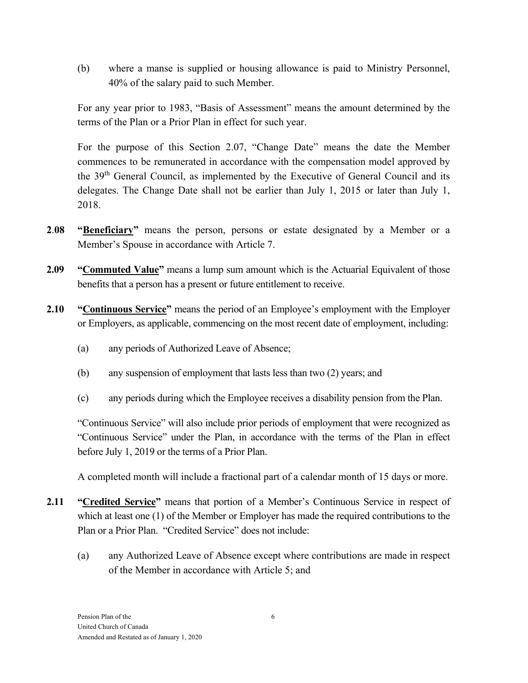(b) where a manse is supplied or housing allowance is paid to Ministry Personnel, 40% of the salary paid to such Member.

For any year prior to 1983, "Basis of Assessment" means the amount determined by the terms of the Plan or a Prior Plan in effect for such year.

For the purpose of this Section 2.07, "Change Date" means the date the Member commences to be remunerated in accordance with the compensation model approved by the 39th General Council, as implemented by the Executive of General Council and its delegates. The Change Date shall not be earlier than July 1, 2015 or later than July 1, 2018.

- **2**.**08 "Beneficiary"** means the person, persons or estate designated by a Member or a Member's Spouse in accordance with Article 7.
- **2.09** "Commuted Value" means a lump sum amount which is the Actuarial Equivalent of those benefits that a person has a present or future entitlement to receive.
- **2.10 "Continuous Service"** means the period of an Employee's employment with the Employer or Employers, as applicable, commencing on the most recent date of employment, including:
	- (a) any periods of Authorized Leave of Absence;
	- (b) any suspension of employment that lasts less than two (2) years; and
	- (c) any periods during which the Employee receives a disability pension from the Plan.

"Continuous Service" will also include prior periods of employment that were recognized as "Continuous Service" under the Plan, in accordance with the terms of the Plan in effect before July 1, 2019 or the terms of a Prior Plan.

A completed month will include a fractional part of a calendar month of 15 days or more.

- **2.11 "Credited Service"** means that portion of a Member's Continuous Service in respect of which at least one (1) of the Member or Employer has made the required contributions to the Plan or a Prior Plan. "Credited Service" does not include:
	- (a) any Authorized Leave of Absence except where contributions are made in respect of the Member in accordance with Article 5; and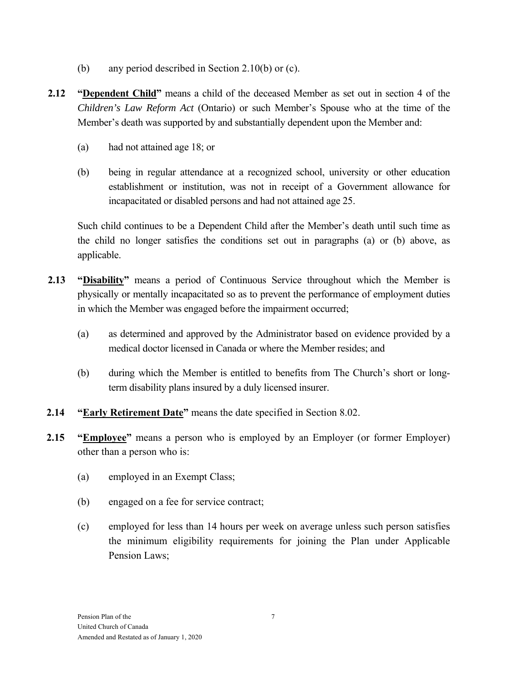- (b) any period described in Section 2.10(b) or (c).
- **2.12 "Dependent Child"** means a child of the deceased Member as set out in section 4 of the *Children's Law Reform Act* (Ontario) or such Member's Spouse who at the time of the Member's death was supported by and substantially dependent upon the Member and:
	- (a) had not attained age 18; or
	- (b) being in regular attendance at a recognized school, university or other education establishment or institution, was not in receipt of a Government allowance for incapacitated or disabled persons and had not attained age 25.

Such child continues to be a Dependent Child after the Member's death until such time as the child no longer satisfies the conditions set out in paragraphs (a) or (b) above, as applicable.

- **2.13 "Disability"** means a period of Continuous Service throughout which the Member is physically or mentally incapacitated so as to prevent the performance of employment duties in which the Member was engaged before the impairment occurred;
	- (a) as determined and approved by the Administrator based on evidence provided by a medical doctor licensed in Canada or where the Member resides; and
	- (b) during which the Member is entitled to benefits from The Church's short or longterm disability plans insured by a duly licensed insurer.
- **2.14 "Early Retirement Date"** means the date specified in Section 8.02.
- **2.15 "Employee"** means a person who is employed by an Employer (or former Employer) other than a person who is:
	- (a) employed in an Exempt Class;
	- (b) engaged on a fee for service contract;
	- (c) employed for less than 14 hours per week on average unless such person satisfies the minimum eligibility requirements for joining the Plan under Applicable Pension Laws;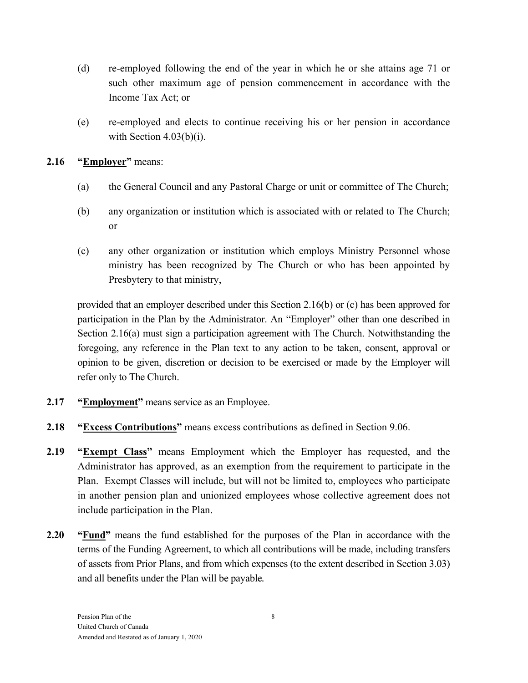- (d) re-employed following the end of the year in which he or she attains age 71 or such other maximum age of pension commencement in accordance with the Income Tax Act; or
- (e) re-employed and elects to continue receiving his or her pension in accordance with Section  $4.03(b)(i)$ .

## **2.16 "Employer"** means:

- (a) the General Council and any Pastoral Charge or unit or committee of The Church;
- (b) any organization or institution which is associated with or related to The Church; or
- (c) any other organization or institution which employs Ministry Personnel whose ministry has been recognized by The Church or who has been appointed by Presbytery to that ministry,

provided that an employer described under this Section 2.16(b) or (c) has been approved for participation in the Plan by the Administrator. An "Employer" other than one described in Section 2.16(a) must sign a participation agreement with The Church. Notwithstanding the foregoing, any reference in the Plan text to any action to be taken, consent, approval or opinion to be given, discretion or decision to be exercised or made by the Employer will refer only to The Church.

- **2.17 "Employment"** means service as an Employee.
- **2.18 "Excess Contributions"** means excess contributions as defined in Section 9.06.
- **2.19 "Exempt Class"** means Employment which the Employer has requested, and the Administrator has approved, as an exemption from the requirement to participate in the Plan. Exempt Classes will include, but will not be limited to, employees who participate in another pension plan and unionized employees whose collective agreement does not include participation in the Plan.
- **2.20 "Fund"** means the fund established for the purposes of the Plan in accordance with the terms of the Funding Agreement, to which all contributions will be made, including transfers of assets from Prior Plans, and from which expenses (to the extent described in Section 3.03) and all benefits under the Plan will be payable*.*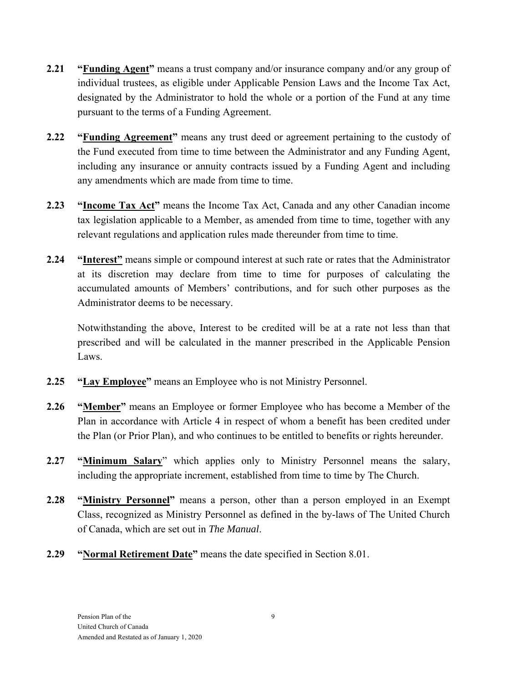- **2.21 "Funding Agent"** means a trust company and/or insurance company and/or any group of individual trustees, as eligible under Applicable Pension Laws and the Income Tax Act, designated by the Administrator to hold the whole or a portion of the Fund at any time pursuant to the terms of a Funding Agreement.
- **2.22** "Funding Agreement" means any trust deed or agreement pertaining to the custody of the Fund executed from time to time between the Administrator and any Funding Agent, including any insurance or annuity contracts issued by a Funding Agent and including any amendments which are made from time to time.
- **2.23 "Income Tax Act"** means the Income Tax Act, Canada and any other Canadian income tax legislation applicable to a Member, as amended from time to time, together with any relevant regulations and application rules made thereunder from time to time.
- **2.24 "Interest"** means simple or compound interest at such rate or rates that the Administrator at its discretion may declare from time to time for purposes of calculating the accumulated amounts of Members' contributions, and for such other purposes as the Administrator deems to be necessary.

Notwithstanding the above, Interest to be credited will be at a rate not less than that prescribed and will be calculated in the manner prescribed in the Applicable Pension Laws.

- **2.25 "Lay Employee"** means an Employee who is not Ministry Personnel.
- **2.26 "Member"** means an Employee or former Employee who has become a Member of the Plan in accordance with Article 4 in respect of whom a benefit has been credited under the Plan (or Prior Plan), and who continues to be entitled to benefits or rights hereunder.
- **2.27 "Minimum Salary**" which applies only to Ministry Personnel means the salary, including the appropriate increment, established from time to time by The Church.
- **2.28 "Ministry Personnel"** means a person, other than a person employed in an Exempt Class, recognized as Ministry Personnel as defined in the by-laws of The United Church of Canada, which are set out in *The Manual*.
- **2.29 "Normal Retirement Date"** means the date specified in Section 8.01.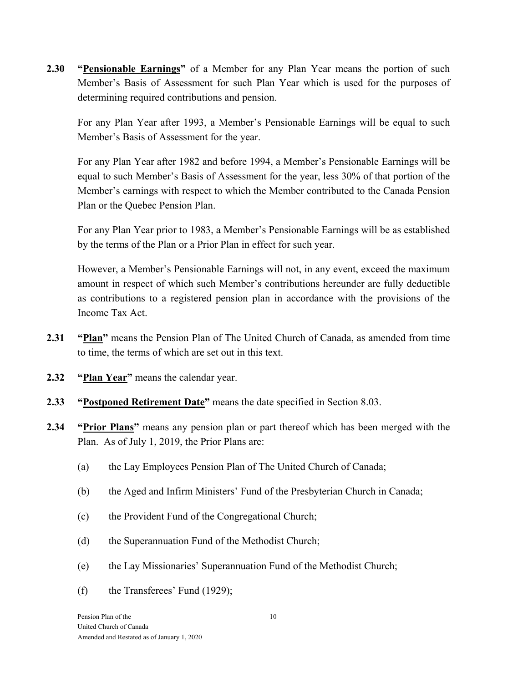**2.30 "Pensionable Earnings"** of a Member for any Plan Year means the portion of such Member's Basis of Assessment for such Plan Year which is used for the purposes of determining required contributions and pension.

For any Plan Year after 1993, a Member's Pensionable Earnings will be equal to such Member's Basis of Assessment for the year.

For any Plan Year after 1982 and before 1994, a Member's Pensionable Earnings will be equal to such Member's Basis of Assessment for the year, less 30% of that portion of the Member's earnings with respect to which the Member contributed to the Canada Pension Plan or the Quebec Pension Plan.

For any Plan Year prior to 1983, a Member's Pensionable Earnings will be as established by the terms of the Plan or a Prior Plan in effect for such year.

However, a Member's Pensionable Earnings will not, in any event, exceed the maximum amount in respect of which such Member's contributions hereunder are fully deductible as contributions to a registered pension plan in accordance with the provisions of the Income Tax Act.

- **2.31 "Plan"** means the Pension Plan of The United Church of Canada, as amended from time to time, the terms of which are set out in this text.
- **2.32 "Plan Year"** means the calendar year.
- **2.33 "Postponed Retirement Date"** means the date specified in Section 8.03.
- **2.34 "Prior Plans"** means any pension plan or part thereof which has been merged with the Plan. As of July 1, 2019, the Prior Plans are:
	- (a) the Lay Employees Pension Plan of The United Church of Canada;
	- (b) the Aged and Infirm Ministers' Fund of the Presbyterian Church in Canada;
	- (c) the Provident Fund of the Congregational Church;
	- (d) the Superannuation Fund of the Methodist Church;
	- (e) the Lay Missionaries' Superannuation Fund of the Methodist Church;
	- (f) the Transferees' Fund (1929);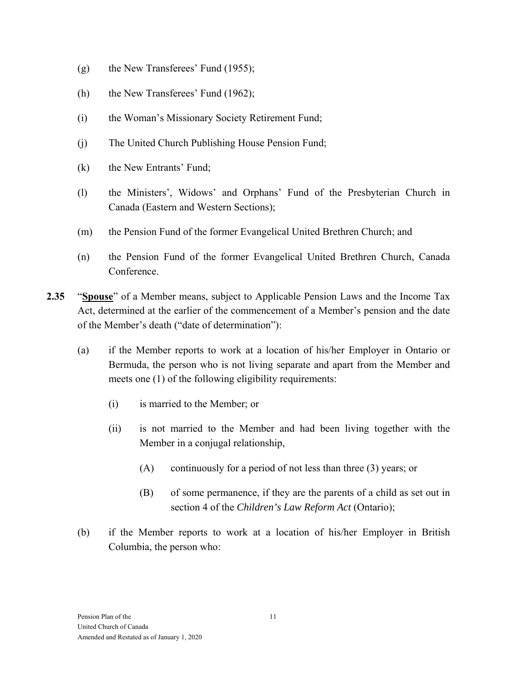- (g) the New Transferees' Fund (1955);
- (h) the New Transferees' Fund (1962);
- (i) the Woman's Missionary Society Retirement Fund;
- (j) The United Church Publishing House Pension Fund;
- (k) the New Entrants' Fund;
- (l) the Ministers', Widows' and Orphans' Fund of the Presbyterian Church in Canada (Eastern and Western Sections);
- (m) the Pension Fund of the former Evangelical United Brethren Church; and
- (n) the Pension Fund of the former Evangelical United Brethren Church, Canada Conference.
- **2.35** "**Spouse**" of a Member means, subject to Applicable Pension Laws and the Income Tax Act, determined at the earlier of the commencement of a Member's pension and the date of the Member's death ("date of determination"):
	- (a) if the Member reports to work at a location of his/her Employer in Ontario or Bermuda, the person who is not living separate and apart from the Member and meets one (1) of the following eligibility requirements:
		- (i) is married to the Member; or
		- (ii) is not married to the Member and had been living together with the Member in a conjugal relationship,
			- (A) continuously for a period of not less than three (3) years; or
			- (B) of some permanence, if they are the parents of a child as set out in section 4 of the *Children's Law Reform Act* (Ontario);
	- (b) if the Member reports to work at a location of his/her Employer in British Columbia, the person who: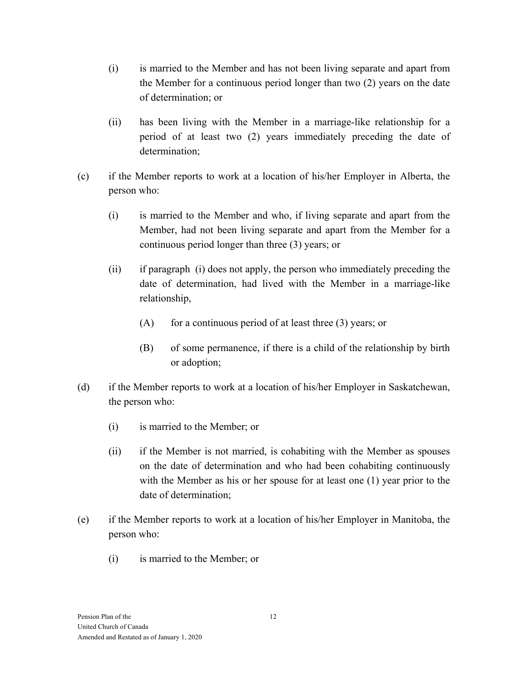- (i) is married to the Member and has not been living separate and apart from the Member for a continuous period longer than two (2) years on the date of determination; or
- (ii) has been living with the Member in a marriage-like relationship for a period of at least two (2) years immediately preceding the date of determination;
- (c) if the Member reports to work at a location of his/her Employer in Alberta, the person who:
	- (i) is married to the Member and who, if living separate and apart from the Member, had not been living separate and apart from the Member for a continuous period longer than three (3) years; or
	- (ii) if paragraph (i) does not apply, the person who immediately preceding the date of determination, had lived with the Member in a marriage-like relationship,
		- $(A)$  for a continuous period of at least three  $(3)$  years; or
		- (B) of some permanence, if there is a child of the relationship by birth or adoption;
- (d) if the Member reports to work at a location of his/her Employer in Saskatchewan, the person who:
	- (i) is married to the Member; or
	- (ii) if the Member is not married, is cohabiting with the Member as spouses on the date of determination and who had been cohabiting continuously with the Member as his or her spouse for at least one (1) year prior to the date of determination;
- (e) if the Member reports to work at a location of his/her Employer in Manitoba, the person who:
	- (i) is married to the Member; or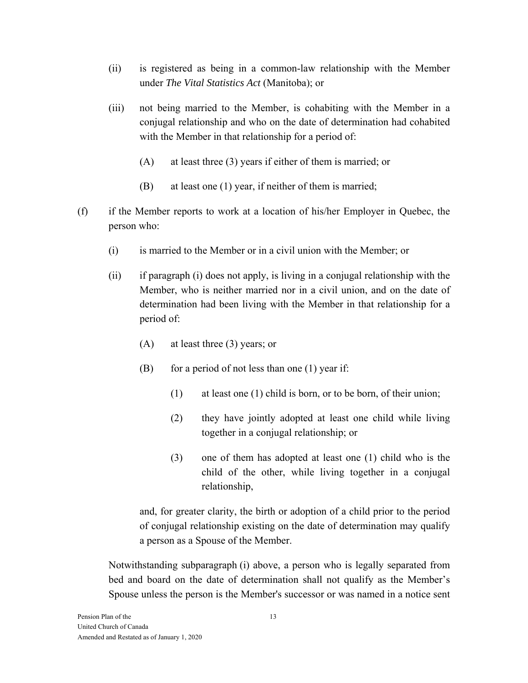- (ii) is registered as being in a common-law relationship with the Member under *The Vital Statistics Act* (Manitoba); or
- (iii) not being married to the Member, is cohabiting with the Member in a conjugal relationship and who on the date of determination had cohabited with the Member in that relationship for a period of:
	- (A) at least three (3) years if either of them is married; or
	- (B) at least one (1) year, if neither of them is married;
- (f) if the Member reports to work at a location of his/her Employer in Quebec, the person who:
	- (i) is married to the Member or in a civil union with the Member; or
	- (ii) if paragraph (i) does not apply, is living in a conjugal relationship with the Member, who is neither married nor in a civil union, and on the date of determination had been living with the Member in that relationship for a period of:
		- (A) at least three (3) years; or
		- $(B)$  for a period of not less than one (1) year if:
			- (1) at least one (1) child is born, or to be born, of their union;
			- (2) they have jointly adopted at least one child while living together in a conjugal relationship; or
			- (3) one of them has adopted at least one (1) child who is the child of the other, while living together in a conjugal relationship,

and, for greater clarity, the birth or adoption of a child prior to the period of conjugal relationship existing on the date of determination may qualify a person as a Spouse of the Member.

Notwithstanding subparagraph (i) above, a person who is legally separated from bed and board on the date of determination shall not qualify as the Member's Spouse unless the person is the Member's successor or was named in a notice sent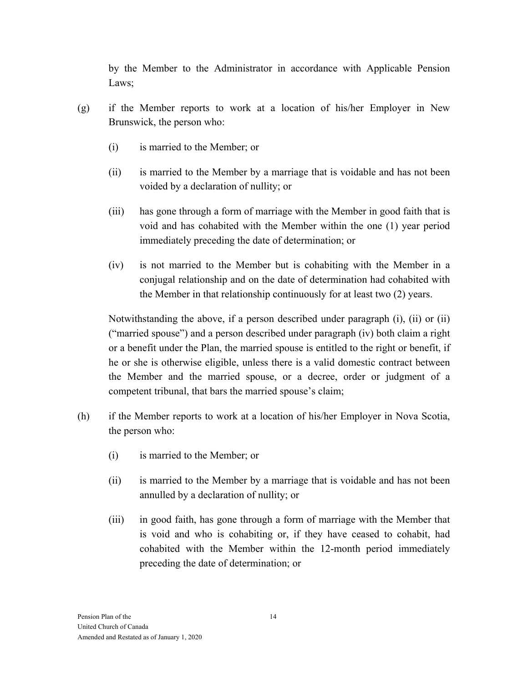by the Member to the Administrator in accordance with Applicable Pension Laws;

- (g) if the Member reports to work at a location of his/her Employer in New Brunswick, the person who:
	- (i) is married to the Member; or
	- (ii) is married to the Member by a marriage that is voidable and has not been voided by a declaration of nullity; or
	- (iii) has gone through a form of marriage with the Member in good faith that is void and has cohabited with the Member within the one (1) year period immediately preceding the date of determination; or
	- (iv) is not married to the Member but is cohabiting with the Member in a conjugal relationship and on the date of determination had cohabited with the Member in that relationship continuously for at least two (2) years.

Notwithstanding the above, if a person described under paragraph (i), (ii) or (ii) ("married spouse") and a person described under paragraph (iv) both claim a right or a benefit under the Plan, the married spouse is entitled to the right or benefit, if he or she is otherwise eligible, unless there is a valid domestic contract between the Member and the married spouse, or a decree, order or judgment of a competent tribunal, that bars the married spouse's claim;

- (h) if the Member reports to work at a location of his/her Employer in Nova Scotia, the person who:
	- (i) is married to the Member; or
	- (ii) is married to the Member by a marriage that is voidable and has not been annulled by a declaration of nullity; or
	- (iii) in good faith, has gone through a form of marriage with the Member that is void and who is cohabiting or, if they have ceased to cohabit, had cohabited with the Member within the 12-month period immediately preceding the date of determination; or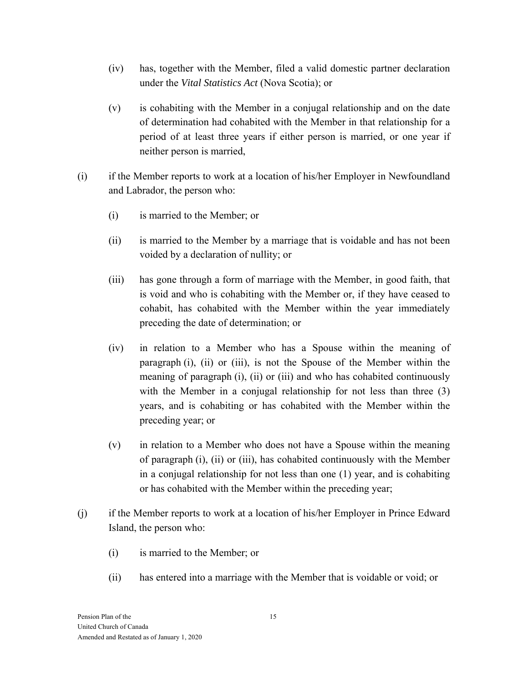- (iv) has, together with the Member, filed a valid domestic partner declaration under the *Vital Statistics Act* (Nova Scotia); or
- (v) is cohabiting with the Member in a conjugal relationship and on the date of determination had cohabited with the Member in that relationship for a period of at least three years if either person is married, or one year if neither person is married,
- (i) if the Member reports to work at a location of his/her Employer in Newfoundland and Labrador, the person who:
	- (i) is married to the Member; or
	- (ii) is married to the Member by a marriage that is voidable and has not been voided by a declaration of nullity; or
	- (iii) has gone through a form of marriage with the Member, in good faith, that is void and who is cohabiting with the Member or, if they have ceased to cohabit, has cohabited with the Member within the year immediately preceding the date of determination; or
	- (iv) in relation to a Member who has a Spouse within the meaning of paragraph (i), (ii) or (iii), is not the Spouse of the Member within the meaning of paragraph (i), (ii) or (iii) and who has cohabited continuously with the Member in a conjugal relationship for not less than three (3) years, and is cohabiting or has cohabited with the Member within the preceding year; or
	- (v) in relation to a Member who does not have a Spouse within the meaning of paragraph (i), (ii) or (iii), has cohabited continuously with the Member in a conjugal relationship for not less than one (1) year, and is cohabiting or has cohabited with the Member within the preceding year;
- (j) if the Member reports to work at a location of his/her Employer in Prince Edward Island, the person who:
	- (i) is married to the Member; or
	- (ii) has entered into a marriage with the Member that is voidable or void; or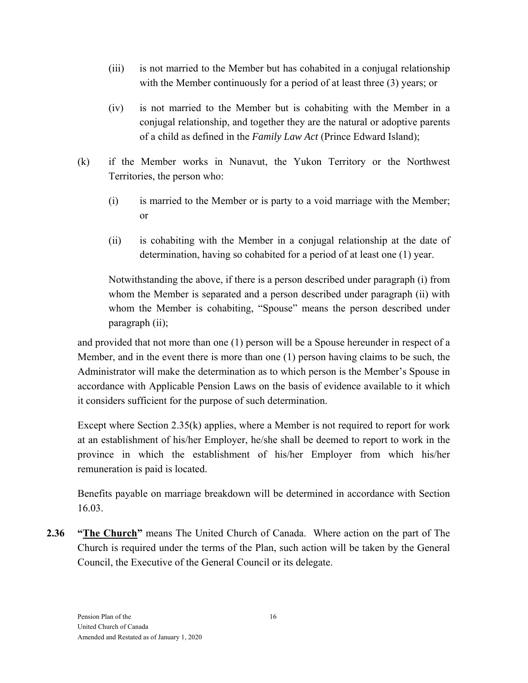- (iii) is not married to the Member but has cohabited in a conjugal relationship with the Member continuously for a period of at least three (3) years; or
- (iv) is not married to the Member but is cohabiting with the Member in a conjugal relationship, and together they are the natural or adoptive parents of a child as defined in the *Family Law Act* (Prince Edward Island);
- (k) if the Member works in Nunavut, the Yukon Territory or the Northwest Territories, the person who:
	- (i) is married to the Member or is party to a void marriage with the Member; or
	- (ii) is cohabiting with the Member in a conjugal relationship at the date of determination, having so cohabited for a period of at least one (1) year.

Notwithstanding the above, if there is a person described under paragraph (i) from whom the Member is separated and a person described under paragraph (ii) with whom the Member is cohabiting, "Spouse" means the person described under paragraph (ii);

and provided that not more than one (1) person will be a Spouse hereunder in respect of a Member, and in the event there is more than one (1) person having claims to be such, the Administrator will make the determination as to which person is the Member's Spouse in accordance with Applicable Pension Laws on the basis of evidence available to it which it considers sufficient for the purpose of such determination.

Except where Section 2.35(k) applies, where a Member is not required to report for work at an establishment of his/her Employer, he/she shall be deemed to report to work in the province in which the establishment of his/her Employer from which his/her remuneration is paid is located.

Benefits payable on marriage breakdown will be determined in accordance with Section 16.03.

**2.36 "The Church"** means The United Church of Canada. Where action on the part of The Church is required under the terms of the Plan, such action will be taken by the General Council, the Executive of the General Council or its delegate.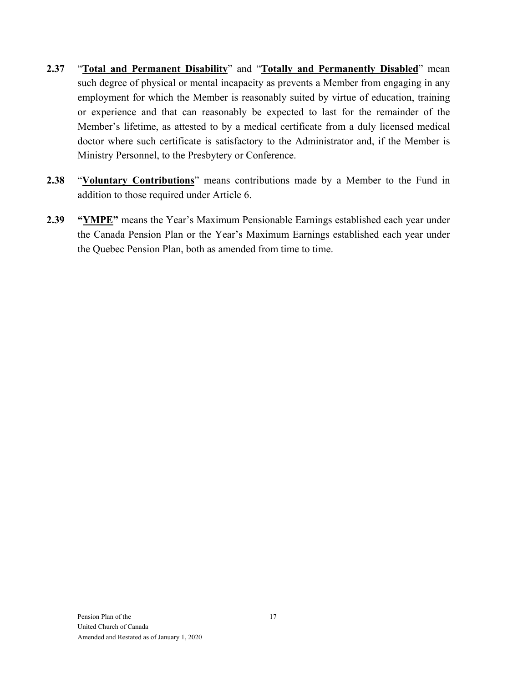- **2.37** "**Total and Permanent Disability**" and "**Totally and Permanently Disabled**" mean such degree of physical or mental incapacity as prevents a Member from engaging in any employment for which the Member is reasonably suited by virtue of education, training or experience and that can reasonably be expected to last for the remainder of the Member's lifetime, as attested to by a medical certificate from a duly licensed medical doctor where such certificate is satisfactory to the Administrator and, if the Member is Ministry Personnel, to the Presbytery or Conference.
- **2.38** "**Voluntary Contributions**" means contributions made by a Member to the Fund in addition to those required under Article 6.
- **2.39 "YMPE"** means the Year's Maximum Pensionable Earnings established each year under the Canada Pension Plan or the Year's Maximum Earnings established each year under the Quebec Pension Plan, both as amended from time to time.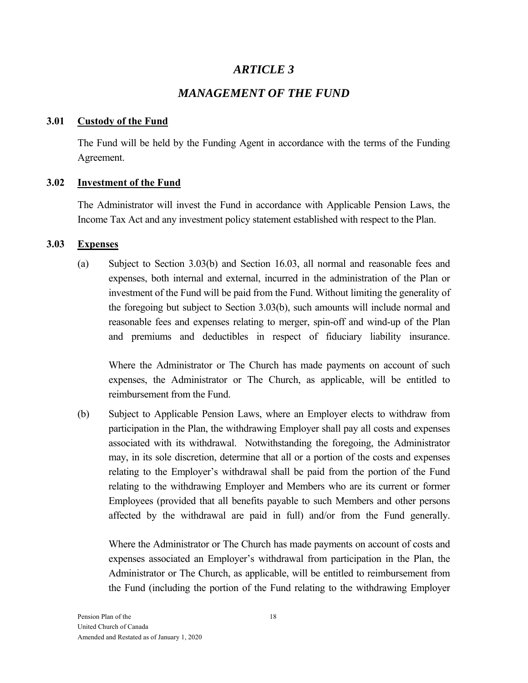# *ARTICLE 3*

# *MANAGEMENT OF THE FUND*

#### **3.01 Custody of the Fund**

The Fund will be held by the Funding Agent in accordance with the terms of the Funding Agreement.

#### **3.02 Investment of the Fund**

The Administrator will invest the Fund in accordance with Applicable Pension Laws, the Income Tax Act and any investment policy statement established with respect to the Plan.

#### **3.03 Expenses**

(a) Subject to Section 3.03(b) and Section 16.03, all normal and reasonable fees and expenses, both internal and external, incurred in the administration of the Plan or investment of the Fund will be paid from the Fund. Without limiting the generality of the foregoing but subject to Section 3.03(b), such amounts will include normal and reasonable fees and expenses relating to merger, spin-off and wind-up of the Plan and premiums and deductibles in respect of fiduciary liability insurance.

Where the Administrator or The Church has made payments on account of such expenses, the Administrator or The Church, as applicable, will be entitled to reimbursement from the Fund.

(b) Subject to Applicable Pension Laws, where an Employer elects to withdraw from participation in the Plan, the withdrawing Employer shall pay all costs and expenses associated with its withdrawal. Notwithstanding the foregoing, the Administrator may, in its sole discretion, determine that all or a portion of the costs and expenses relating to the Employer's withdrawal shall be paid from the portion of the Fund relating to the withdrawing Employer and Members who are its current or former Employees (provided that all benefits payable to such Members and other persons affected by the withdrawal are paid in full) and/or from the Fund generally.

Where the Administrator or The Church has made payments on account of costs and expenses associated an Employer's withdrawal from participation in the Plan, the Administrator or The Church, as applicable, will be entitled to reimbursement from the Fund (including the portion of the Fund relating to the withdrawing Employer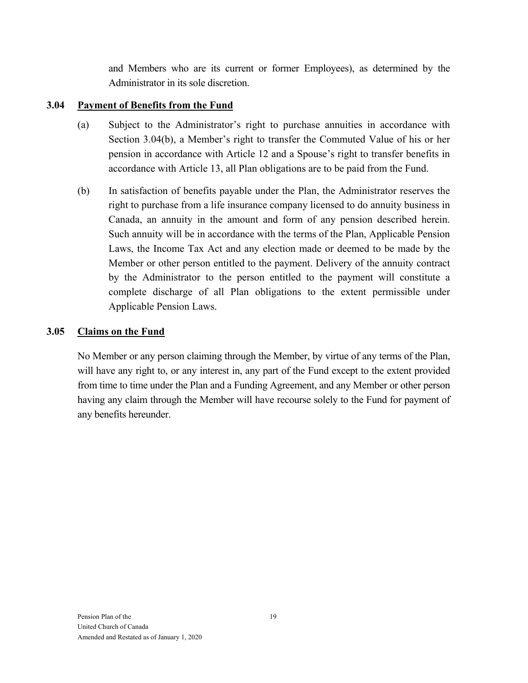and Members who are its current or former Employees), as determined by the Administrator in its sole discretion.

## **3.04 Payment of Benefits from the Fund**

- (a) Subject to the Administrator's right to purchase annuities in accordance with Section 3.04(b), a Member's right to transfer the Commuted Value of his or her pension in accordance with Article 12 and a Spouse's right to transfer benefits in accordance with Article 13, all Plan obligations are to be paid from the Fund.
- (b) In satisfaction of benefits payable under the Plan, the Administrator reserves the right to purchase from a life insurance company licensed to do annuity business in Canada, an annuity in the amount and form of any pension described herein. Such annuity will be in accordance with the terms of the Plan, Applicable Pension Laws, the Income Tax Act and any election made or deemed to be made by the Member or other person entitled to the payment. Delivery of the annuity contract by the Administrator to the person entitled to the payment will constitute a complete discharge of all Plan obligations to the extent permissible under Applicable Pension Laws.

## **3.05 Claims on the Fund**

No Member or any person claiming through the Member, by virtue of any terms of the Plan, will have any right to, or any interest in, any part of the Fund except to the extent provided from time to time under the Plan and a Funding Agreement, and any Member or other person having any claim through the Member will have recourse solely to the Fund for payment of any benefits hereunder.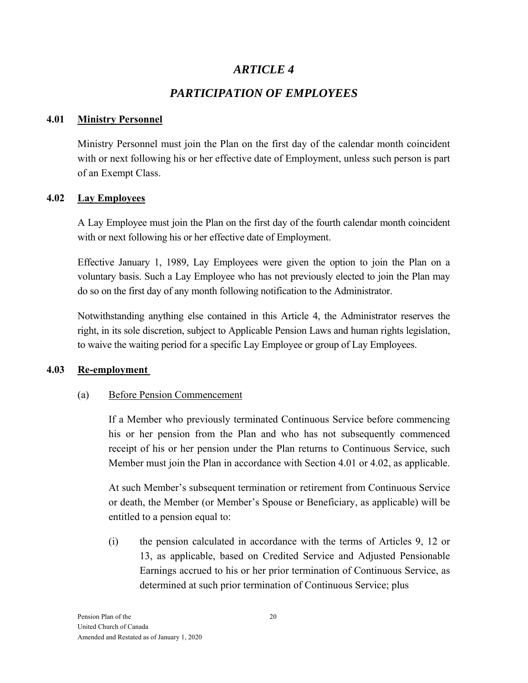# *ARTICLE 4*

# *PARTICIPATION OF EMPLOYEES*

## **4.01 Ministry Personnel**

Ministry Personnel must join the Plan on the first day of the calendar month coincident with or next following his or her effective date of Employment, unless such person is part of an Exempt Class.

# **4.02 Lay Employees**

A Lay Employee must join the Plan on the first day of the fourth calendar month coincident with or next following his or her effective date of Employment.

Effective January 1, 1989, Lay Employees were given the option to join the Plan on a voluntary basis. Such a Lay Employee who has not previously elected to join the Plan may do so on the first day of any month following notification to the Administrator.

Notwithstanding anything else contained in this Article 4, the Administrator reserves the right, in its sole discretion, subject to Applicable Pension Laws and human rights legislation, to waive the waiting period for a specific Lay Employee or group of Lay Employees.

# **4.03 Re-employment**

## (a) Before Pension Commencement

If a Member who previously terminated Continuous Service before commencing his or her pension from the Plan and who has not subsequently commenced receipt of his or her pension under the Plan returns to Continuous Service, such Member must join the Plan in accordance with Section 4.01 or 4.02, as applicable.

At such Member's subsequent termination or retirement from Continuous Service or death, the Member (or Member's Spouse or Beneficiary, as applicable) will be entitled to a pension equal to:

(i) the pension calculated in accordance with the terms of Articles 9, 12 or 13, as applicable, based on Credited Service and Adjusted Pensionable Earnings accrued to his or her prior termination of Continuous Service, as determined at such prior termination of Continuous Service; plus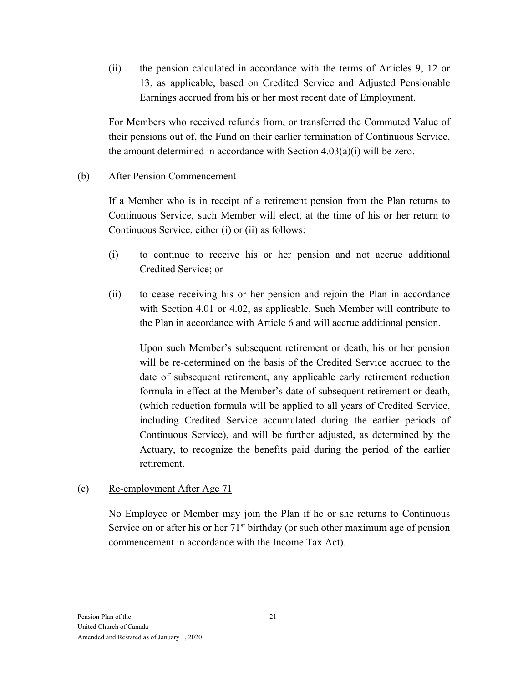(ii) the pension calculated in accordance with the terms of Articles 9, 12 or 13, as applicable, based on Credited Service and Adjusted Pensionable Earnings accrued from his or her most recent date of Employment.

For Members who received refunds from, or transferred the Commuted Value of their pensions out of, the Fund on their earlier termination of Continuous Service, the amount determined in accordance with Section  $4.03(a)(i)$  will be zero.

## (b) After Pension Commencement

If a Member who is in receipt of a retirement pension from the Plan returns to Continuous Service, such Member will elect, at the time of his or her return to Continuous Service, either (i) or (ii) as follows:

- (i) to continue to receive his or her pension and not accrue additional Credited Service; or
- (ii) to cease receiving his or her pension and rejoin the Plan in accordance with Section 4.01 or 4.02, as applicable. Such Member will contribute to the Plan in accordance with Article 6 and will accrue additional pension.

Upon such Member's subsequent retirement or death, his or her pension will be re-determined on the basis of the Credited Service accrued to the date of subsequent retirement, any applicable early retirement reduction formula in effect at the Member's date of subsequent retirement or death, (which reduction formula will be applied to all years of Credited Service, including Credited Service accumulated during the earlier periods of Continuous Service), and will be further adjusted, as determined by the Actuary, to recognize the benefits paid during the period of the earlier retirement.

## (c) Re-employment After Age 71

No Employee or Member may join the Plan if he or she returns to Continuous Service on or after his or her  $71<sup>st</sup>$  birthday (or such other maximum age of pension commencement in accordance with the Income Tax Act).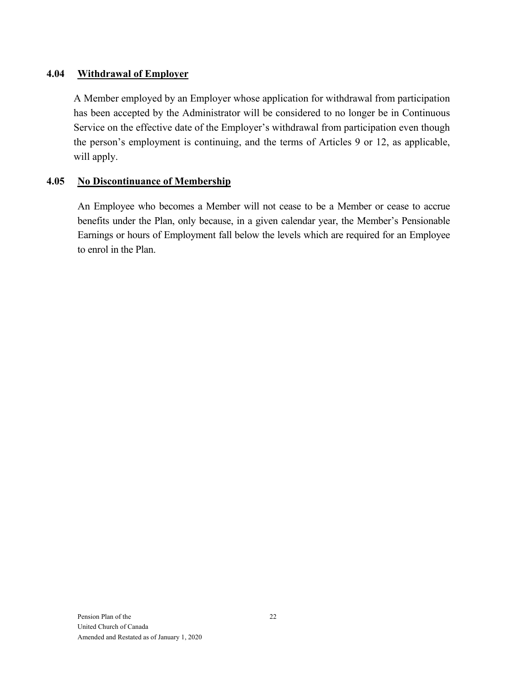## **4.04 Withdrawal of Employer**

A Member employed by an Employer whose application for withdrawal from participation has been accepted by the Administrator will be considered to no longer be in Continuous Service on the effective date of the Employer's withdrawal from participation even though the person's employment is continuing, and the terms of Articles 9 or 12, as applicable, will apply.

## **4.05 No Discontinuance of Membership**

An Employee who becomes a Member will not cease to be a Member or cease to accrue benefits under the Plan, only because, in a given calendar year, the Member's Pensionable Earnings or hours of Employment fall below the levels which are required for an Employee to enrol in the Plan.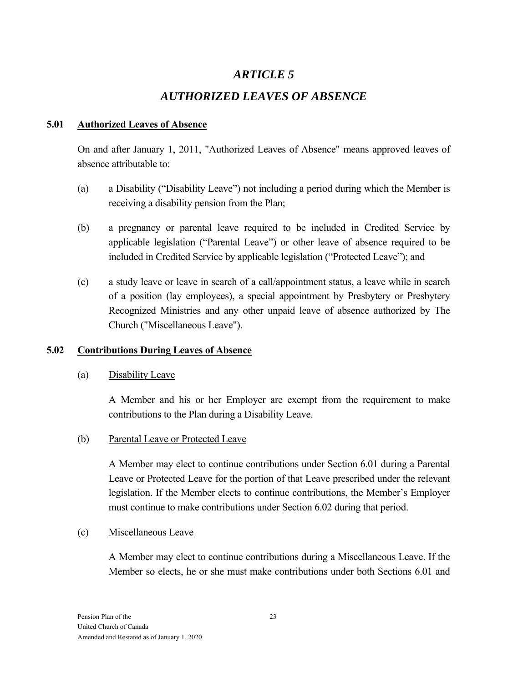# *ARTICLE 5*

# *AUTHORIZED LEAVES OF ABSENCE*

## **5.01 Authorized Leaves of Absence**

On and after January 1, 2011, "Authorized Leaves of Absence" means approved leaves of absence attributable to:

- (a) a Disability ("Disability Leave") not including a period during which the Member is receiving a disability pension from the Plan;
- (b) a pregnancy or parental leave required to be included in Credited Service by applicable legislation ("Parental Leave") or other leave of absence required to be included in Credited Service by applicable legislation ("Protected Leave"); and
- (c) a study leave or leave in search of a call/appointment status, a leave while in search of a position (lay employees), a special appointment by Presbytery or Presbytery Recognized Ministries and any other unpaid leave of absence authorized by The Church ("Miscellaneous Leave").

# **5.02 Contributions During Leaves of Absence**

# (a) Disability Leave

A Member and his or her Employer are exempt from the requirement to make contributions to the Plan during a Disability Leave.

(b) Parental Leave or Protected Leave

A Member may elect to continue contributions under Section 6.01 during a Parental Leave or Protected Leave for the portion of that Leave prescribed under the relevant legislation. If the Member elects to continue contributions, the Member's Employer must continue to make contributions under Section 6.02 during that period.

(c) Miscellaneous Leave

A Member may elect to continue contributions during a Miscellaneous Leave. If the Member so elects, he or she must make contributions under both Sections 6.01 and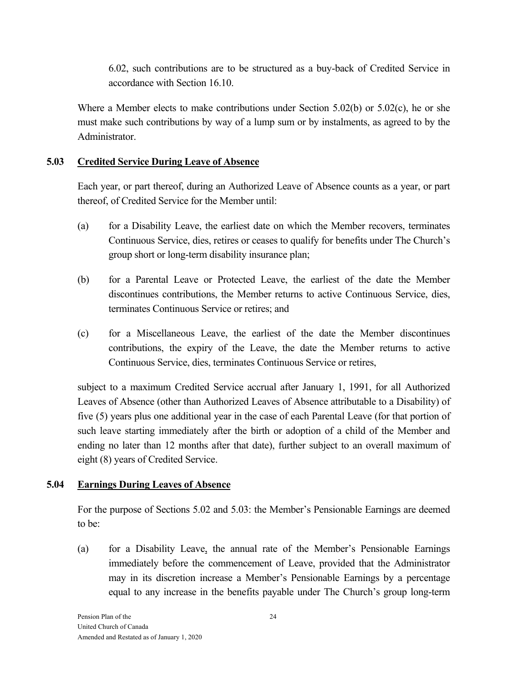6.02, such contributions are to be structured as a buy-back of Credited Service in accordance with Section 16.10.

Where a Member elects to make contributions under Section 5.02(b) or  $5.02(c)$ , he or she must make such contributions by way of a lump sum or by instalments, as agreed to by the Administrator.

## **5.03 Credited Service During Leave of Absence**

Each year, or part thereof, during an Authorized Leave of Absence counts as a year, or part thereof, of Credited Service for the Member until:

- (a) for a Disability Leave, the earliest date on which the Member recovers, terminates Continuous Service, dies, retires or ceases to qualify for benefits under The Church's group short or long-term disability insurance plan;
- (b) for a Parental Leave or Protected Leave, the earliest of the date the Member discontinues contributions, the Member returns to active Continuous Service, dies, terminates Continuous Service or retires; and
- (c) for a Miscellaneous Leave, the earliest of the date the Member discontinues contributions, the expiry of the Leave, the date the Member returns to active Continuous Service, dies, terminates Continuous Service or retires,

subject to a maximum Credited Service accrual after January 1, 1991, for all Authorized Leaves of Absence (other than Authorized Leaves of Absence attributable to a Disability) of five (5) years plus one additional year in the case of each Parental Leave (for that portion of such leave starting immediately after the birth or adoption of a child of the Member and ending no later than 12 months after that date), further subject to an overall maximum of eight (8) years of Credited Service.

## **5.04 Earnings During Leaves of Absence**

For the purpose of Sections 5.02 and 5.03: the Member's Pensionable Earnings are deemed to be:

(a) for a Disability Leave, the annual rate of the Member's Pensionable Earnings immediately before the commencement of Leave, provided that the Administrator may in its discretion increase a Member's Pensionable Earnings by a percentage equal to any increase in the benefits payable under The Church's group long-term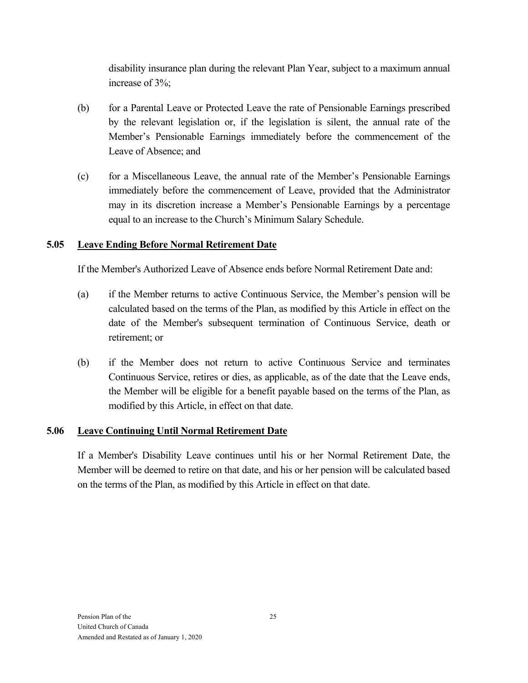disability insurance plan during the relevant Plan Year, subject to a maximum annual increase of 3%;

- (b) for a Parental Leave or Protected Leave the rate of Pensionable Earnings prescribed by the relevant legislation or, if the legislation is silent, the annual rate of the Member's Pensionable Earnings immediately before the commencement of the Leave of Absence; and
- (c) for a Miscellaneous Leave, the annual rate of the Member's Pensionable Earnings immediately before the commencement of Leave, provided that the Administrator may in its discretion increase a Member's Pensionable Earnings by a percentage equal to an increase to the Church's Minimum Salary Schedule.

## **5.05 Leave Ending Before Normal Retirement Date**

If the Member's Authorized Leave of Absence ends before Normal Retirement Date and:

- (a) if the Member returns to active Continuous Service, the Member's pension will be calculated based on the terms of the Plan, as modified by this Article in effect on the date of the Member's subsequent termination of Continuous Service, death or retirement; or
- (b) if the Member does not return to active Continuous Service and terminates Continuous Service, retires or dies, as applicable, as of the date that the Leave ends, the Member will be eligible for a benefit payable based on the terms of the Plan, as modified by this Article, in effect on that date.

## **5.06 Leave Continuing Until Normal Retirement Date**

If a Member's Disability Leave continues until his or her Normal Retirement Date, the Member will be deemed to retire on that date, and his or her pension will be calculated based on the terms of the Plan, as modified by this Article in effect on that date.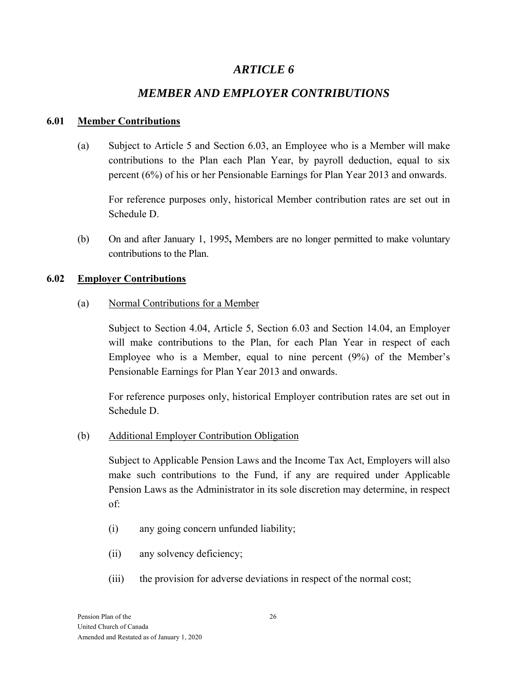# *ARTICLE 6*

# *MEMBER AND EMPLOYER CONTRIBUTIONS*

## **6.01 Member Contributions**

(a) Subject to Article 5 and Section 6.03, an Employee who is a Member will make contributions to the Plan each Plan Year, by payroll deduction, equal to six percent (6%) of his or her Pensionable Earnings for Plan Year 2013 and onwards.

For reference purposes only, historical Member contribution rates are set out in Schedule D.

(b) On and after January 1, 1995**,** Members are no longer permitted to make voluntary contributions to the Plan.

# **6.02 Employer Contributions**

## (a) Normal Contributions for a Member

Subject to Section 4.04, Article 5, Section 6.03 and Section 14.04, an Employer will make contributions to the Plan, for each Plan Year in respect of each Employee who is a Member, equal to nine percent (9%) of the Member's Pensionable Earnings for Plan Year 2013 and onwards.

For reference purposes only, historical Employer contribution rates are set out in Schedule D.

# (b) Additional Employer Contribution Obligation

Subject to Applicable Pension Laws and the Income Tax Act, Employers will also make such contributions to the Fund, if any are required under Applicable Pension Laws as the Administrator in its sole discretion may determine, in respect of:

- (i) any going concern unfunded liability;
- (ii) any solvency deficiency;
- (iii) the provision for adverse deviations in respect of the normal cost;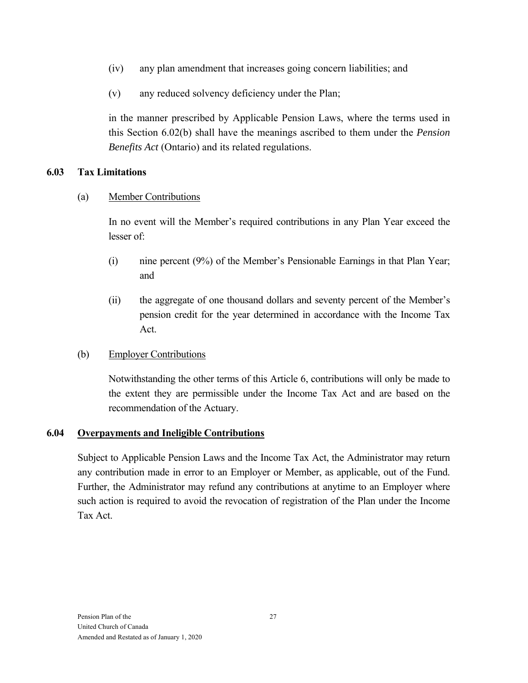- (iv) any plan amendment that increases going concern liabilities; and
- (v) any reduced solvency deficiency under the Plan;

in the manner prescribed by Applicable Pension Laws, where the terms used in this Section 6.02(b) shall have the meanings ascribed to them under the *Pension Benefits Act* (Ontario) and its related regulations.

### **6.03 Tax Limitations**

### (a) Member Contributions

In no event will the Member's required contributions in any Plan Year exceed the lesser of:

- (i) nine percent (9%) of the Member's Pensionable Earnings in that Plan Year; and
- (ii) the aggregate of one thousand dollars and seventy percent of the Member's pension credit for the year determined in accordance with the Income Tax Act.

### (b) Employer Contributions

Notwithstanding the other terms of this Article 6, contributions will only be made to the extent they are permissible under the Income Tax Act and are based on the recommendation of the Actuary.

#### **6.04 Overpayments and Ineligible Contributions**

Subject to Applicable Pension Laws and the Income Tax Act, the Administrator may return any contribution made in error to an Employer or Member, as applicable, out of the Fund. Further, the Administrator may refund any contributions at anytime to an Employer where such action is required to avoid the revocation of registration of the Plan under the Income Tax Act.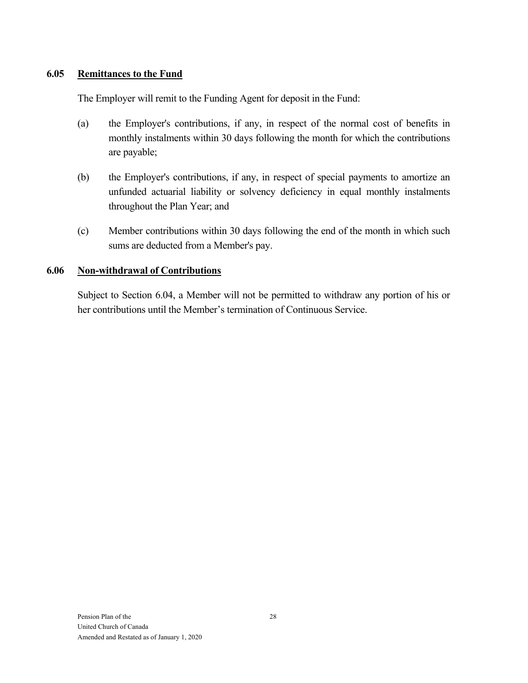#### **6.05 Remittances to the Fund**

The Employer will remit to the Funding Agent for deposit in the Fund:

- (a) the Employer's contributions, if any, in respect of the normal cost of benefits in monthly instalments within 30 days following the month for which the contributions are payable;
- (b) the Employer's contributions, if any, in respect of special payments to amortize an unfunded actuarial liability or solvency deficiency in equal monthly instalments throughout the Plan Year; and
- (c) Member contributions within 30 days following the end of the month in which such sums are deducted from a Member's pay.

#### **6.06 Non-withdrawal of Contributions**

Subject to Section 6.04, a Member will not be permitted to withdraw any portion of his or her contributions until the Member's termination of Continuous Service.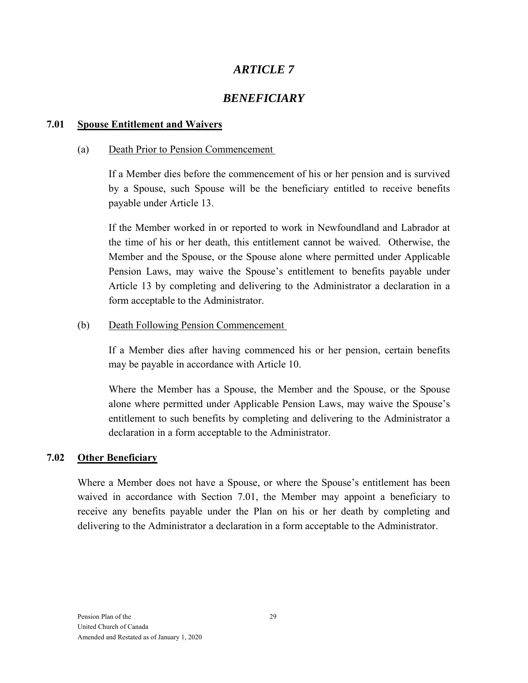# *BENEFICIARY*

#### **7.01 Spouse Entitlement and Waivers**

#### (a) Death Prior to Pension Commencement

If a Member dies before the commencement of his or her pension and is survived by a Spouse, such Spouse will be the beneficiary entitled to receive benefits payable under Article 13.

If the Member worked in or reported to work in Newfoundland and Labrador at the time of his or her death, this entitlement cannot be waived. Otherwise, the Member and the Spouse, or the Spouse alone where permitted under Applicable Pension Laws, may waive the Spouse's entitlement to benefits payable under Article 13 by completing and delivering to the Administrator a declaration in a form acceptable to the Administrator.

### (b) Death Following Pension Commencement

If a Member dies after having commenced his or her pension, certain benefits may be payable in accordance with Article 10.

Where the Member has a Spouse, the Member and the Spouse, or the Spouse alone where permitted under Applicable Pension Laws, may waive the Spouse's entitlement to such benefits by completing and delivering to the Administrator a declaration in a form acceptable to the Administrator.

### **7.02 Other Beneficiary**

Where a Member does not have a Spouse, or where the Spouse's entitlement has been waived in accordance with Section 7.01, the Member may appoint a beneficiary to receive any benefits payable under the Plan on his or her death by completing and delivering to the Administrator a declaration in a form acceptable to the Administrator.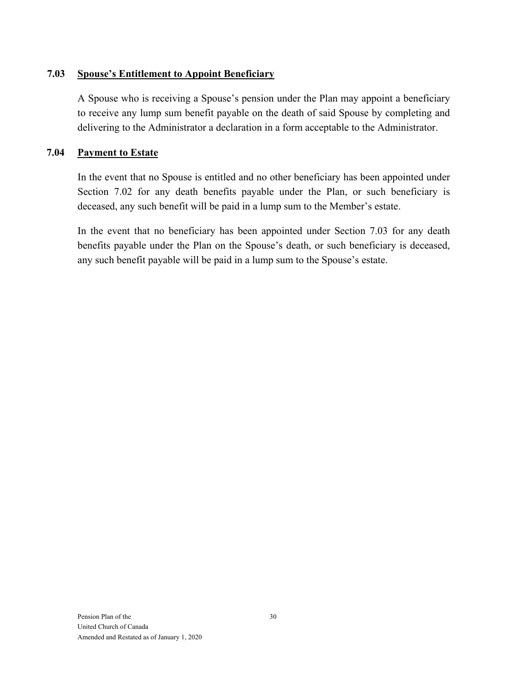#### **7.03 Spouse's Entitlement to Appoint Beneficiary**

A Spouse who is receiving a Spouse's pension under the Plan may appoint a beneficiary to receive any lump sum benefit payable on the death of said Spouse by completing and delivering to the Administrator a declaration in a form acceptable to the Administrator.

#### **7.04 Payment to Estate**

In the event that no Spouse is entitled and no other beneficiary has been appointed under Section 7.02 for any death benefits payable under the Plan, or such beneficiary is deceased, any such benefit will be paid in a lump sum to the Member's estate.

In the event that no beneficiary has been appointed under Section 7.03 for any death benefits payable under the Plan on the Spouse's death, or such beneficiary is deceased, any such benefit payable will be paid in a lump sum to the Spouse's estate.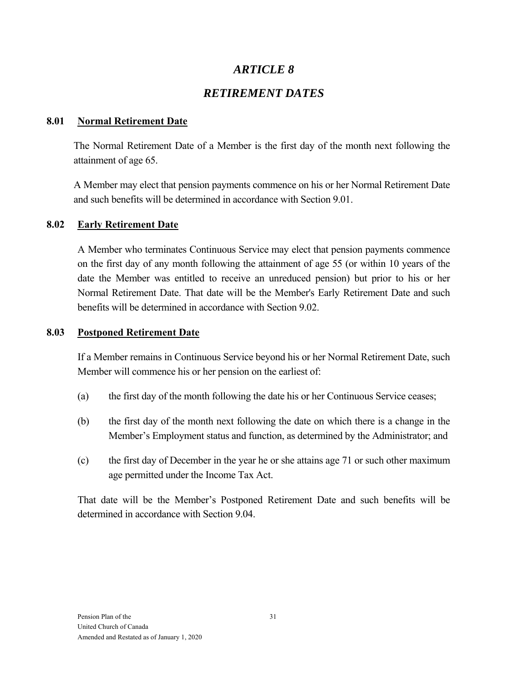# *RETIREMENT DATES*

### **8.01 Normal Retirement Date**

The Normal Retirement Date of a Member is the first day of the month next following the attainment of age 65.

A Member may elect that pension payments commence on his or her Normal Retirement Date and such benefits will be determined in accordance with Section 9.01.

### **8.02 Early Retirement Date**

A Member who terminates Continuous Service may elect that pension payments commence on the first day of any month following the attainment of age 55 (or within 10 years of the date the Member was entitled to receive an unreduced pension) but prior to his or her Normal Retirement Date. That date will be the Member's Early Retirement Date and such benefits will be determined in accordance with Section 9.02.

#### **8.03 Postponed Retirement Date**

If a Member remains in Continuous Service beyond his or her Normal Retirement Date, such Member will commence his or her pension on the earliest of:

- (a) the first day of the month following the date his or her Continuous Service ceases;
- (b) the first day of the month next following the date on which there is a change in the Member's Employment status and function, as determined by the Administrator; and
- (c) the first day of December in the year he or she attains age 71 or such other maximum age permitted under the Income Tax Act.

That date will be the Member's Postponed Retirement Date and such benefits will be determined in accordance with Section 9.04.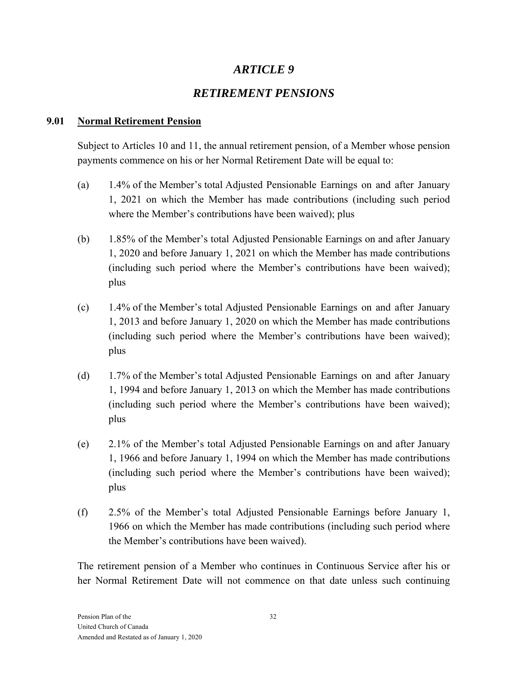# *RETIREMENT PENSIONS*

### **9.01 Normal Retirement Pension**

Subject to Articles 10 and 11, the annual retirement pension, of a Member whose pension payments commence on his or her Normal Retirement Date will be equal to:

- (a) 1.4% of the Member's total Adjusted Pensionable Earnings on and after January 1, 2021 on which the Member has made contributions (including such period where the Member's contributions have been waived); plus
- (b) 1.85% of the Member's total Adjusted Pensionable Earnings on and after January 1, 2020 and before January 1, 2021 on which the Member has made contributions (including such period where the Member's contributions have been waived); plus
- (c) 1.4% of the Member's total Adjusted Pensionable Earnings on and after January 1, 2013 and before January 1, 2020 on which the Member has made contributions (including such period where the Member's contributions have been waived); plus
- (d) 1.7% of the Member's total Adjusted Pensionable Earnings on and after January 1, 1994 and before January 1, 2013 on which the Member has made contributions (including such period where the Member's contributions have been waived); plus
- (e) 2.1% of the Member's total Adjusted Pensionable Earnings on and after January 1, 1966 and before January 1, 1994 on which the Member has made contributions (including such period where the Member's contributions have been waived); plus
- (f) 2.5% of the Member's total Adjusted Pensionable Earnings before January 1, 1966 on which the Member has made contributions (including such period where the Member's contributions have been waived).

The retirement pension of a Member who continues in Continuous Service after his or her Normal Retirement Date will not commence on that date unless such continuing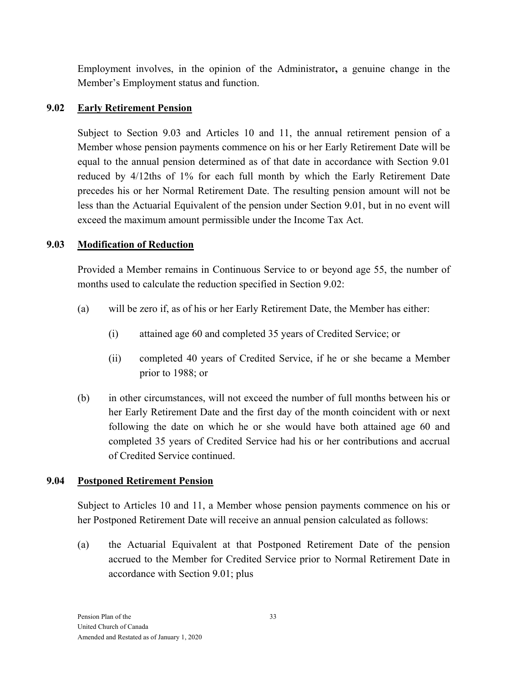Employment involves, in the opinion of the Administrator**,** a genuine change in the Member's Employment status and function.

#### **9.02 Early Retirement Pension**

Subject to Section 9.03 and Articles 10 and 11, the annual retirement pension of a Member whose pension payments commence on his or her Early Retirement Date will be equal to the annual pension determined as of that date in accordance with Section 9.01 reduced by 4/12ths of 1% for each full month by which the Early Retirement Date precedes his or her Normal Retirement Date. The resulting pension amount will not be less than the Actuarial Equivalent of the pension under Section 9.01, but in no event will exceed the maximum amount permissible under the Income Tax Act.

#### **9.03 Modification of Reduction**

Provided a Member remains in Continuous Service to or beyond age 55, the number of months used to calculate the reduction specified in Section 9.02:

- (a) will be zero if, as of his or her Early Retirement Date, the Member has either:
	- (i) attained age 60 and completed 35 years of Credited Service; or
	- (ii) completed 40 years of Credited Service, if he or she became a Member prior to 1988; or
- (b) in other circumstances, will not exceed the number of full months between his or her Early Retirement Date and the first day of the month coincident with or next following the date on which he or she would have both attained age 60 and completed 35 years of Credited Service had his or her contributions and accrual of Credited Service continued.

#### **9.04 Postponed Retirement Pension**

Subject to Articles 10 and 11, a Member whose pension payments commence on his or her Postponed Retirement Date will receive an annual pension calculated as follows:

(a) the Actuarial Equivalent at that Postponed Retirement Date of the pension accrued to the Member for Credited Service prior to Normal Retirement Date in accordance with Section 9.01; plus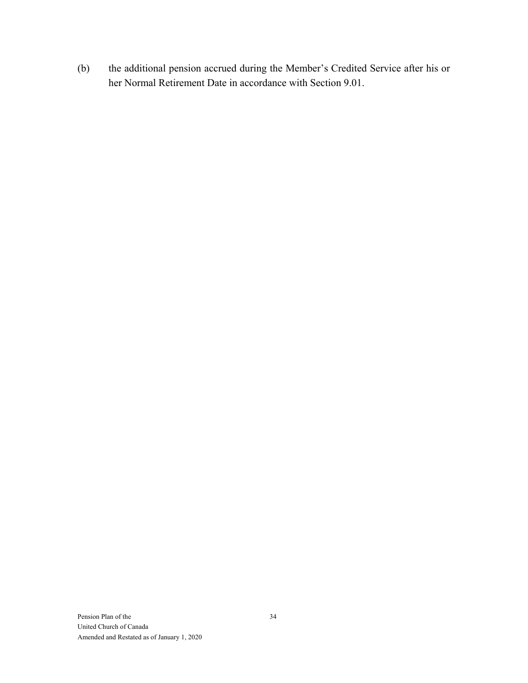(b) the additional pension accrued during the Member's Credited Service after his or her Normal Retirement Date in accordance with Section 9.01.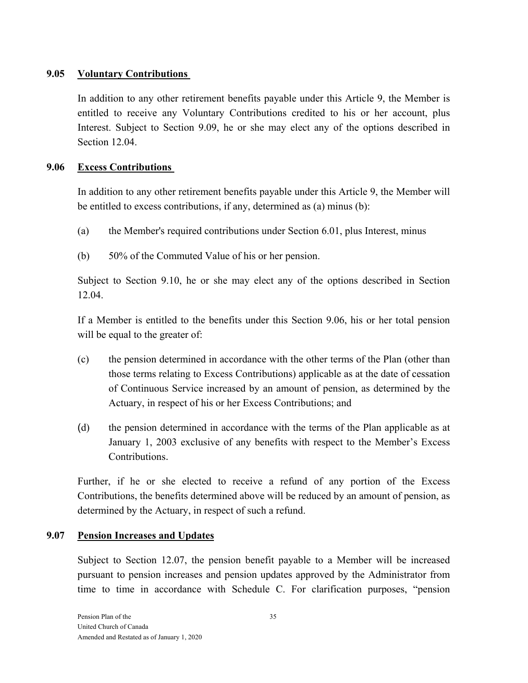#### **9.05 Voluntary Contributions**

In addition to any other retirement benefits payable under this Article 9, the Member is entitled to receive any Voluntary Contributions credited to his or her account, plus Interest. Subject to Section 9.09, he or she may elect any of the options described in Section 12.04.

#### **9.06 Excess Contributions**

In addition to any other retirement benefits payable under this Article 9, the Member will be entitled to excess contributions, if any, determined as (a) minus (b):

- (a) the Member's required contributions under Section 6.01, plus Interest, minus
- (b) 50% of the Commuted Value of his or her pension.

Subject to Section 9.10, he or she may elect any of the options described in Section 12.04.

If a Member is entitled to the benefits under this Section 9.06, his or her total pension will be equal to the greater of:

- (c) the pension determined in accordance with the other terms of the Plan (other than those terms relating to Excess Contributions) applicable as at the date of cessation of Continuous Service increased by an amount of pension, as determined by the Actuary, in respect of his or her Excess Contributions; and
- (d) the pension determined in accordance with the terms of the Plan applicable as at January 1, 2003 exclusive of any benefits with respect to the Member's Excess Contributions.

Further, if he or she elected to receive a refund of any portion of the Excess Contributions, the benefits determined above will be reduced by an amount of pension, as determined by the Actuary, in respect of such a refund.

#### **9.07 Pension Increases and Updates**

Subject to Section 12.07, the pension benefit payable to a Member will be increased pursuant to pension increases and pension updates approved by the Administrator from time to time in accordance with Schedule C. For clarification purposes, "pension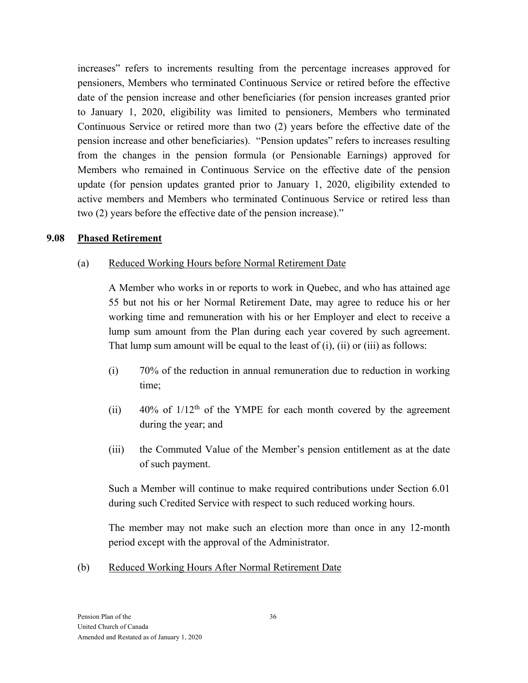increases" refers to increments resulting from the percentage increases approved for pensioners, Members who terminated Continuous Service or retired before the effective date of the pension increase and other beneficiaries (for pension increases granted prior to January 1, 2020, eligibility was limited to pensioners, Members who terminated Continuous Service or retired more than two (2) years before the effective date of the pension increase and other beneficiaries). "Pension updates" refers to increases resulting from the changes in the pension formula (or Pensionable Earnings) approved for Members who remained in Continuous Service on the effective date of the pension update (for pension updates granted prior to January 1, 2020, eligibility extended to active members and Members who terminated Continuous Service or retired less than two (2) years before the effective date of the pension increase)."

#### **9.08 Phased Retirement**

#### (a) Reduced Working Hours before Normal Retirement Date

A Member who works in or reports to work in Quebec, and who has attained age 55 but not his or her Normal Retirement Date, may agree to reduce his or her working time and remuneration with his or her Employer and elect to receive a lump sum amount from the Plan during each year covered by such agreement. That lump sum amount will be equal to the least of  $(i)$ ,  $(ii)$  or  $(iii)$  as follows:

- (i) 70% of the reduction in annual remuneration due to reduction in working time;
- (ii)  $40\%$  of  $1/12<sup>th</sup>$  of the YMPE for each month covered by the agreement during the year; and
- (iii) the Commuted Value of the Member's pension entitlement as at the date of such payment.

Such a Member will continue to make required contributions under Section 6.01 during such Credited Service with respect to such reduced working hours.

The member may not make such an election more than once in any 12-month period except with the approval of the Administrator.

(b) Reduced Working Hours After Normal Retirement Date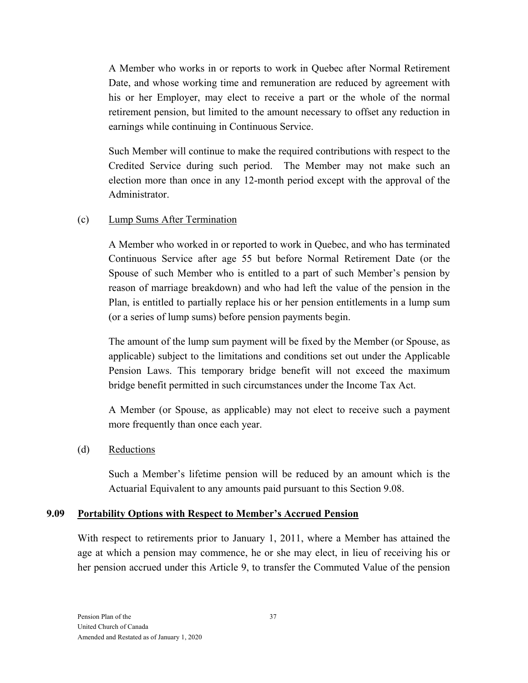A Member who works in or reports to work in Quebec after Normal Retirement Date, and whose working time and remuneration are reduced by agreement with his or her Employer, may elect to receive a part or the whole of the normal retirement pension, but limited to the amount necessary to offset any reduction in earnings while continuing in Continuous Service.

Such Member will continue to make the required contributions with respect to the Credited Service during such period. The Member may not make such an election more than once in any 12-month period except with the approval of the Administrator.

#### (c) Lump Sums After Termination

A Member who worked in or reported to work in Quebec, and who has terminated Continuous Service after age 55 but before Normal Retirement Date (or the Spouse of such Member who is entitled to a part of such Member's pension by reason of marriage breakdown) and who had left the value of the pension in the Plan, is entitled to partially replace his or her pension entitlements in a lump sum (or a series of lump sums) before pension payments begin.

The amount of the lump sum payment will be fixed by the Member (or Spouse, as applicable) subject to the limitations and conditions set out under the Applicable Pension Laws. This temporary bridge benefit will not exceed the maximum bridge benefit permitted in such circumstances under the Income Tax Act.

A Member (or Spouse, as applicable) may not elect to receive such a payment more frequently than once each year.

#### (d) Reductions

Such a Member's lifetime pension will be reduced by an amount which is the Actuarial Equivalent to any amounts paid pursuant to this Section 9.08.

#### **9.09 Portability Options with Respect to Member's Accrued Pension**

With respect to retirements prior to January 1, 2011, where a Member has attained the age at which a pension may commence, he or she may elect, in lieu of receiving his or her pension accrued under this Article 9, to transfer the Commuted Value of the pension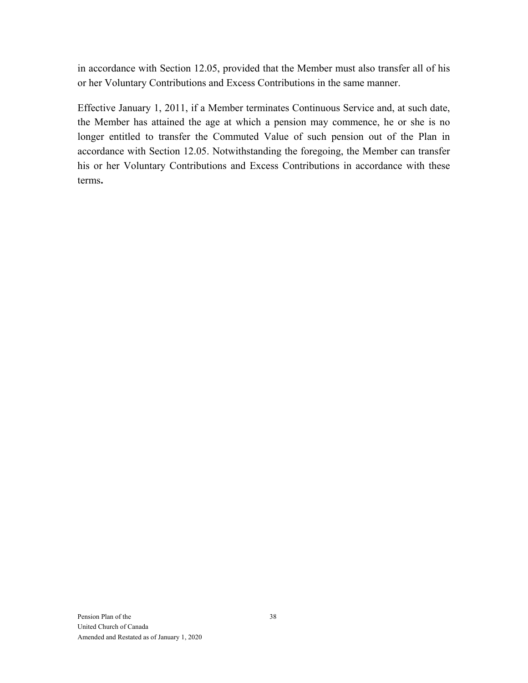in accordance with Section 12.05, provided that the Member must also transfer all of his or her Voluntary Contributions and Excess Contributions in the same manner.

Effective January 1, 2011, if a Member terminates Continuous Service and, at such date, the Member has attained the age at which a pension may commence, he or she is no longer entitled to transfer the Commuted Value of such pension out of the Plan in accordance with Section 12.05. Notwithstanding the foregoing, the Member can transfer his or her Voluntary Contributions and Excess Contributions in accordance with these terms**.**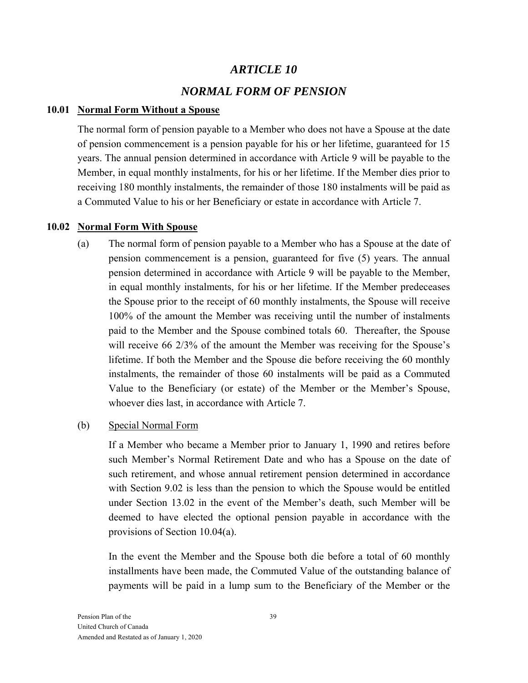# *ARTICLE 10 NORMAL FORM OF PENSION*

#### **10.01 Normal Form Without a Spouse**

The normal form of pension payable to a Member who does not have a Spouse at the date of pension commencement is a pension payable for his or her lifetime, guaranteed for 15 years. The annual pension determined in accordance with Article 9 will be payable to the Member, in equal monthly instalments, for his or her lifetime. If the Member dies prior to receiving 180 monthly instalments, the remainder of those 180 instalments will be paid as a Commuted Value to his or her Beneficiary or estate in accordance with Article 7.

#### **10.02 Normal Form With Spouse**

(a) The normal form of pension payable to a Member who has a Spouse at the date of pension commencement is a pension, guaranteed for five (5) years. The annual pension determined in accordance with Article 9 will be payable to the Member, in equal monthly instalments, for his or her lifetime. If the Member predeceases the Spouse prior to the receipt of 60 monthly instalments, the Spouse will receive 100% of the amount the Member was receiving until the number of instalments paid to the Member and the Spouse combined totals 60. Thereafter, the Spouse will receive 66 2/3% of the amount the Member was receiving for the Spouse's lifetime. If both the Member and the Spouse die before receiving the 60 monthly instalments, the remainder of those 60 instalments will be paid as a Commuted Value to the Beneficiary (or estate) of the Member or the Member's Spouse, whoever dies last, in accordance with Article 7.

#### (b) Special Normal Form

If a Member who became a Member prior to January 1, 1990 and retires before such Member's Normal Retirement Date and who has a Spouse on the date of such retirement, and whose annual retirement pension determined in accordance with Section 9.02 is less than the pension to which the Spouse would be entitled under Section 13.02 in the event of the Member's death, such Member will be deemed to have elected the optional pension payable in accordance with the provisions of Section 10.04(a).

In the event the Member and the Spouse both die before a total of 60 monthly installments have been made, the Commuted Value of the outstanding balance of payments will be paid in a lump sum to the Beneficiary of the Member or the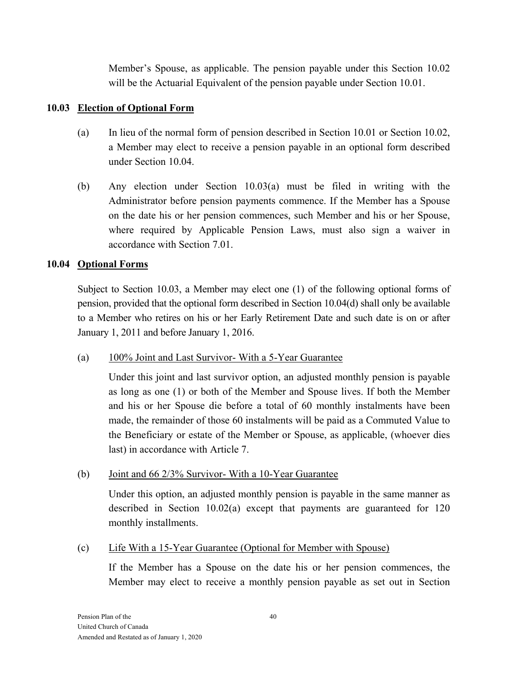Member's Spouse, as applicable. The pension payable under this Section 10.02 will be the Actuarial Equivalent of the pension payable under Section 10.01.

#### **10.03 Election of Optional Form**

- (a) In lieu of the normal form of pension described in Section 10.01 or Section 10.02, a Member may elect to receive a pension payable in an optional form described under Section 10.04.
- (b) Any election under Section 10.03(a) must be filed in writing with the Administrator before pension payments commence. If the Member has a Spouse on the date his or her pension commences, such Member and his or her Spouse, where required by Applicable Pension Laws, must also sign a waiver in accordance with Section 7.01.

#### **10.04 Optional Forms**

Subject to Section 10.03, a Member may elect one (1) of the following optional forms of pension, provided that the optional form described in Section 10.04(d) shall only be available to a Member who retires on his or her Early Retirement Date and such date is on or after January 1, 2011 and before January 1, 2016.

#### (a) 100% Joint and Last Survivor- With a 5-Year Guarantee

Under this joint and last survivor option, an adjusted monthly pension is payable as long as one (1) or both of the Member and Spouse lives. If both the Member and his or her Spouse die before a total of 60 monthly instalments have been made, the remainder of those 60 instalments will be paid as a Commuted Value to the Beneficiary or estate of the Member or Spouse, as applicable, (whoever dies last) in accordance with Article 7.

#### (b) Joint and 66 2/3% Survivor- With a 10-Year Guarantee

Under this option, an adjusted monthly pension is payable in the same manner as described in Section 10.02(a) except that payments are guaranteed for 120 monthly installments.

#### (c) Life With a 15-Year Guarantee (Optional for Member with Spouse)

If the Member has a Spouse on the date his or her pension commences, the Member may elect to receive a monthly pension payable as set out in Section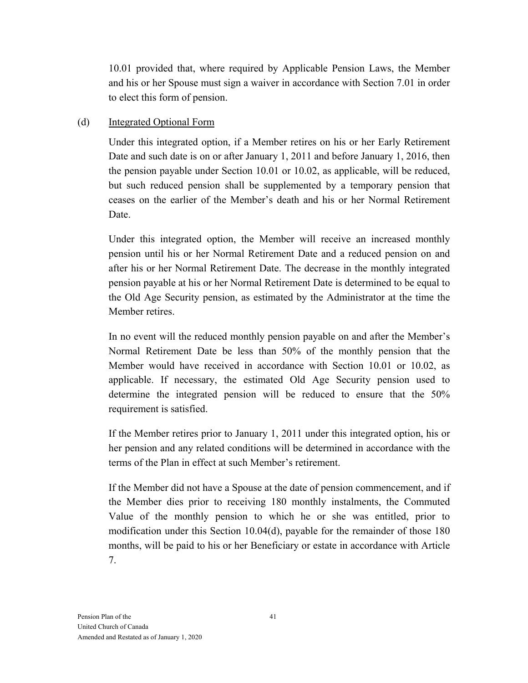10.01 provided that, where required by Applicable Pension Laws, the Member and his or her Spouse must sign a waiver in accordance with Section 7.01 in order to elect this form of pension.

#### (d) Integrated Optional Form

Under this integrated option, if a Member retires on his or her Early Retirement Date and such date is on or after January 1, 2011 and before January 1, 2016, then the pension payable under Section 10.01 or 10.02, as applicable, will be reduced, but such reduced pension shall be supplemented by a temporary pension that ceases on the earlier of the Member's death and his or her Normal Retirement Date.

Under this integrated option, the Member will receive an increased monthly pension until his or her Normal Retirement Date and a reduced pension on and after his or her Normal Retirement Date. The decrease in the monthly integrated pension payable at his or her Normal Retirement Date is determined to be equal to the Old Age Security pension, as estimated by the Administrator at the time the Member retires.

In no event will the reduced monthly pension payable on and after the Member's Normal Retirement Date be less than 50% of the monthly pension that the Member would have received in accordance with Section 10.01 or 10.02, as applicable. If necessary, the estimated Old Age Security pension used to determine the integrated pension will be reduced to ensure that the 50% requirement is satisfied.

If the Member retires prior to January 1, 2011 under this integrated option, his or her pension and any related conditions will be determined in accordance with the terms of the Plan in effect at such Member's retirement.

If the Member did not have a Spouse at the date of pension commencement, and if the Member dies prior to receiving 180 monthly instalments, the Commuted Value of the monthly pension to which he or she was entitled, prior to modification under this Section 10.04(d), payable for the remainder of those 180 months, will be paid to his or her Beneficiary or estate in accordance with Article 7.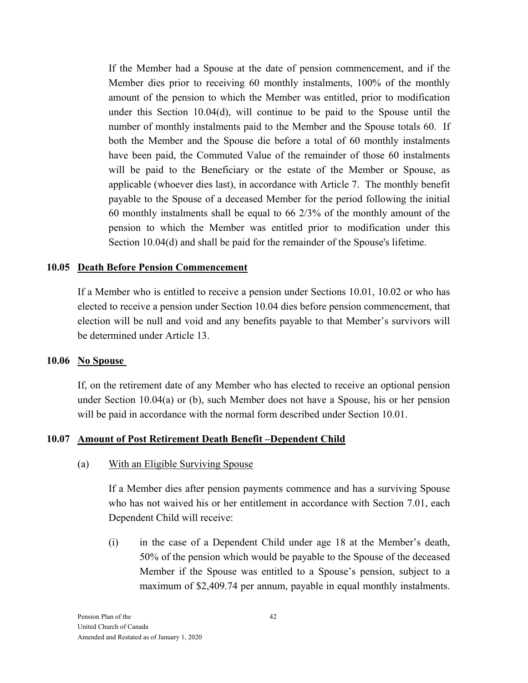If the Member had a Spouse at the date of pension commencement, and if the Member dies prior to receiving 60 monthly instalments, 100% of the monthly amount of the pension to which the Member was entitled, prior to modification under this Section 10.04(d), will continue to be paid to the Spouse until the number of monthly instalments paid to the Member and the Spouse totals 60. If both the Member and the Spouse die before a total of 60 monthly instalments have been paid, the Commuted Value of the remainder of those 60 instalments will be paid to the Beneficiary or the estate of the Member or Spouse, as applicable (whoever dies last), in accordance with Article 7. The monthly benefit payable to the Spouse of a deceased Member for the period following the initial 60 monthly instalments shall be equal to 66 2/3% of the monthly amount of the pension to which the Member was entitled prior to modification under this Section 10.04(d) and shall be paid for the remainder of the Spouse's lifetime.

#### **10.05 Death Before Pension Commencement**

If a Member who is entitled to receive a pension under Sections 10.01, 10.02 or who has elected to receive a pension under Section 10.04 dies before pension commencement, that election will be null and void and any benefits payable to that Member's survivors will be determined under Article 13.

#### **10.06 No Spouse**

If, on the retirement date of any Member who has elected to receive an optional pension under Section 10.04(a) or (b), such Member does not have a Spouse, his or her pension will be paid in accordance with the normal form described under Section 10.01.

#### **10.07 Amount of Post Retirement Death Benefit –Dependent Child**

(a) With an Eligible Surviving Spouse

If a Member dies after pension payments commence and has a surviving Spouse who has not waived his or her entitlement in accordance with Section 7.01, each Dependent Child will receive:

(i) in the case of a Dependent Child under age 18 at the Member's death, 50% of the pension which would be payable to the Spouse of the deceased Member if the Spouse was entitled to a Spouse's pension, subject to a maximum of \$2,409.74 per annum, payable in equal monthly instalments.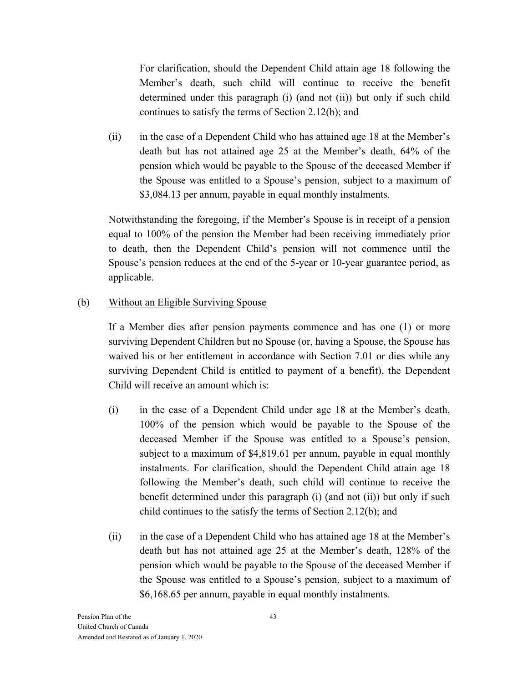For clarification, should the Dependent Child attain age 18 following the Member's death, such child will continue to receive the benefit determined under this paragraph (i) (and not (ii)) but only if such child continues to satisfy the terms of Section 2.12(b); and

(ii) in the case of a Dependent Child who has attained age 18 at the Member's death but has not attained age 25 at the Member's death, 64% of the pension which would be payable to the Spouse of the deceased Member if the Spouse was entitled to a Spouse's pension, subject to a maximum of \$3,084.13 per annum, payable in equal monthly instalments.

Notwithstanding the foregoing, if the Member's Spouse is in receipt of a pension equal to 100% of the pension the Member had been receiving immediately prior to death, then the Dependent Child's pension will not commence until the Spouse's pension reduces at the end of the 5-year or 10-year guarantee period, as applicable.

#### (b) Without an Eligible Surviving Spouse

If a Member dies after pension payments commence and has one (1) or more surviving Dependent Children but no Spouse (or, having a Spouse, the Spouse has waived his or her entitlement in accordance with Section 7.01 or dies while any surviving Dependent Child is entitled to payment of a benefit), the Dependent Child will receive an amount which is:

- (i) in the case of a Dependent Child under age 18 at the Member's death, 100% of the pension which would be payable to the Spouse of the deceased Member if the Spouse was entitled to a Spouse's pension, subject to a maximum of \$4,819.61 per annum, payable in equal monthly instalments. For clarification, should the Dependent Child attain age 18 following the Member's death, such child will continue to receive the benefit determined under this paragraph (i) (and not (ii)) but only if such child continues to the satisfy the terms of Section 2.12(b); and
- (ii) in the case of a Dependent Child who has attained age 18 at the Member's death but has not attained age 25 at the Member's death, 128% of the pension which would be payable to the Spouse of the deceased Member if the Spouse was entitled to a Spouse's pension, subject to a maximum of \$6,168.65 per annum, payable in equal monthly instalments.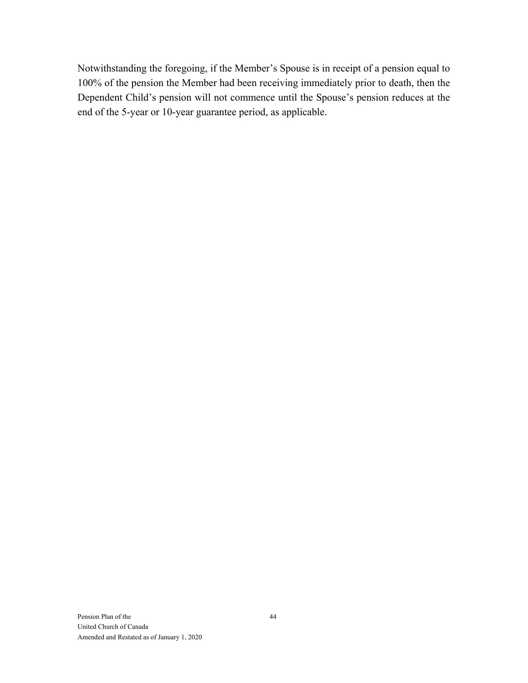Notwithstanding the foregoing, if the Member's Spouse is in receipt of a pension equal to 100% of the pension the Member had been receiving immediately prior to death, then the Dependent Child's pension will not commence until the Spouse's pension reduces at the end of the 5-year or 10-year guarantee period, as applicable.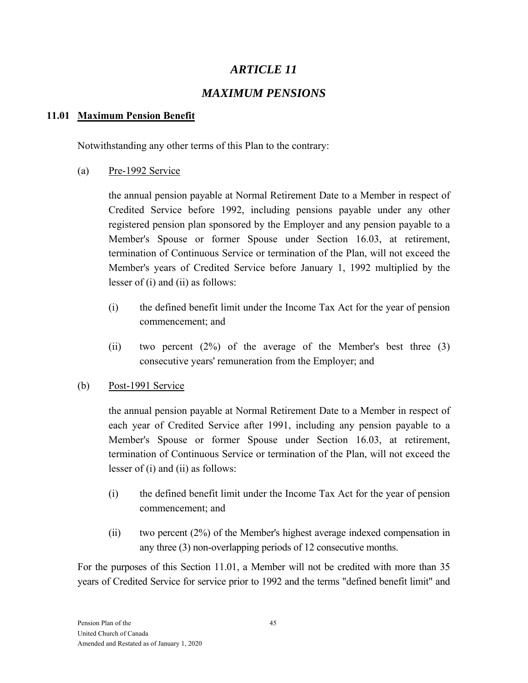# *MAXIMUM PENSIONS*

### **11.01 Maximum Pension Benefit**

Notwithstanding any other terms of this Plan to the contrary:

(a) Pre-1992 Service

the annual pension payable at Normal Retirement Date to a Member in respect of Credited Service before 1992, including pensions payable under any other registered pension plan sponsored by the Employer and any pension payable to a Member's Spouse or former Spouse under Section 16.03, at retirement, termination of Continuous Service or termination of the Plan, will not exceed the Member's years of Credited Service before January 1, 1992 multiplied by the lesser of (i) and (ii) as follows:

- (i) the defined benefit limit under the Income Tax Act for the year of pension commencement; and
- (ii) two percent  $(2\%)$  of the average of the Member's best three  $(3)$ consecutive years' remuneration from the Employer; and
- (b) Post-1991 Service

the annual pension payable at Normal Retirement Date to a Member in respect of each year of Credited Service after 1991, including any pension payable to a Member's Spouse or former Spouse under Section 16.03, at retirement, termination of Continuous Service or termination of the Plan, will not exceed the lesser of (i) and (ii) as follows:

- (i) the defined benefit limit under the Income Tax Act for the year of pension commencement; and
- (ii) two percent (2%) of the Member's highest average indexed compensation in any three (3) non-overlapping periods of 12 consecutive months.

For the purposes of this Section 11.01, a Member will not be credited with more than 35 years of Credited Service for service prior to 1992 and the terms "defined benefit limit" and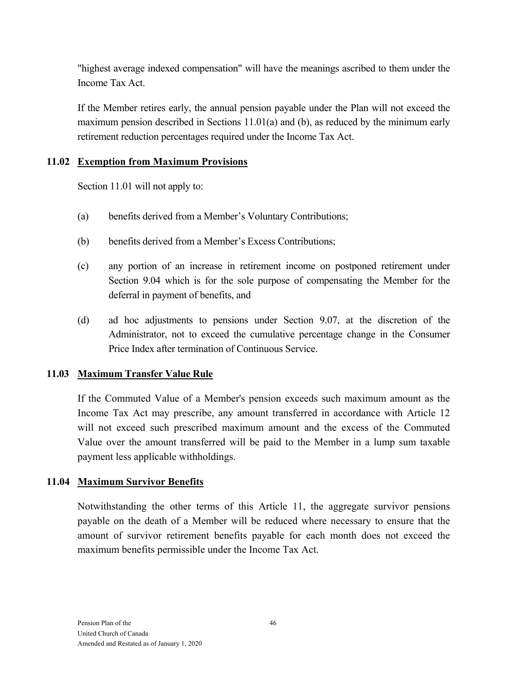"highest average indexed compensation" will have the meanings ascribed to them under the Income Tax Act.

If the Member retires early, the annual pension payable under the Plan will not exceed the maximum pension described in Sections 11.01(a) and (b), as reduced by the minimum early retirement reduction percentages required under the Income Tax Act.

### **11.02 Exemption from Maximum Provisions**

Section 11.01 will not apply to:

- (a) benefits derived from a Member's Voluntary Contributions;
- (b) benefits derived from a Member's Excess Contributions;
- (c) any portion of an increase in retirement income on postponed retirement under Section 9.04 which is for the sole purpose of compensating the Member for the deferral in payment of benefits, and
- (d) ad hoc adjustments to pensions under Section 9.07, at the discretion of the Administrator, not to exceed the cumulative percentage change in the Consumer Price Index after termination of Continuous Service.

### **11.03 Maximum Transfer Value Rule**

If the Commuted Value of a Member's pension exceeds such maximum amount as the Income Tax Act may prescribe, any amount transferred in accordance with Article 12 will not exceed such prescribed maximum amount and the excess of the Commuted Value over the amount transferred will be paid to the Member in a lump sum taxable payment less applicable withholdings.

### **11.04 Maximum Survivor Benefits**

Notwithstanding the other terms of this Article 11, the aggregate survivor pensions payable on the death of a Member will be reduced where necessary to ensure that the amount of survivor retirement benefits payable for each month does not exceed the maximum benefits permissible under the Income Tax Act.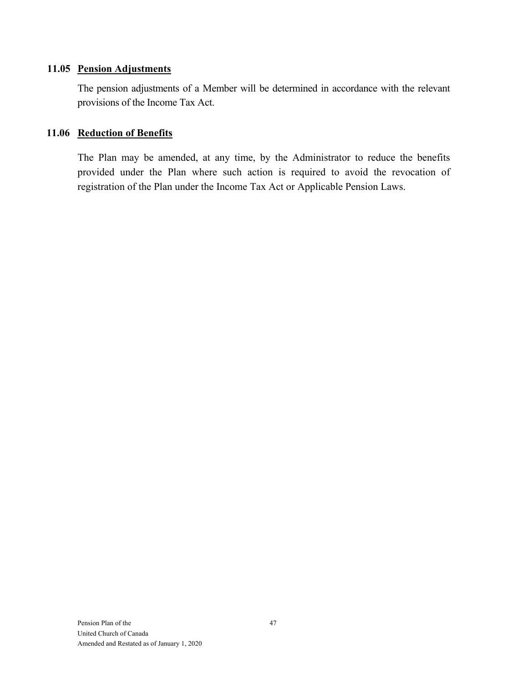#### **11.05 Pension Adjustments**

The pension adjustments of a Member will be determined in accordance with the relevant provisions of the Income Tax Act.

#### **11.06 Reduction of Benefits**

The Plan may be amended, at any time, by the Administrator to reduce the benefits provided under the Plan where such action is required to avoid the revocation of registration of the Plan under the Income Tax Act or Applicable Pension Laws.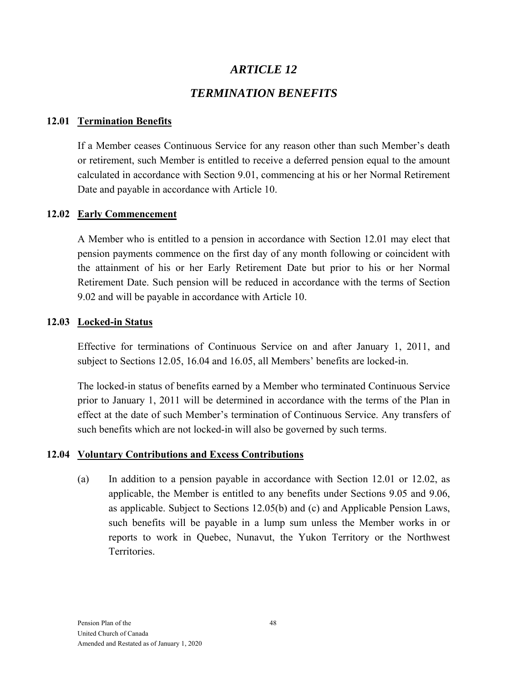# *TERMINATION BENEFITS*

#### **12.01 Termination Benefits**

If a Member ceases Continuous Service for any reason other than such Member's death or retirement, such Member is entitled to receive a deferred pension equal to the amount calculated in accordance with Section 9.01, commencing at his or her Normal Retirement Date and payable in accordance with Article 10.

#### **12.02 Early Commencement**

A Member who is entitled to a pension in accordance with Section 12.01 may elect that pension payments commence on the first day of any month following or coincident with the attainment of his or her Early Retirement Date but prior to his or her Normal Retirement Date. Such pension will be reduced in accordance with the terms of Section 9.02 and will be payable in accordance with Article 10.

#### **12.03 Locked-in Status**

Effective for terminations of Continuous Service on and after January 1, 2011, and subject to Sections 12.05, 16.04 and 16.05, all Members' benefits are locked-in.

The locked-in status of benefits earned by a Member who terminated Continuous Service prior to January 1, 2011 will be determined in accordance with the terms of the Plan in effect at the date of such Member's termination of Continuous Service. Any transfers of such benefits which are not locked-in will also be governed by such terms.

#### **12.04 Voluntary Contributions and Excess Contributions**

(a) In addition to a pension payable in accordance with Section 12.01 or 12.02, as applicable, the Member is entitled to any benefits under Sections 9.05 and 9.06, as applicable. Subject to Sections 12.05(b) and (c) and Applicable Pension Laws, such benefits will be payable in a lump sum unless the Member works in or reports to work in Quebec, Nunavut, the Yukon Territory or the Northwest Territories.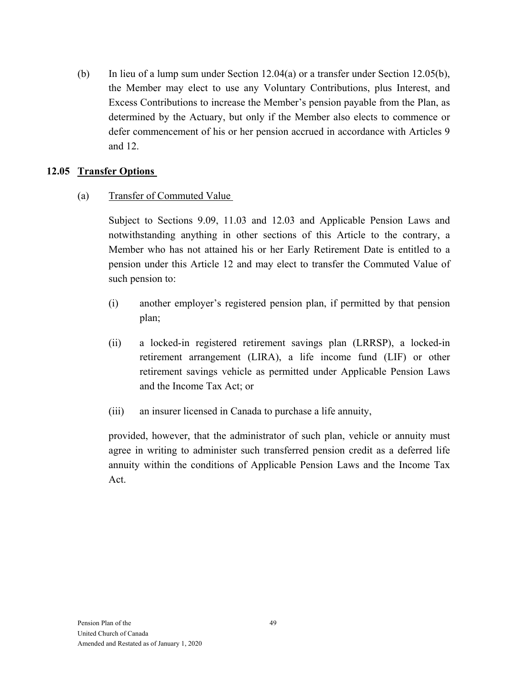(b) In lieu of a lump sum under Section 12.04(a) or a transfer under Section 12.05(b), the Member may elect to use any Voluntary Contributions, plus Interest, and Excess Contributions to increase the Member's pension payable from the Plan, as determined by the Actuary, but only if the Member also elects to commence or defer commencement of his or her pension accrued in accordance with Articles 9 and 12.

#### **12.05 Transfer Options**

#### (a) Transfer of Commuted Value

Subject to Sections 9.09, 11.03 and 12.03 and Applicable Pension Laws and notwithstanding anything in other sections of this Article to the contrary, a Member who has not attained his or her Early Retirement Date is entitled to a pension under this Article 12 and may elect to transfer the Commuted Value of such pension to:

- (i) another employer's registered pension plan, if permitted by that pension plan;
- (ii) a locked-in registered retirement savings plan (LRRSP), a locked-in retirement arrangement (LIRA), a life income fund (LIF) or other retirement savings vehicle as permitted under Applicable Pension Laws and the Income Tax Act; or
- (iii) an insurer licensed in Canada to purchase a life annuity,

provided, however, that the administrator of such plan, vehicle or annuity must agree in writing to administer such transferred pension credit as a deferred life annuity within the conditions of Applicable Pension Laws and the Income Tax Act.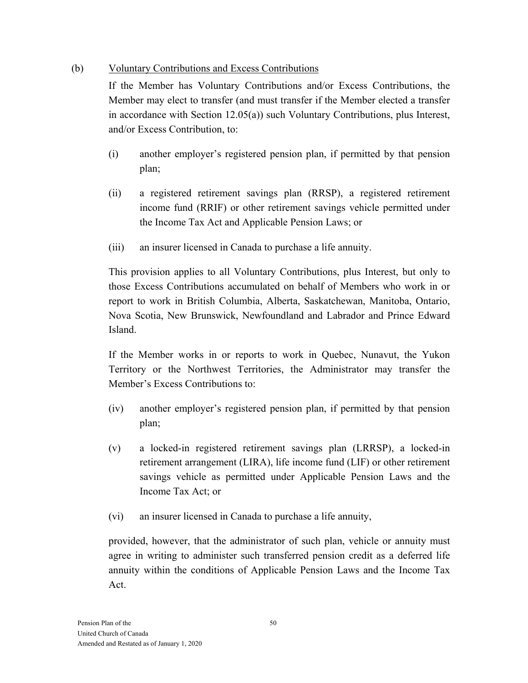### (b) Voluntary Contributions and Excess Contributions

If the Member has Voluntary Contributions and/or Excess Contributions, the Member may elect to transfer (and must transfer if the Member elected a transfer in accordance with Section 12.05(a)) such Voluntary Contributions, plus Interest, and/or Excess Contribution, to:

- (i) another employer's registered pension plan, if permitted by that pension plan;
- (ii) a registered retirement savings plan (RRSP), a registered retirement income fund (RRIF) or other retirement savings vehicle permitted under the Income Tax Act and Applicable Pension Laws; or
- (iii) an insurer licensed in Canada to purchase a life annuity.

This provision applies to all Voluntary Contributions, plus Interest, but only to those Excess Contributions accumulated on behalf of Members who work in or report to work in British Columbia, Alberta, Saskatchewan, Manitoba, Ontario, Nova Scotia, New Brunswick, Newfoundland and Labrador and Prince Edward Island.

If the Member works in or reports to work in Quebec, Nunavut, the Yukon Territory or the Northwest Territories, the Administrator may transfer the Member's Excess Contributions to:

- (iv) another employer's registered pension plan, if permitted by that pension plan;
- (v) a locked-in registered retirement savings plan (LRRSP), a locked-in retirement arrangement (LIRA), life income fund (LIF) or other retirement savings vehicle as permitted under Applicable Pension Laws and the Income Tax Act; or
- (vi) an insurer licensed in Canada to purchase a life annuity,

provided, however, that the administrator of such plan, vehicle or annuity must agree in writing to administer such transferred pension credit as a deferred life annuity within the conditions of Applicable Pension Laws and the Income Tax Act.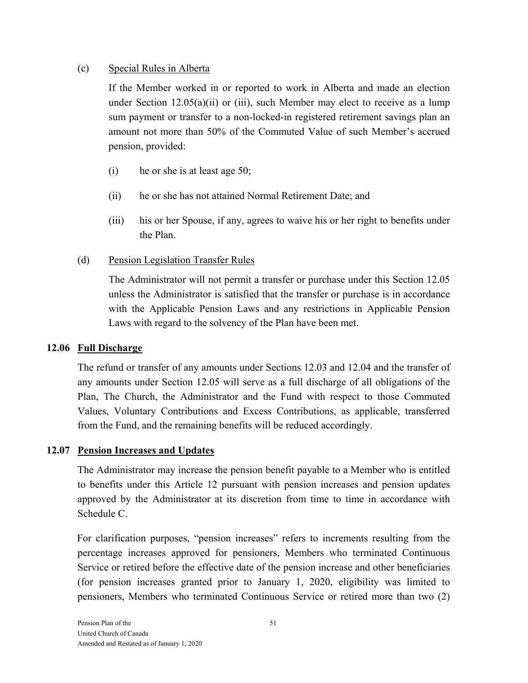#### (c) Special Rules in Alberta

If the Member worked in or reported to work in Alberta and made an election under Section  $12.05(a)(ii)$  or (iii), such Member may elect to receive as a lump sum payment or transfer to a non-locked-in registered retirement savings plan an amount not more than 50% of the Commuted Value of such Member's accrued pension, provided:

- (i) he or she is at least age 50;
- (ii) he or she has not attained Normal Retirement Date; and
- (iii) his or her Spouse, if any, agrees to waive his or her right to benefits under the Plan.

### (d) Pension Legislation Transfer Rules

The Administrator will not permit a transfer or purchase under this Section 12.05 unless the Administrator is satisfied that the transfer or purchase is in accordance with the Applicable Pension Laws and any restrictions in Applicable Pension Laws with regard to the solvency of the Plan have been met.

#### **12.06 Full Discharge**

The refund or transfer of any amounts under Sections 12.03 and 12.04 and the transfer of any amounts under Section 12.05 will serve as a full discharge of all obligations of the Plan, The Church, the Administrator and the Fund with respect to those Commuted Values, Voluntary Contributions and Excess Contributions, as applicable, transferred from the Fund, and the remaining benefits will be reduced accordingly.

### **12.07 Pension Increases and Updates**

The Administrator may increase the pension benefit payable to a Member who is entitled to benefits under this Article 12 pursuant with pension increases and pension updates approved by the Administrator at its discretion from time to time in accordance with Schedule C.

For clarification purposes, "pension increases" refers to increments resulting from the percentage increases approved for pensioners, Members who terminated Continuous Service or retired before the effective date of the pension increase and other beneficiaries (for pension increases granted prior to January 1, 2020, eligibility was limited to pensioners, Members who terminated Continuous Service or retired more than two (2)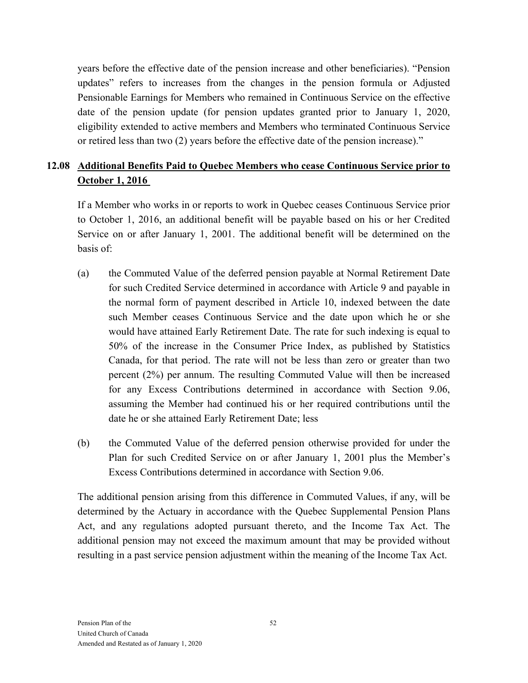years before the effective date of the pension increase and other beneficiaries). "Pension updates" refers to increases from the changes in the pension formula or Adjusted Pensionable Earnings for Members who remained in Continuous Service on the effective date of the pension update (for pension updates granted prior to January 1, 2020, eligibility extended to active members and Members who terminated Continuous Service or retired less than two (2) years before the effective date of the pension increase)."

# **12.08 Additional Benefits Paid to Quebec Members who cease Continuous Service prior to October 1, 2016**

If a Member who works in or reports to work in Quebec ceases Continuous Service prior to October 1, 2016, an additional benefit will be payable based on his or her Credited Service on or after January 1, 2001. The additional benefit will be determined on the basis of:

- (a) the Commuted Value of the deferred pension payable at Normal Retirement Date for such Credited Service determined in accordance with Article 9 and payable in the normal form of payment described in Article 10, indexed between the date such Member ceases Continuous Service and the date upon which he or she would have attained Early Retirement Date. The rate for such indexing is equal to 50% of the increase in the Consumer Price Index, as published by Statistics Canada, for that period. The rate will not be less than zero or greater than two percent (2%) per annum. The resulting Commuted Value will then be increased for any Excess Contributions determined in accordance with Section 9.06, assuming the Member had continued his or her required contributions until the date he or she attained Early Retirement Date; less
- (b) the Commuted Value of the deferred pension otherwise provided for under the Plan for such Credited Service on or after January 1, 2001 plus the Member's Excess Contributions determined in accordance with Section 9.06.

The additional pension arising from this difference in Commuted Values, if any, will be determined by the Actuary in accordance with the Quebec Supplemental Pension Plans Act, and any regulations adopted pursuant thereto, and the Income Tax Act. The additional pension may not exceed the maximum amount that may be provided without resulting in a past service pension adjustment within the meaning of the Income Tax Act.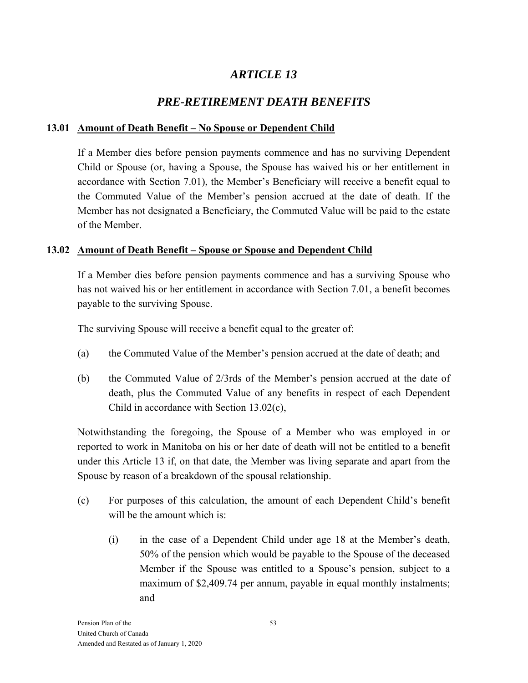# *PRE-RETIREMENT DEATH BENEFITS*

### **13.01 Amount of Death Benefit – No Spouse or Dependent Child**

If a Member dies before pension payments commence and has no surviving Dependent Child or Spouse (or, having a Spouse, the Spouse has waived his or her entitlement in accordance with Section 7.01), the Member's Beneficiary will receive a benefit equal to the Commuted Value of the Member's pension accrued at the date of death. If the Member has not designated a Beneficiary, the Commuted Value will be paid to the estate of the Member.

### **13.02 Amount of Death Benefit – Spouse or Spouse and Dependent Child**

If a Member dies before pension payments commence and has a surviving Spouse who has not waived his or her entitlement in accordance with Section 7.01, a benefit becomes payable to the surviving Spouse.

The surviving Spouse will receive a benefit equal to the greater of:

- (a) the Commuted Value of the Member's pension accrued at the date of death; and
- (b) the Commuted Value of 2/3rds of the Member's pension accrued at the date of death, plus the Commuted Value of any benefits in respect of each Dependent Child in accordance with Section 13.02(c),

Notwithstanding the foregoing, the Spouse of a Member who was employed in or reported to work in Manitoba on his or her date of death will not be entitled to a benefit under this Article 13 if, on that date, the Member was living separate and apart from the Spouse by reason of a breakdown of the spousal relationship.

- (c) For purposes of this calculation, the amount of each Dependent Child's benefit will be the amount which is:
	- (i) in the case of a Dependent Child under age 18 at the Member's death, 50% of the pension which would be payable to the Spouse of the deceased Member if the Spouse was entitled to a Spouse's pension, subject to a maximum of \$2,409.74 per annum, payable in equal monthly instalments; and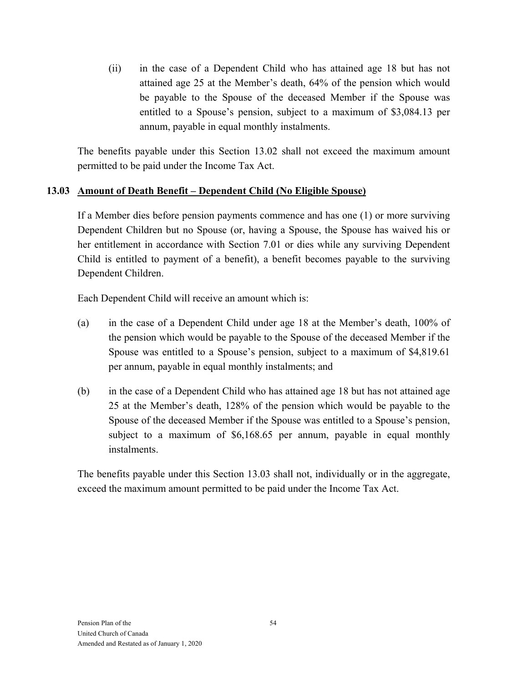(ii) in the case of a Dependent Child who has attained age 18 but has not attained age 25 at the Member's death, 64% of the pension which would be payable to the Spouse of the deceased Member if the Spouse was entitled to a Spouse's pension, subject to a maximum of \$3,084.13 per annum, payable in equal monthly instalments.

The benefits payable under this Section 13.02 shall not exceed the maximum amount permitted to be paid under the Income Tax Act.

#### **13.03 Amount of Death Benefit – Dependent Child (No Eligible Spouse)**

If a Member dies before pension payments commence and has one (1) or more surviving Dependent Children but no Spouse (or, having a Spouse, the Spouse has waived his or her entitlement in accordance with Section 7.01 or dies while any surviving Dependent Child is entitled to payment of a benefit), a benefit becomes payable to the surviving Dependent Children.

Each Dependent Child will receive an amount which is:

- (a) in the case of a Dependent Child under age 18 at the Member's death, 100% of the pension which would be payable to the Spouse of the deceased Member if the Spouse was entitled to a Spouse's pension, subject to a maximum of \$4,819.61 per annum, payable in equal monthly instalments; and
- (b) in the case of a Dependent Child who has attained age 18 but has not attained age 25 at the Member's death, 128% of the pension which would be payable to the Spouse of the deceased Member if the Spouse was entitled to a Spouse's pension, subject to a maximum of \$6,168.65 per annum, payable in equal monthly instalments.

The benefits payable under this Section 13.03 shall not, individually or in the aggregate, exceed the maximum amount permitted to be paid under the Income Tax Act.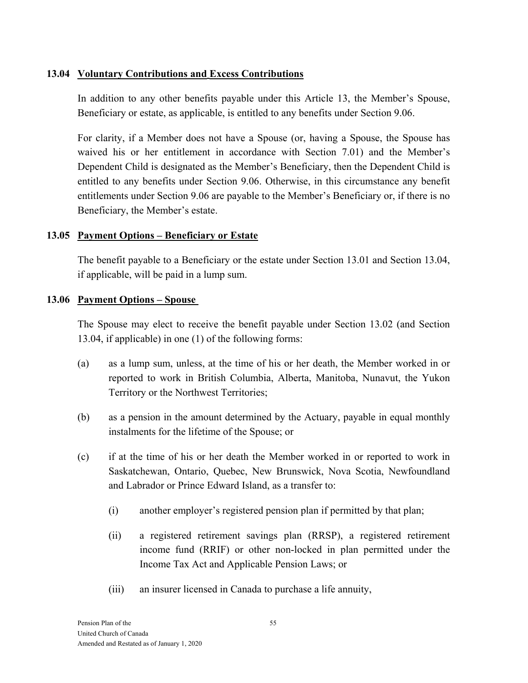#### **13.04 Voluntary Contributions and Excess Contributions**

In addition to any other benefits payable under this Article 13, the Member's Spouse, Beneficiary or estate, as applicable, is entitled to any benefits under Section 9.06.

For clarity, if a Member does not have a Spouse (or, having a Spouse, the Spouse has waived his or her entitlement in accordance with Section 7.01) and the Member's Dependent Child is designated as the Member's Beneficiary, then the Dependent Child is entitled to any benefits under Section 9.06. Otherwise, in this circumstance any benefit entitlements under Section 9.06 are payable to the Member's Beneficiary or, if there is no Beneficiary, the Member's estate.

#### **13.05 Payment Options – Beneficiary or Estate**

The benefit payable to a Beneficiary or the estate under Section 13.01 and Section 13.04, if applicable, will be paid in a lump sum.

#### **13.06 Payment Options – Spouse**

The Spouse may elect to receive the benefit payable under Section 13.02 (and Section 13.04, if applicable) in one (1) of the following forms:

- (a) as a lump sum, unless, at the time of his or her death, the Member worked in or reported to work in British Columbia, Alberta, Manitoba, Nunavut, the Yukon Territory or the Northwest Territories;
- (b) as a pension in the amount determined by the Actuary, payable in equal monthly instalments for the lifetime of the Spouse; or
- (c) if at the time of his or her death the Member worked in or reported to work in Saskatchewan, Ontario, Quebec, New Brunswick, Nova Scotia, Newfoundland and Labrador or Prince Edward Island, as a transfer to:
	- (i) another employer's registered pension plan if permitted by that plan;
	- (ii) a registered retirement savings plan (RRSP), a registered retirement income fund (RRIF) or other non-locked in plan permitted under the Income Tax Act and Applicable Pension Laws; or
	- (iii) an insurer licensed in Canada to purchase a life annuity,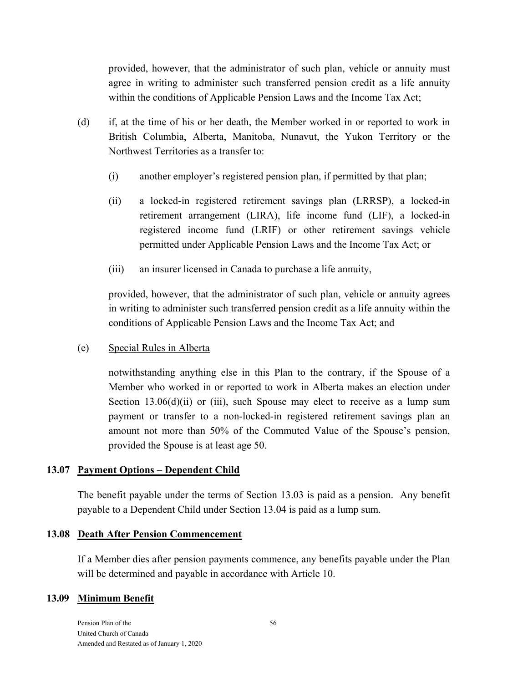provided, however, that the administrator of such plan, vehicle or annuity must agree in writing to administer such transferred pension credit as a life annuity within the conditions of Applicable Pension Laws and the Income Tax Act;

- (d) if, at the time of his or her death, the Member worked in or reported to work in British Columbia, Alberta, Manitoba, Nunavut, the Yukon Territory or the Northwest Territories as a transfer to:
	- (i) another employer's registered pension plan, if permitted by that plan;
	- (ii) a locked-in registered retirement savings plan (LRRSP), a locked-in retirement arrangement (LIRA), life income fund (LIF), a locked-in registered income fund (LRIF) or other retirement savings vehicle permitted under Applicable Pension Laws and the Income Tax Act; or
	- (iii) an insurer licensed in Canada to purchase a life annuity,

provided, however, that the administrator of such plan, vehicle or annuity agrees in writing to administer such transferred pension credit as a life annuity within the conditions of Applicable Pension Laws and the Income Tax Act; and

(e) Special Rules in Alberta

notwithstanding anything else in this Plan to the contrary, if the Spouse of a Member who worked in or reported to work in Alberta makes an election under Section  $13.06(d)(ii)$  or (iii), such Spouse may elect to receive as a lump sum payment or transfer to a non-locked-in registered retirement savings plan an amount not more than 50% of the Commuted Value of the Spouse's pension, provided the Spouse is at least age 50.

#### **13.07 Payment Options – Dependent Child**

The benefit payable under the terms of Section 13.03 is paid as a pension. Any benefit payable to a Dependent Child under Section 13.04 is paid as a lump sum.

#### **13.08 Death After Pension Commencement**

If a Member dies after pension payments commence, any benefits payable under the Plan will be determined and payable in accordance with Article 10.

#### **13.09 Minimum Benefit**

Pension Plan of the United Church of Canada Amended and Restated as of January 1, 2020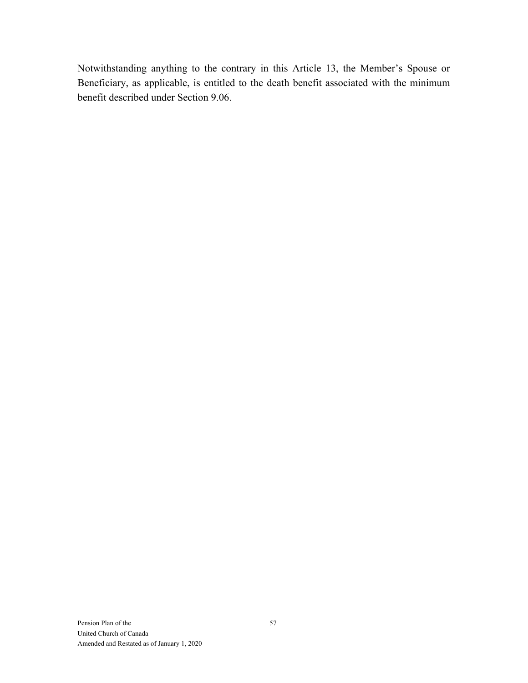Notwithstanding anything to the contrary in this Article 13, the Member's Spouse or Beneficiary, as applicable, is entitled to the death benefit associated with the minimum benefit described under Section 9.06.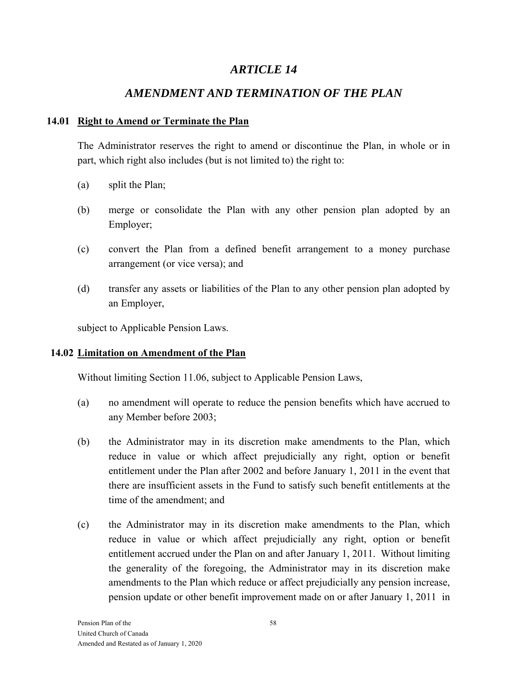# *AMENDMENT AND TERMINATION OF THE PLAN*

### **14.01 Right to Amend or Terminate the Plan**

The Administrator reserves the right to amend or discontinue the Plan, in whole or in part, which right also includes (but is not limited to) the right to:

- (a) split the Plan;
- (b) merge or consolidate the Plan with any other pension plan adopted by an Employer;
- (c) convert the Plan from a defined benefit arrangement to a money purchase arrangement (or vice versa); and
- (d) transfer any assets or liabilities of the Plan to any other pension plan adopted by an Employer,

subject to Applicable Pension Laws.

#### **14.02 Limitation on Amendment of the Plan**

Without limiting Section 11.06, subject to Applicable Pension Laws,

- (a) no amendment will operate to reduce the pension benefits which have accrued to any Member before 2003;
- (b) the Administrator may in its discretion make amendments to the Plan, which reduce in value or which affect prejudicially any right, option or benefit entitlement under the Plan after 2002 and before January 1, 2011 in the event that there are insufficient assets in the Fund to satisfy such benefit entitlements at the time of the amendment; and
- (c) the Administrator may in its discretion make amendments to the Plan, which reduce in value or which affect prejudicially any right, option or benefit entitlement accrued under the Plan on and after January 1, 2011. Without limiting the generality of the foregoing, the Administrator may in its discretion make amendments to the Plan which reduce or affect prejudicially any pension increase, pension update or other benefit improvement made on or after January 1, 2011 in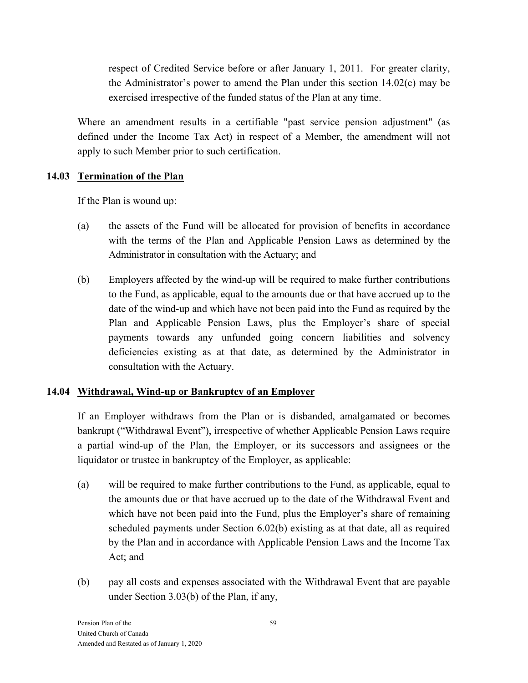respect of Credited Service before or after January 1, 2011. For greater clarity, the Administrator's power to amend the Plan under this section 14.02(c) may be exercised irrespective of the funded status of the Plan at any time.

Where an amendment results in a certifiable "past service pension adjustment" (as defined under the Income Tax Act) in respect of a Member, the amendment will not apply to such Member prior to such certification.

### **14.03 Termination of the Plan**

If the Plan is wound up:

- (a) the assets of the Fund will be allocated for provision of benefits in accordance with the terms of the Plan and Applicable Pension Laws as determined by the Administrator in consultation with the Actuary; and
- (b) Employers affected by the wind-up will be required to make further contributions to the Fund, as applicable, equal to the amounts due or that have accrued up to the date of the wind-up and which have not been paid into the Fund as required by the Plan and Applicable Pension Laws, plus the Employer's share of special payments towards any unfunded going concern liabilities and solvency deficiencies existing as at that date, as determined by the Administrator in consultation with the Actuary.

### **14.04 Withdrawal, Wind-up or Bankruptcy of an Employer**

If an Employer withdraws from the Plan or is disbanded, amalgamated or becomes bankrupt ("Withdrawal Event"), irrespective of whether Applicable Pension Laws require a partial wind-up of the Plan, the Employer, or its successors and assignees or the liquidator or trustee in bankruptcy of the Employer, as applicable:

- (a) will be required to make further contributions to the Fund, as applicable, equal to the amounts due or that have accrued up to the date of the Withdrawal Event and which have not been paid into the Fund, plus the Employer's share of remaining scheduled payments under Section 6.02(b) existing as at that date, all as required by the Plan and in accordance with Applicable Pension Laws and the Income Tax Act; and
- (b) pay all costs and expenses associated with the Withdrawal Event that are payable under Section 3.03(b) of the Plan, if any,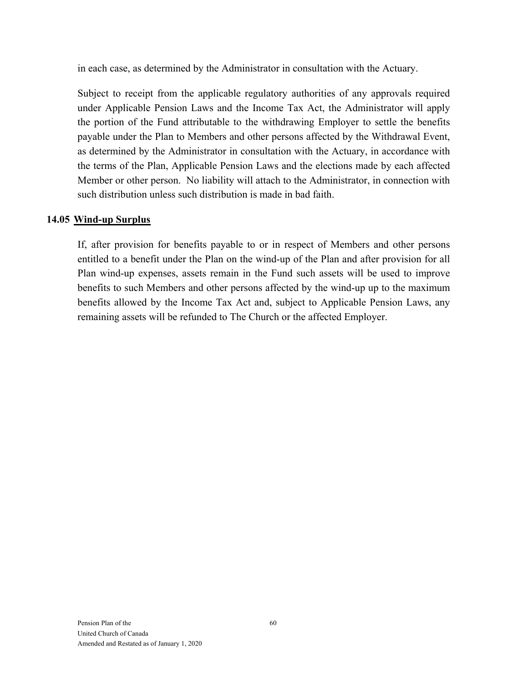in each case, as determined by the Administrator in consultation with the Actuary.

Subject to receipt from the applicable regulatory authorities of any approvals required under Applicable Pension Laws and the Income Tax Act, the Administrator will apply the portion of the Fund attributable to the withdrawing Employer to settle the benefits payable under the Plan to Members and other persons affected by the Withdrawal Event, as determined by the Administrator in consultation with the Actuary, in accordance with the terms of the Plan, Applicable Pension Laws and the elections made by each affected Member or other person. No liability will attach to the Administrator, in connection with such distribution unless such distribution is made in bad faith.

#### **14.05 Wind-up Surplus**

If, after provision for benefits payable to or in respect of Members and other persons entitled to a benefit under the Plan on the wind-up of the Plan and after provision for all Plan wind-up expenses, assets remain in the Fund such assets will be used to improve benefits to such Members and other persons affected by the wind-up up to the maximum benefits allowed by the Income Tax Act and, subject to Applicable Pension Laws, any remaining assets will be refunded to The Church or the affected Employer.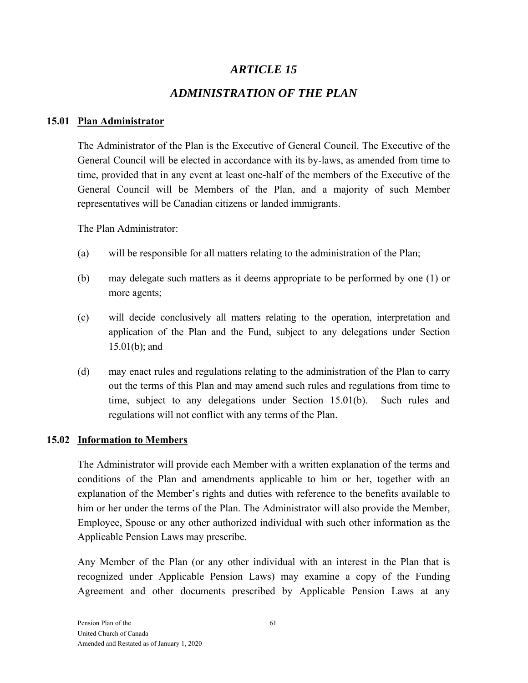# *ADMINISTRATION OF THE PLAN*

### **15.01 Plan Administrator**

The Administrator of the Plan is the Executive of General Council. The Executive of the General Council will be elected in accordance with its by-laws, as amended from time to time, provided that in any event at least one-half of the members of the Executive of the General Council will be Members of the Plan, and a majority of such Member representatives will be Canadian citizens or landed immigrants.

The Plan Administrator:

- (a) will be responsible for all matters relating to the administration of the Plan;
- (b) may delegate such matters as it deems appropriate to be performed by one (1) or more agents;
- (c) will decide conclusively all matters relating to the operation, interpretation and application of the Plan and the Fund, subject to any delegations under Section 15.01(b); and
- (d) may enact rules and regulations relating to the administration of the Plan to carry out the terms of this Plan and may amend such rules and regulations from time to time, subject to any delegations under Section 15.01(b). Such rules and regulations will not conflict with any terms of the Plan.

### **15.02 Information to Members**

The Administrator will provide each Member with a written explanation of the terms and conditions of the Plan and amendments applicable to him or her, together with an explanation of the Member's rights and duties with reference to the benefits available to him or her under the terms of the Plan. The Administrator will also provide the Member, Employee, Spouse or any other authorized individual with such other information as the Applicable Pension Laws may prescribe.

Any Member of the Plan (or any other individual with an interest in the Plan that is recognized under Applicable Pension Laws) may examine a copy of the Funding Agreement and other documents prescribed by Applicable Pension Laws at any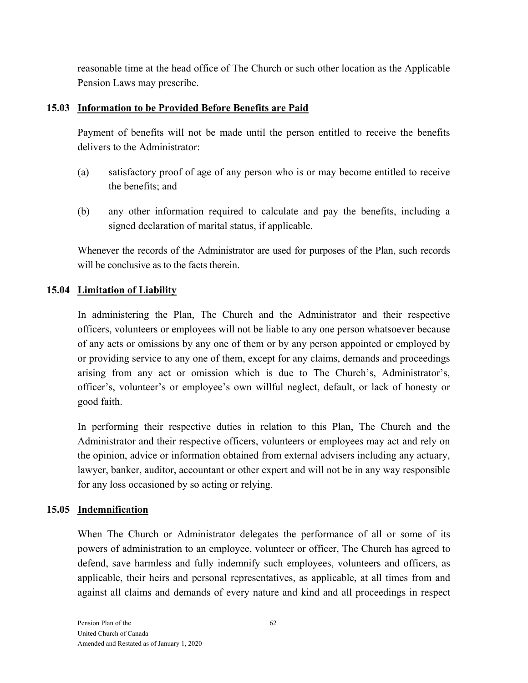reasonable time at the head office of The Church or such other location as the Applicable Pension Laws may prescribe.

#### **15.03 Information to be Provided Before Benefits are Paid**

Payment of benefits will not be made until the person entitled to receive the benefits delivers to the Administrator:

- (a) satisfactory proof of age of any person who is or may become entitled to receive the benefits; and
- (b) any other information required to calculate and pay the benefits, including a signed declaration of marital status, if applicable.

Whenever the records of the Administrator are used for purposes of the Plan, such records will be conclusive as to the facts therein.

### **15.04 Limitation of Liability**

In administering the Plan, The Church and the Administrator and their respective officers, volunteers or employees will not be liable to any one person whatsoever because of any acts or omissions by any one of them or by any person appointed or employed by or providing service to any one of them, except for any claims, demands and proceedings arising from any act or omission which is due to The Church's, Administrator's, officer's, volunteer's or employee's own willful neglect, default, or lack of honesty or good faith.

In performing their respective duties in relation to this Plan, The Church and the Administrator and their respective officers, volunteers or employees may act and rely on the opinion, advice or information obtained from external advisers including any actuary, lawyer, banker, auditor, accountant or other expert and will not be in any way responsible for any loss occasioned by so acting or relying.

### **15.05 Indemnification**

When The Church or Administrator delegates the performance of all or some of its powers of administration to an employee, volunteer or officer, The Church has agreed to defend, save harmless and fully indemnify such employees, volunteers and officers, as applicable, their heirs and personal representatives, as applicable, at all times from and against all claims and demands of every nature and kind and all proceedings in respect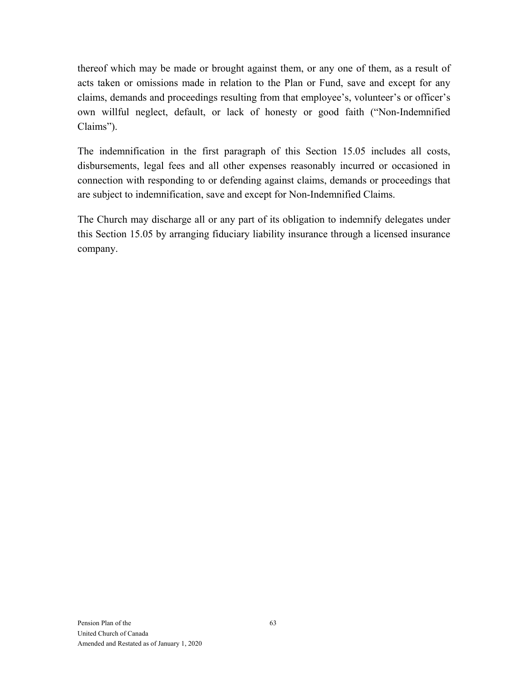thereof which may be made or brought against them, or any one of them, as a result of acts taken or omissions made in relation to the Plan or Fund, save and except for any claims, demands and proceedings resulting from that employee's, volunteer's or officer's own willful neglect, default, or lack of honesty or good faith ("Non-Indemnified Claims").

The indemnification in the first paragraph of this Section 15.05 includes all costs, disbursements, legal fees and all other expenses reasonably incurred or occasioned in connection with responding to or defending against claims, demands or proceedings that are subject to indemnification, save and except for Non-Indemnified Claims.

The Church may discharge all or any part of its obligation to indemnify delegates under this Section 15.05 by arranging fiduciary liability insurance through a licensed insurance company.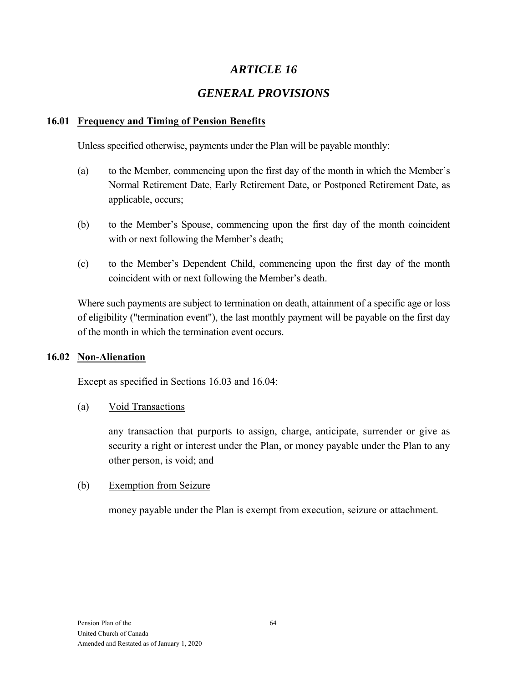# *ARTICLE 16*

# *GENERAL PROVISIONS*

#### **16.01 Frequency and Timing of Pension Benefits**

Unless specified otherwise, payments under the Plan will be payable monthly:

- (a) to the Member, commencing upon the first day of the month in which the Member's Normal Retirement Date, Early Retirement Date, or Postponed Retirement Date, as applicable, occurs;
- (b) to the Member's Spouse, commencing upon the first day of the month coincident with or next following the Member's death;
- (c) to the Member's Dependent Child, commencing upon the first day of the month coincident with or next following the Member's death.

Where such payments are subject to termination on death, attainment of a specific age or loss of eligibility ("termination event"), the last monthly payment will be payable on the first day of the month in which the termination event occurs.

#### **16.02 Non-Alienation**

Except as specified in Sections 16.03 and 16.04:

#### (a) Void Transactions

any transaction that purports to assign, charge, anticipate, surrender or give as security a right or interest under the Plan, or money payable under the Plan to any other person, is void; and

#### (b) Exemption from Seizure

money payable under the Plan is exempt from execution, seizure or attachment.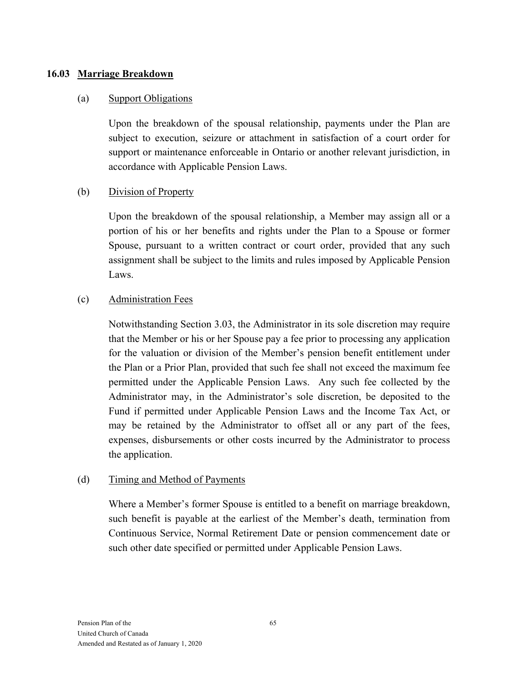#### **16.03 Marriage Breakdown**

#### (a) Support Obligations

Upon the breakdown of the spousal relationship, payments under the Plan are subject to execution, seizure or attachment in satisfaction of a court order for support or maintenance enforceable in Ontario or another relevant jurisdiction, in accordance with Applicable Pension Laws.

#### (b) Division of Property

Upon the breakdown of the spousal relationship, a Member may assign all or a portion of his or her benefits and rights under the Plan to a Spouse or former Spouse, pursuant to a written contract or court order, provided that any such assignment shall be subject to the limits and rules imposed by Applicable Pension Laws.

#### (c) Administration Fees

Notwithstanding Section 3.03, the Administrator in its sole discretion may require that the Member or his or her Spouse pay a fee prior to processing any application for the valuation or division of the Member's pension benefit entitlement under the Plan or a Prior Plan, provided that such fee shall not exceed the maximum fee permitted under the Applicable Pension Laws. Any such fee collected by the Administrator may, in the Administrator's sole discretion, be deposited to the Fund if permitted under Applicable Pension Laws and the Income Tax Act, or may be retained by the Administrator to offset all or any part of the fees, expenses, disbursements or other costs incurred by the Administrator to process the application.

#### (d) Timing and Method of Payments

Where a Member's former Spouse is entitled to a benefit on marriage breakdown, such benefit is payable at the earliest of the Member's death, termination from Continuous Service, Normal Retirement Date or pension commencement date or such other date specified or permitted under Applicable Pension Laws.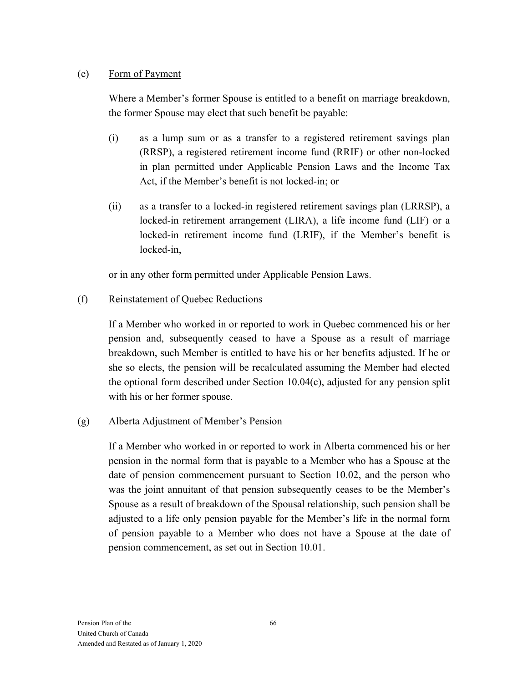#### (e) Form of Payment

Where a Member's former Spouse is entitled to a benefit on marriage breakdown, the former Spouse may elect that such benefit be payable:

- (i) as a lump sum or as a transfer to a registered retirement savings plan (RRSP), a registered retirement income fund (RRIF) or other non-locked in plan permitted under Applicable Pension Laws and the Income Tax Act, if the Member's benefit is not locked-in; or
- (ii) as a transfer to a locked-in registered retirement savings plan (LRRSP), a locked-in retirement arrangement (LIRA), a life income fund (LIF) or a locked-in retirement income fund (LRIF), if the Member's benefit is locked-in,

or in any other form permitted under Applicable Pension Laws.

#### (f) Reinstatement of Quebec Reductions

If a Member who worked in or reported to work in Quebec commenced his or her pension and, subsequently ceased to have a Spouse as a result of marriage breakdown, such Member is entitled to have his or her benefits adjusted. If he or she so elects, the pension will be recalculated assuming the Member had elected the optional form described under Section 10.04(c), adjusted for any pension split with his or her former spouse.

#### (g) Alberta Adjustment of Member's Pension

If a Member who worked in or reported to work in Alberta commenced his or her pension in the normal form that is payable to a Member who has a Spouse at the date of pension commencement pursuant to Section 10.02, and the person who was the joint annuitant of that pension subsequently ceases to be the Member's Spouse as a result of breakdown of the Spousal relationship, such pension shall be adjusted to a life only pension payable for the Member's life in the normal form of pension payable to a Member who does not have a Spouse at the date of pension commencement, as set out in Section 10.01.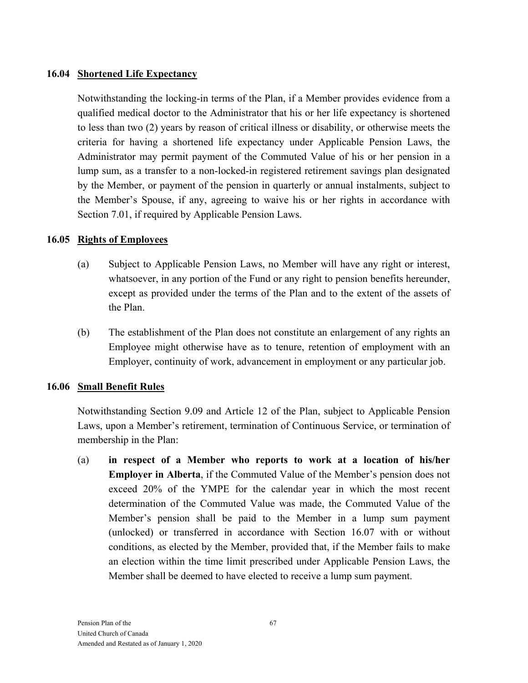#### **16.04 Shortened Life Expectancy**

Notwithstanding the locking-in terms of the Plan, if a Member provides evidence from a qualified medical doctor to the Administrator that his or her life expectancy is shortened to less than two (2) years by reason of critical illness or disability, or otherwise meets the criteria for having a shortened life expectancy under Applicable Pension Laws, the Administrator may permit payment of the Commuted Value of his or her pension in a lump sum, as a transfer to a non-locked-in registered retirement savings plan designated by the Member, or payment of the pension in quarterly or annual instalments, subject to the Member's Spouse, if any, agreeing to waive his or her rights in accordance with Section 7.01, if required by Applicable Pension Laws.

#### **16.05 Rights of Employees**

- (a) Subject to Applicable Pension Laws, no Member will have any right or interest, whatsoever, in any portion of the Fund or any right to pension benefits hereunder, except as provided under the terms of the Plan and to the extent of the assets of the Plan.
- (b) The establishment of the Plan does not constitute an enlargement of any rights an Employee might otherwise have as to tenure, retention of employment with an Employer, continuity of work, advancement in employment or any particular job.

#### **16.06 Small Benefit Rules**

Notwithstanding Section 9.09 and Article 12 of the Plan, subject to Applicable Pension Laws, upon a Member's retirement, termination of Continuous Service, or termination of membership in the Plan:

(a) **in respect of a Member who reports to work at a location of his/her Employer in Alberta**, if the Commuted Value of the Member's pension does not exceed 20% of the YMPE for the calendar year in which the most recent determination of the Commuted Value was made, the Commuted Value of the Member's pension shall be paid to the Member in a lump sum payment (unlocked) or transferred in accordance with Section 16.07 with or without conditions, as elected by the Member, provided that, if the Member fails to make an election within the time limit prescribed under Applicable Pension Laws, the Member shall be deemed to have elected to receive a lump sum payment.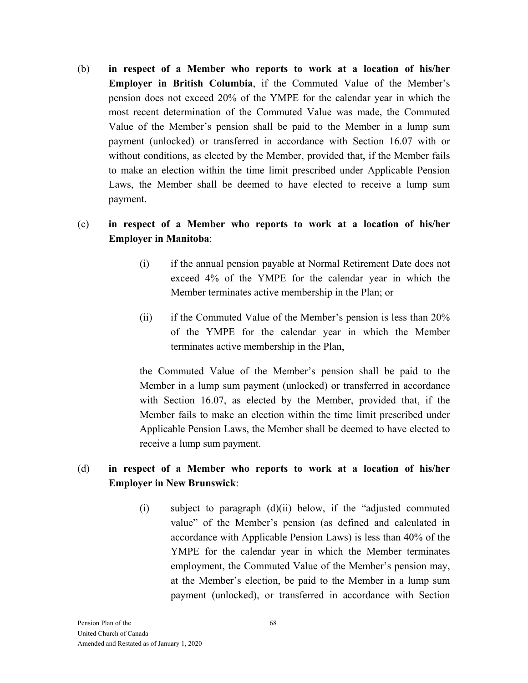(b) **in respect of a Member who reports to work at a location of his/her Employer in British Columbia**, if the Commuted Value of the Member's pension does not exceed 20% of the YMPE for the calendar year in which the most recent determination of the Commuted Value was made, the Commuted Value of the Member's pension shall be paid to the Member in a lump sum payment (unlocked) or transferred in accordance with Section 16.07 with or without conditions, as elected by the Member, provided that, if the Member fails to make an election within the time limit prescribed under Applicable Pension Laws, the Member shall be deemed to have elected to receive a lump sum payment.

### (c) **in respect of a Member who reports to work at a location of his/her Employer in Manitoba**:

- (i) if the annual pension payable at Normal Retirement Date does not exceed 4% of the YMPE for the calendar year in which the Member terminates active membership in the Plan; or
- (ii) if the Commuted Value of the Member's pension is less than 20% of the YMPE for the calendar year in which the Member terminates active membership in the Plan,

the Commuted Value of the Member's pension shall be paid to the Member in a lump sum payment (unlocked) or transferred in accordance with Section 16.07, as elected by the Member, provided that, if the Member fails to make an election within the time limit prescribed under Applicable Pension Laws, the Member shall be deemed to have elected to receive a lump sum payment.

#### (d) **in respect of a Member who reports to work at a location of his/her Employer in New Brunswick**:

(i) subject to paragraph (d)(ii) below, if the "adjusted commuted value" of the Member's pension (as defined and calculated in accordance with Applicable Pension Laws) is less than 40% of the YMPE for the calendar year in which the Member terminates employment, the Commuted Value of the Member's pension may, at the Member's election, be paid to the Member in a lump sum payment (unlocked), or transferred in accordance with Section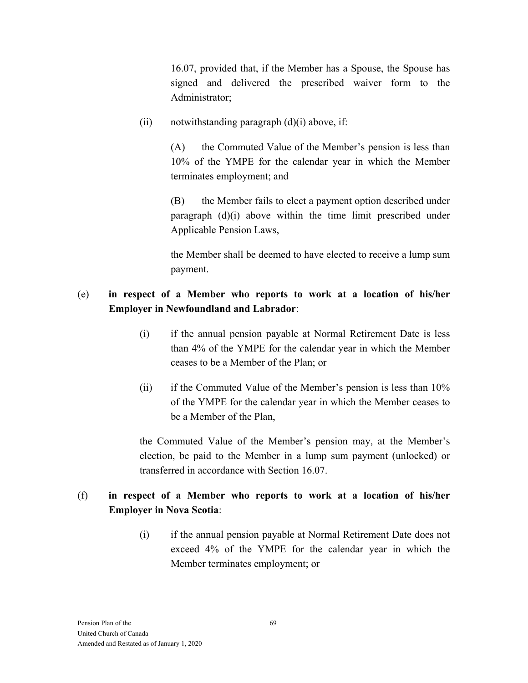16.07, provided that, if the Member has a Spouse, the Spouse has signed and delivered the prescribed waiver form to the Administrator;

(ii) notwithstanding paragraph  $(d)(i)$  above, if:

 (A) the Commuted Value of the Member's pension is less than 10% of the YMPE for the calendar year in which the Member terminates employment; and

 (B) the Member fails to elect a payment option described under paragraph (d)(i) above within the time limit prescribed under Applicable Pension Laws,

the Member shall be deemed to have elected to receive a lump sum payment.

### (e) **in respect of a Member who reports to work at a location of his/her Employer in Newfoundland and Labrador**:

- (i) if the annual pension payable at Normal Retirement Date is less than 4% of the YMPE for the calendar year in which the Member ceases to be a Member of the Plan; or
- (ii) if the Commuted Value of the Member's pension is less than 10% of the YMPE for the calendar year in which the Member ceases to be a Member of the Plan,

the Commuted Value of the Member's pension may, at the Member's election, be paid to the Member in a lump sum payment (unlocked) or transferred in accordance with Section 16.07.

# (f) **in respect of a Member who reports to work at a location of his/her Employer in Nova Scotia**:

(i) if the annual pension payable at Normal Retirement Date does not exceed 4% of the YMPE for the calendar year in which the Member terminates employment; or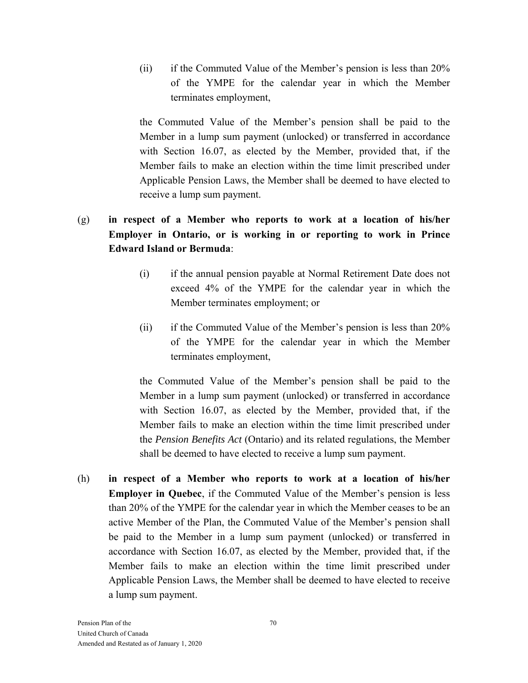(ii) if the Commuted Value of the Member's pension is less than 20% of the YMPE for the calendar year in which the Member terminates employment,

the Commuted Value of the Member's pension shall be paid to the Member in a lump sum payment (unlocked) or transferred in accordance with Section 16.07, as elected by the Member, provided that, if the Member fails to make an election within the time limit prescribed under Applicable Pension Laws, the Member shall be deemed to have elected to receive a lump sum payment.

# (g) **in respect of a Member who reports to work at a location of his/her Employer in Ontario, or is working in or reporting to work in Prince Edward Island or Bermuda**:

- (i) if the annual pension payable at Normal Retirement Date does not exceed 4% of the YMPE for the calendar year in which the Member terminates employment; or
- (ii) if the Commuted Value of the Member's pension is less than 20% of the YMPE for the calendar year in which the Member terminates employment,

the Commuted Value of the Member's pension shall be paid to the Member in a lump sum payment (unlocked) or transferred in accordance with Section 16.07, as elected by the Member, provided that, if the Member fails to make an election within the time limit prescribed under the *Pension Benefits Act* (Ontario) and its related regulations, the Member shall be deemed to have elected to receive a lump sum payment.

(h) **in respect of a Member who reports to work at a location of his/her Employer in Quebec**, if the Commuted Value of the Member's pension is less than 20% of the YMPE for the calendar year in which the Member ceases to be an active Member of the Plan, the Commuted Value of the Member's pension shall be paid to the Member in a lump sum payment (unlocked) or transferred in accordance with Section 16.07, as elected by the Member, provided that, if the Member fails to make an election within the time limit prescribed under Applicable Pension Laws, the Member shall be deemed to have elected to receive a lump sum payment.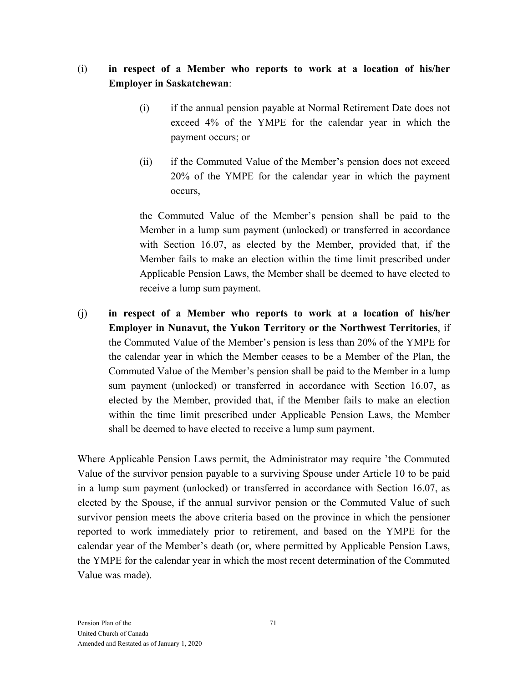### (i) **in respect of a Member who reports to work at a location of his/her Employer in Saskatchewan**:

- (i) if the annual pension payable at Normal Retirement Date does not exceed 4% of the YMPE for the calendar year in which the payment occurs; or
- (ii) if the Commuted Value of the Member's pension does not exceed 20% of the YMPE for the calendar year in which the payment occurs,

the Commuted Value of the Member's pension shall be paid to the Member in a lump sum payment (unlocked) or transferred in accordance with Section 16.07, as elected by the Member, provided that, if the Member fails to make an election within the time limit prescribed under Applicable Pension Laws, the Member shall be deemed to have elected to receive a lump sum payment.

(j) **in respect of a Member who reports to work at a location of his/her Employer in Nunavut, the Yukon Territory or the Northwest Territories**, if the Commuted Value of the Member's pension is less than 20% of the YMPE for the calendar year in which the Member ceases to be a Member of the Plan, the Commuted Value of the Member's pension shall be paid to the Member in a lump sum payment (unlocked) or transferred in accordance with Section 16.07, as elected by the Member, provided that, if the Member fails to make an election within the time limit prescribed under Applicable Pension Laws, the Member shall be deemed to have elected to receive a lump sum payment.

Where Applicable Pension Laws permit, the Administrator may require 'the Commuted Value of the survivor pension payable to a surviving Spouse under Article 10 to be paid in a lump sum payment (unlocked) or transferred in accordance with Section 16.07, as elected by the Spouse, if the annual survivor pension or the Commuted Value of such survivor pension meets the above criteria based on the province in which the pensioner reported to work immediately prior to retirement, and based on the YMPE for the calendar year of the Member's death (or, where permitted by Applicable Pension Laws, the YMPE for the calendar year in which the most recent determination of the Commuted Value was made).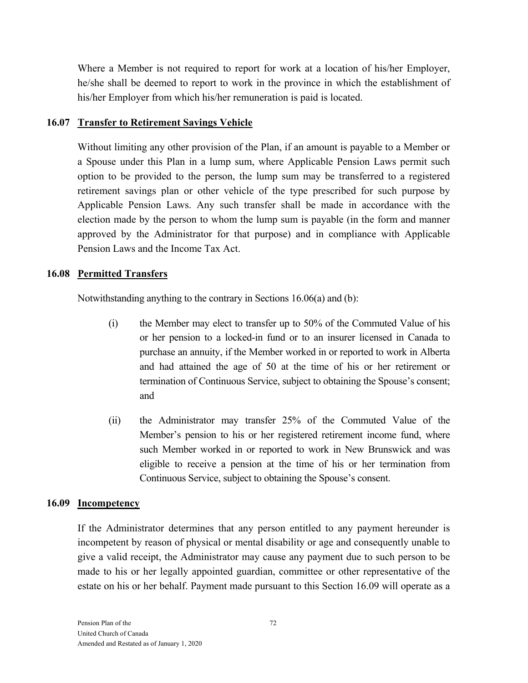Where a Member is not required to report for work at a location of his/her Employer, he/she shall be deemed to report to work in the province in which the establishment of his/her Employer from which his/her remuneration is paid is located.

#### **16.07 Transfer to Retirement Savings Vehicle**

Without limiting any other provision of the Plan, if an amount is payable to a Member or a Spouse under this Plan in a lump sum, where Applicable Pension Laws permit such option to be provided to the person, the lump sum may be transferred to a registered retirement savings plan or other vehicle of the type prescribed for such purpose by Applicable Pension Laws. Any such transfer shall be made in accordance with the election made by the person to whom the lump sum is payable (in the form and manner approved by the Administrator for that purpose) and in compliance with Applicable Pension Laws and the Income Tax Act.

### **16.08 Permitted Transfers**

Notwithstanding anything to the contrary in Sections 16.06(a) and (b):

- (i) the Member may elect to transfer up to 50% of the Commuted Value of his or her pension to a locked-in fund or to an insurer licensed in Canada to purchase an annuity, if the Member worked in or reported to work in Alberta and had attained the age of 50 at the time of his or her retirement or termination of Continuous Service, subject to obtaining the Spouse's consent; and
- (ii) the Administrator may transfer 25% of the Commuted Value of the Member's pension to his or her registered retirement income fund, where such Member worked in or reported to work in New Brunswick and was eligible to receive a pension at the time of his or her termination from Continuous Service, subject to obtaining the Spouse's consent.

#### **16.09 Incompetency**

If the Administrator determines that any person entitled to any payment hereunder is incompetent by reason of physical or mental disability or age and consequently unable to give a valid receipt, the Administrator may cause any payment due to such person to be made to his or her legally appointed guardian, committee or other representative of the estate on his or her behalf. Payment made pursuant to this Section 16.09 will operate as a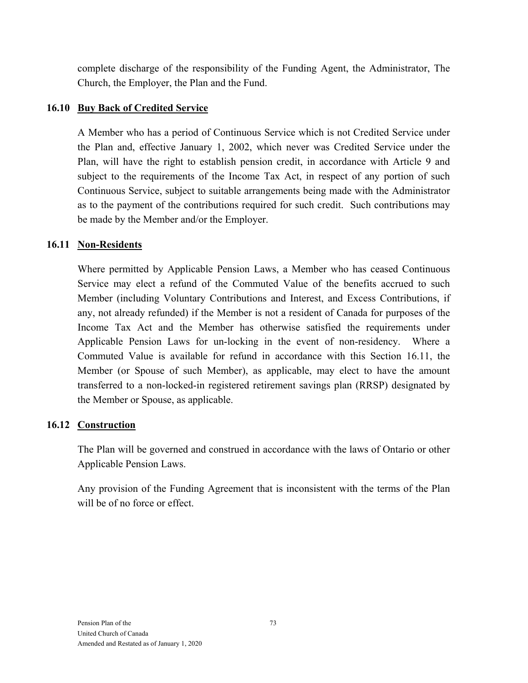complete discharge of the responsibility of the Funding Agent, the Administrator, The Church, the Employer, the Plan and the Fund.

#### **16.10 Buy Back of Credited Service**

A Member who has a period of Continuous Service which is not Credited Service under the Plan and, effective January 1, 2002, which never was Credited Service under the Plan, will have the right to establish pension credit, in accordance with Article 9 and subject to the requirements of the Income Tax Act, in respect of any portion of such Continuous Service, subject to suitable arrangements being made with the Administrator as to the payment of the contributions required for such credit. Such contributions may be made by the Member and/or the Employer.

#### **16.11 Non-Residents**

Where permitted by Applicable Pension Laws, a Member who has ceased Continuous Service may elect a refund of the Commuted Value of the benefits accrued to such Member (including Voluntary Contributions and Interest, and Excess Contributions, if any, not already refunded) if the Member is not a resident of Canada for purposes of the Income Tax Act and the Member has otherwise satisfied the requirements under Applicable Pension Laws for un-locking in the event of non-residency. Where a Commuted Value is available for refund in accordance with this Section 16.11, the Member (or Spouse of such Member), as applicable, may elect to have the amount transferred to a non-locked-in registered retirement savings plan (RRSP) designated by the Member or Spouse, as applicable.

### **16.12 Construction**

The Plan will be governed and construed in accordance with the laws of Ontario or other Applicable Pension Laws.

Any provision of the Funding Agreement that is inconsistent with the terms of the Plan will be of no force or effect.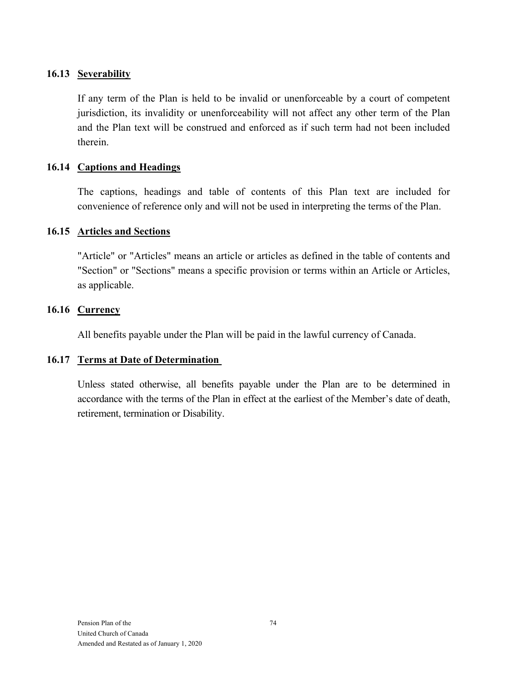#### **16.13 Severability**

If any term of the Plan is held to be invalid or unenforceable by a court of competent jurisdiction, its invalidity or unenforceability will not affect any other term of the Plan and the Plan text will be construed and enforced as if such term had not been included therein.

#### **16.14 Captions and Headings**

The captions, headings and table of contents of this Plan text are included for convenience of reference only and will not be used in interpreting the terms of the Plan.

#### **16.15 Articles and Sections**

"Article" or "Articles" means an article or articles as defined in the table of contents and "Section" or "Sections" means a specific provision or terms within an Article or Articles, as applicable.

#### **16.16 Currency**

All benefits payable under the Plan will be paid in the lawful currency of Canada.

#### **16.17 Terms at Date of Determination**

Unless stated otherwise, all benefits payable under the Plan are to be determined in accordance with the terms of the Plan in effect at the earliest of the Member's date of death, retirement, termination or Disability.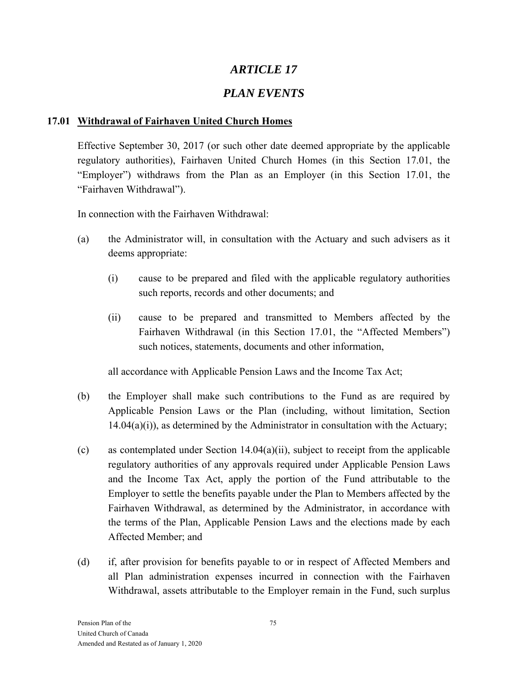# *ARTICLE 17*

# *PLAN EVENTS*

### **17.01 Withdrawal of Fairhaven United Church Homes**

Effective September 30, 2017 (or such other date deemed appropriate by the applicable regulatory authorities), Fairhaven United Church Homes (in this Section 17.01, the "Employer") withdraws from the Plan as an Employer (in this Section 17.01, the "Fairhaven Withdrawal").

In connection with the Fairhaven Withdrawal:

- (a) the Administrator will, in consultation with the Actuary and such advisers as it deems appropriate:
	- (i) cause to be prepared and filed with the applicable regulatory authorities such reports, records and other documents; and
	- (ii) cause to be prepared and transmitted to Members affected by the Fairhaven Withdrawal (in this Section 17.01, the "Affected Members") such notices, statements, documents and other information,

all accordance with Applicable Pension Laws and the Income Tax Act;

- (b) the Employer shall make such contributions to the Fund as are required by Applicable Pension Laws or the Plan (including, without limitation, Section  $14.04(a)(i)$ , as determined by the Administrator in consultation with the Actuary;
- (c) as contemplated under Section 14.04(a)(ii), subject to receipt from the applicable regulatory authorities of any approvals required under Applicable Pension Laws and the Income Tax Act, apply the portion of the Fund attributable to the Employer to settle the benefits payable under the Plan to Members affected by the Fairhaven Withdrawal, as determined by the Administrator, in accordance with the terms of the Plan, Applicable Pension Laws and the elections made by each Affected Member; and
- (d) if, after provision for benefits payable to or in respect of Affected Members and all Plan administration expenses incurred in connection with the Fairhaven Withdrawal, assets attributable to the Employer remain in the Fund, such surplus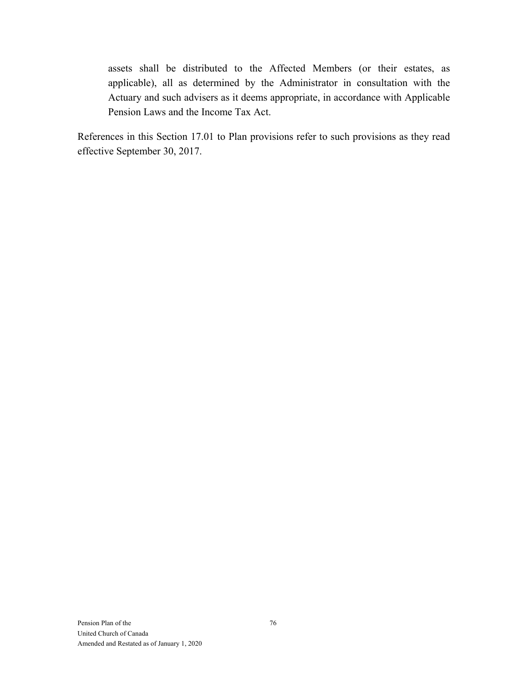assets shall be distributed to the Affected Members (or their estates, as applicable), all as determined by the Administrator in consultation with the Actuary and such advisers as it deems appropriate, in accordance with Applicable Pension Laws and the Income Tax Act.

References in this Section 17.01 to Plan provisions refer to such provisions as they read effective September 30, 2017.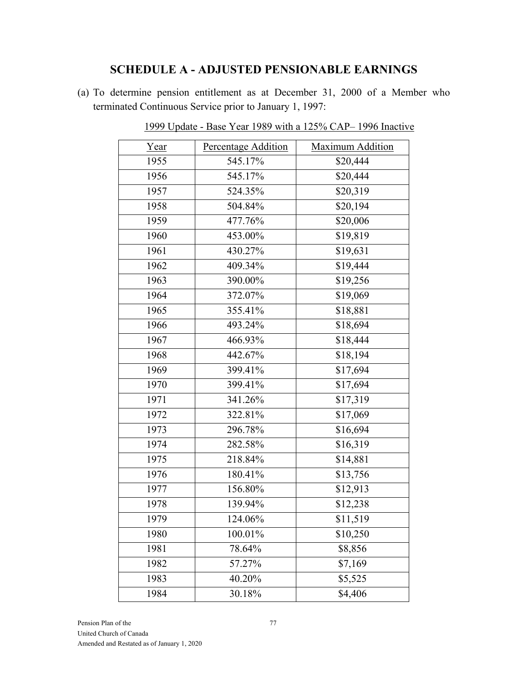### **SCHEDULE A - ADJUSTED PENSIONABLE EARNINGS**

(a) To determine pension entitlement as at December 31, 2000 of a Member who terminated Continuous Service prior to January 1, 1997:

| Year | Percentage Addition | Maximum Addition |
|------|---------------------|------------------|
| 1955 | 545.17%             | \$20,444         |
| 1956 | 545.17%             | \$20,444         |
| 1957 | 524.35%             | \$20,319         |
| 1958 | 504.84%             | \$20,194         |
| 1959 | 477.76%             | \$20,006         |
| 1960 | 453.00%             | \$19,819         |
| 1961 | 430.27%             | \$19,631         |
| 1962 | 409.34%             | \$19,444         |
| 1963 | 390.00%             | \$19,256         |
| 1964 | 372.07%             | \$19,069         |
| 1965 | 355.41%             | \$18,881         |
| 1966 | 493.24%             | \$18,694         |
| 1967 | 466.93%             | \$18,444         |
| 1968 | 442.67%             | \$18,194         |
| 1969 | 399.41%             | \$17,694         |
| 1970 | 399.41%             | \$17,694         |
| 1971 | 341.26%             | \$17,319         |
| 1972 | 322.81%             | \$17,069         |
| 1973 | 296.78%             | \$16,694         |
| 1974 | 282.58%             | \$16,319         |
| 1975 | 218.84%             | \$14,881         |
| 1976 | 180.41%             | \$13,756         |
| 1977 | 156.80%             | \$12,913         |
| 1978 | 139.94%             | \$12,238         |
| 1979 | 124.06%             | \$11,519         |
| 1980 | 100.01%             | \$10,250         |
| 1981 | 78.64%              | \$8,856          |
| 1982 | 57.27%              | \$7,169          |
| 1983 | 40.20%              | \$5,525          |
| 1984 | 30.18%              | \$4,406          |
|      |                     |                  |

1999 Update - Base Year 1989 with a 125% CAP– 1996 Inactive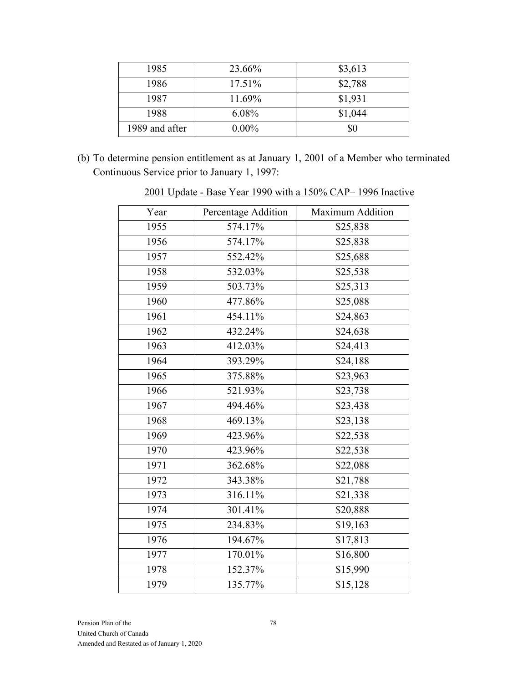| 1985           | 23.66%   | \$3,613 |
|----------------|----------|---------|
| 1986           | 17.51%   | \$2,788 |
| 1987           | 11.69%   | \$1,931 |
| 1988           | $6.08\%$ | \$1,044 |
| 1989 and after | $0.00\%$ | \$0     |

(b) To determine pension entitlement as at January 1, 2001 of a Member who terminated Continuous Service prior to January 1, 1997:

| Year | Percentage Addition | Maximum Addition |
|------|---------------------|------------------|
| 1955 | 574.17%             | \$25,838         |
| 1956 | 574.17%             | \$25,838         |
| 1957 | 552.42%             | \$25,688         |
| 1958 | 532.03%             | \$25,538         |
| 1959 | 503.73%             | \$25,313         |
| 1960 | 477.86%             | \$25,088         |
| 1961 | 454.11%             | \$24,863         |
| 1962 | 432.24%             | \$24,638         |
| 1963 | 412.03%             | \$24,413         |
| 1964 | 393.29%             | \$24,188         |
| 1965 | 375.88%             | \$23,963         |
| 1966 | 521.93%             | \$23,738         |
| 1967 | 494.46%             | \$23,438         |
| 1968 | 469.13%             | \$23,138         |
| 1969 | 423.96%             | \$22,538         |
| 1970 | 423.96%             | \$22,538         |
| 1971 | 362.68%             | \$22,088         |
| 1972 | 343.38%             | \$21,788         |
| 1973 | 316.11%             | \$21,338         |
| 1974 | 301.41%             | \$20,888         |
| 1975 | 234.83%             | \$19,163         |
| 1976 | 194.67%             | \$17,813         |
| 1977 | 170.01%             | \$16,800         |
| 1978 | 152.37%             | \$15,990         |
| 1979 | 135.77%             | \$15,128         |
|      |                     |                  |

2001 Update - Base Year 1990 with a 150% CAP– 1996 Inactive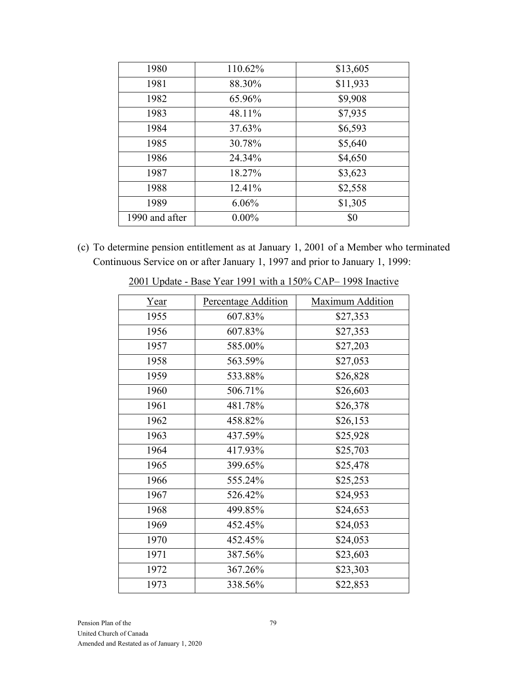| 1980           | 110.62%  | \$13,605 |
|----------------|----------|----------|
| 1981           | 88.30%   | \$11,933 |
| 1982           | 65.96%   | \$9,908  |
| 1983           | 48.11%   | \$7,935  |
| 1984           | 37.63%   | \$6,593  |
| 1985           | 30.78%   | \$5,640  |
| 1986           | 24.34%   | \$4,650  |
| 1987           | 18.27%   | \$3,623  |
| 1988           | 12.41%   | \$2,558  |
| 1989           | 6.06%    | \$1,305  |
| 1990 and after | $0.00\%$ | \$0      |

(c) To determine pension entitlement as at January 1, 2001 of a Member who terminated Continuous Service on or after January 1, 1997 and prior to January 1, 1999:

| <u>Year</u> | Percentage Addition | Maximum Addition |
|-------------|---------------------|------------------|
| 1955        | 607.83%             | \$27,353         |
| 1956        | 607.83%             | \$27,353         |
| 1957        | 585.00%             | \$27,203         |
| 1958        | 563.59%             | \$27,053         |
| 1959        | 533.88%             | \$26,828         |
| 1960        | 506.71%             | \$26,603         |
| 1961        | 481.78%             | \$26,378         |
| 1962        | 458.82%             | \$26,153         |
| 1963        | 437.59%             | \$25,928         |
| 1964        | 417.93%             | \$25,703         |
| 1965        | 399.65%             | \$25,478         |
| 1966        | 555.24%             | \$25,253         |
| 1967        | 526.42%             | \$24,953         |
| 1968        | 499.85%             | \$24,653         |
| 1969        | 452.45%             | \$24,053         |
| 1970        | 452.45%             | \$24,053         |
| 1971        | 387.56%             | \$23,603         |
| 1972        | 367.26%             | \$23,303         |
| 1973        | 338.56%             | \$22,853         |

2001 Update - Base Year 1991 with a 150% CAP– 1998 Inactive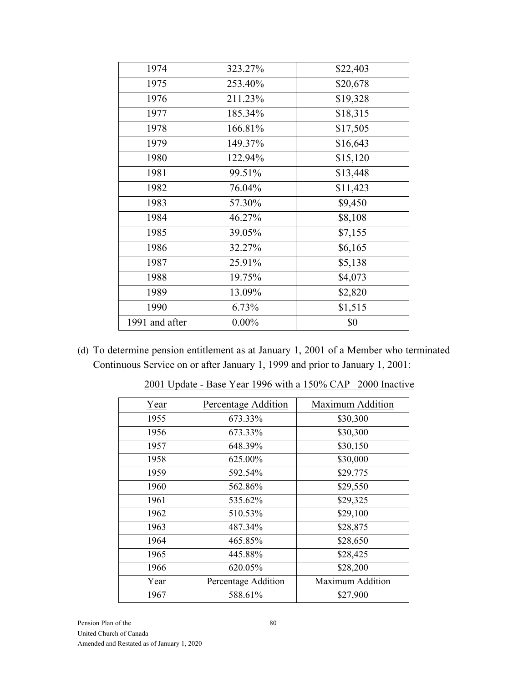| 1974           | 323.27%  | \$22,403 |
|----------------|----------|----------|
| 1975           | 253.40%  | \$20,678 |
| 1976           | 211.23%  | \$19,328 |
| 1977           | 185.34%  | \$18,315 |
| 1978           | 166.81%  | \$17,505 |
| 1979           | 149.37%  | \$16,643 |
| 1980           | 122.94%  | \$15,120 |
| 1981           | 99.51%   | \$13,448 |
| 1982           | 76.04%   | \$11,423 |
| 1983           | 57.30%   | \$9,450  |
| 1984           | 46.27%   | \$8,108  |
| 1985           | 39.05%   | \$7,155  |
| 1986           | 32.27%   | \$6,165  |
| 1987           | 25.91%   | \$5,138  |
| 1988           | 19.75%   | \$4,073  |
| 1989           | 13.09%   | \$2,820  |
| 1990           | 6.73%    | \$1,515  |
| 1991 and after | $0.00\%$ | \$0      |
|                |          |          |

(d) To determine pension entitlement as at January 1, 2001 of a Member who terminated Continuous Service on or after January 1, 1999 and prior to January 1, 2001:

| Year | Percentage Addition | Maximum Addition |
|------|---------------------|------------------|
| 1955 | 673.33%             | \$30,300         |
| 1956 | 673.33%             | \$30,300         |
| 1957 | 648.39%             | \$30,150         |
| 1958 | 625.00%             | \$30,000         |
| 1959 | 592.54%             | \$29,775         |
| 1960 | 562.86%             | \$29,550         |
| 1961 | 535.62%             | \$29,325         |
| 1962 | 510.53%             | \$29,100         |
| 1963 | 487.34%             | \$28,875         |
| 1964 | 465.85%             | \$28,650         |
| 1965 | 445.88%             | \$28,425         |
| 1966 | 620.05%             | \$28,200         |
| Year | Percentage Addition | Maximum Addition |
| 1967 | 588.61%             | \$27,900         |

2001 Update - Base Year 1996 with a 150% CAP– 2000 Inactive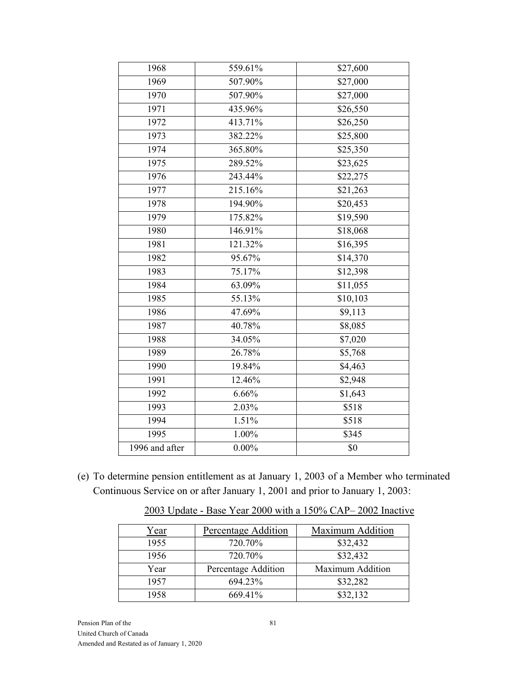| 1968           | 559.61%  | \$27,600 |
|----------------|----------|----------|
| 1969           | 507.90%  | \$27,000 |
| 1970           | 507.90%  | \$27,000 |
| 1971           | 435.96%  | \$26,550 |
| 1972           | 413.71%  | \$26,250 |
| 1973           | 382.22%  | \$25,800 |
| 1974           | 365.80%  | \$25,350 |
| 1975           | 289.52%  | \$23,625 |
| 1976           | 243.44%  | \$22,275 |
| 1977           | 215.16%  | \$21,263 |
| 1978           | 194.90%  | \$20,453 |
| 1979           | 175.82%  | \$19,590 |
| 1980           | 146.91%  | \$18,068 |
| 1981           | 121.32%  | \$16,395 |
| 1982           | 95.67%   | \$14,370 |
| 1983           | 75.17%   | \$12,398 |
| 1984           | 63.09%   | \$11,055 |
| 1985           | 55.13%   | \$10,103 |
| 1986           | 47.69%   | \$9,113  |
| 1987           | 40.78%   | \$8,085  |
| 1988           | 34.05%   | \$7,020  |
| 1989           | 26.78%   | \$5,768  |
| 1990           | 19.84%   | \$4,463  |
| 1991           | 12.46%   | \$2,948  |
| 1992           | 6.66%    | \$1,643  |
| 1993           | 2.03%    | \$518    |
| 1994           | 1.51%    | \$518    |
| 1995           | $1.00\%$ | \$345    |
| 1996 and after | $0.00\%$ | \$0      |
|                |          |          |

(e) To determine pension entitlement as at January 1, 2003 of a Member who terminated Continuous Service on or after January 1, 2001 and prior to January 1, 2003:

| Year | Percentage Addition | <b>Maximum Addition</b> |
|------|---------------------|-------------------------|
| 1955 | 720.70%             | \$32,432                |
| 1956 | 720.70%             | \$32,432                |
| Year | Percentage Addition | <b>Maximum Addition</b> |
| 1957 | 694.23%             | \$32,282                |
| 1958 | 669.41%             | \$32,132                |

2003 Update - Base Year 2000 with a 150% CAP– 2002 Inactive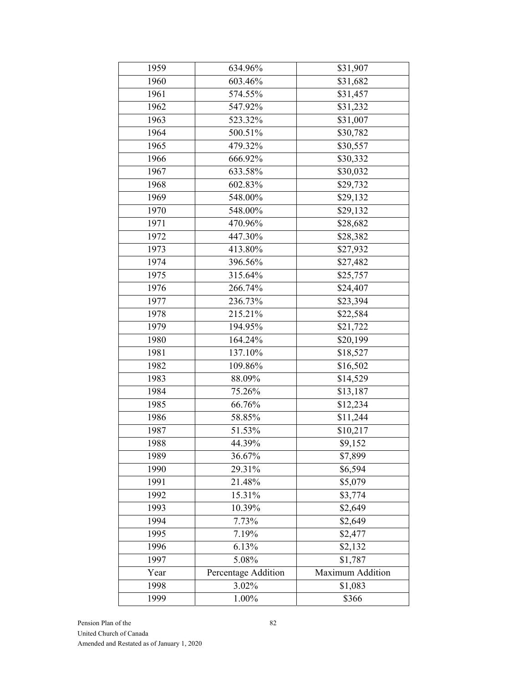| 1959 | 634.96%             | \$31,907             |
|------|---------------------|----------------------|
| 1960 | 603.46%             | \$31,682             |
| 1961 | 574.55%             | \$31,457             |
| 1962 | 547.92%             | \$31,232             |
| 1963 | 523.32%             | $\overline{$}31,007$ |
| 1964 | 500.51%             | \$30,782             |
| 1965 | 479.32%             | \$30,557             |
| 1966 | 666.92%             | \$30,332             |
| 1967 | 633.58%             | \$30,032             |
| 1968 | 602.83%             | \$29,732             |
| 1969 | 548.00%             | \$29,132             |
| 1970 | 548.00%             | \$29,132             |
| 1971 | 470.96%             | \$28,682             |
| 1972 | 447.30%             | \$28,382             |
| 1973 | 413.80%             | \$27,932             |
| 1974 | 396.56%             | \$27,482             |
| 1975 | 315.64%             | \$25,757             |
| 1976 | 266.74%             | \$24,407             |
| 1977 | 236.73%             | \$23,394             |
| 1978 | 215.21%             | \$22,584             |
| 1979 | 194.95%             | \$21,722             |
| 1980 | 164.24%             | \$20,199             |
| 1981 | 137.10%             | \$18,527             |
| 1982 | 109.86%             | \$16,502             |
| 1983 | 88.09%              | \$14,529             |
| 1984 | 75.26%              | \$13,187             |
| 1985 | 66.76%              | \$12,234             |
| 1986 | 58.85%              | \$11,244             |
| 1987 | 51.53%              | \$10,217             |
| 1988 | 44.39%              | \$9,152              |
| 1989 | 36.67%              | \$7,899              |
| 1990 | 29.31%              | \$6,594              |
| 1991 | 21.48%              | \$5,079              |
| 1992 | 15.31%              | \$3,774              |
| 1993 | 10.39%              | \$2,649              |
| 1994 | 7.73%               | \$2,649              |
| 1995 | 7.19%               | \$2,477              |
| 1996 | 6.13%               | \$2,132              |
| 1997 | 5.08%               | \$1,787              |
| Year | Percentage Addition | Maximum Addition     |
| 1998 | 3.02%               | \$1,083              |
| 1999 | 1.00%               | \$366                |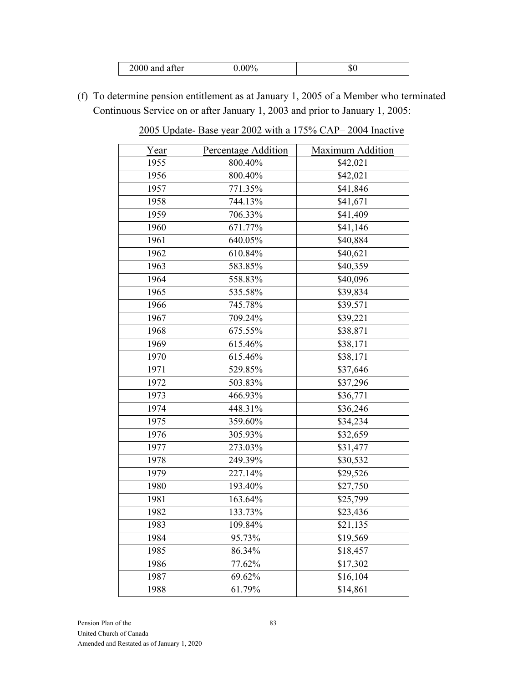| 2000<br>and after |
|-------------------|
|-------------------|

(f) To determine pension entitlement as at January 1, 2005 of a Member who terminated Continuous Service on or after January 1, 2003 and prior to January 1, 2005:

2005 Update- Base year 2002 with a 175% CAP– 2004 Inactive

| <u>Year</u> | Percentage Addition | Maximum Addition |
|-------------|---------------------|------------------|
| 1955        | 800.40%             | \$42,021         |
| 1956        | 800.40%             | \$42,021         |
| 1957        | 771.35%             | \$41,846         |
| 1958        | 744.13%             | \$41,671         |
| 1959        | 706.33%             | \$41,409         |
| 1960        | 671.77%             | \$41,146         |
| 1961        | 640.05%             | \$40,884         |
| 1962        | 610.84%             | \$40,621         |
| 1963        | 583.85%             | \$40,359         |
| 1964        | 558.83%             | \$40,096         |
| 1965        | 535.58%             | \$39,834         |
| 1966        | 745.78%             | \$39,571         |
| 1967        | 709.24%             | \$39,221         |
| 1968        | 675.55%             | \$38,871         |
| 1969        | 615.46%             | \$38,171         |
| 1970        | 615.46%             | \$38,171         |
| 1971        | 529.85%             | \$37,646         |
| 1972        | 503.83%             | \$37,296         |
| 1973        | 466.93%             | \$36,771         |
| 1974        | 448.31%             | \$36,246         |
| 1975        | 359.60%             | \$34,234         |
| 1976        | 305.93%             | \$32,659         |
| 1977        | 273.03%             | \$31,477         |
| 1978        | 249.39%             | \$30,532         |
| 1979        | 227.14%             | \$29,526         |
| 1980        | 193.40%             | \$27,750         |
| 1981        | 163.64%             | \$25,799         |
| 1982        | 133.73%             | \$23,436         |
| 1983        | 109.84%             | \$21,135         |
| 1984        | 95.73%              | \$19,569         |
| 1985        | 86.34%              | \$18,457         |
| 1986        | 77.62%              | \$17,302         |
| 1987        | 69.62%              | \$16,104         |
| 1988        | 61.79%              | \$14,861         |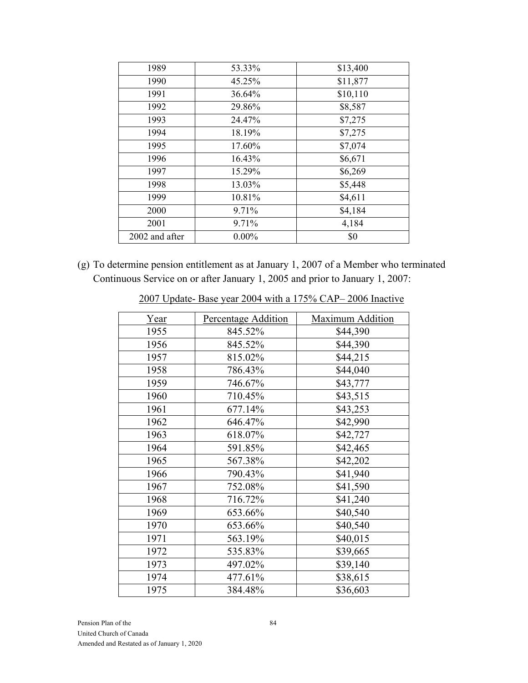| 1989           | 53.33%   | \$13,400 |
|----------------|----------|----------|
| 1990           | 45.25%   | \$11,877 |
| 1991           | 36.64%   | \$10,110 |
| 1992           | 29.86%   | \$8,587  |
| 1993           | 24.47%   | \$7,275  |
| 1994           | 18.19%   | \$7,275  |
| 1995           | 17.60%   | \$7,074  |
| 1996           | 16.43%   | \$6,671  |
| 1997           | 15.29%   | \$6,269  |
| 1998           | 13.03%   | \$5,448  |
| 1999           | 10.81%   | \$4,611  |
| 2000           | 9.71%    | \$4,184  |
| 2001           | 9.71%    | 4,184    |
| 2002 and after | $0.00\%$ | \$0      |

(g) To determine pension entitlement as at January 1, 2007 of a Member who terminated Continuous Service on or after January 1, 2005 and prior to January 1, 2007:

| <u>Year</u> | Percentage Addition | Maximum Addition |
|-------------|---------------------|------------------|
| 1955        | 845.52%             | \$44,390         |
| 1956        | 845.52%             | \$44,390         |
| 1957        | 815.02%             | \$44,215         |
| 1958        | 786.43%             | \$44,040         |
| 1959        | 746.67%             | \$43,777         |
| 1960        | 710.45%             | \$43,515         |
| 1961        | 677.14%             | \$43,253         |
| 1962        | 646.47%             | \$42,990         |
| 1963        | 618.07%             | \$42,727         |
| 1964        | 591.85%             | \$42,465         |
| 1965        | 567.38%             | \$42,202         |
| 1966        | 790.43%             | \$41,940         |
| 1967        | 752.08%             | \$41,590         |
| 1968        | 716.72%             | \$41,240         |
| 1969        | 653.66%             | \$40,540         |
| 1970        | 653.66%             | \$40,540         |
| 1971        | 563.19%             | \$40,015         |
| 1972        | 535.83%             | \$39,665         |
| 1973        | 497.02%             | \$39,140         |
| 1974        | 477.61%             | \$38,615         |
| 1975        | 384.48%             | \$36,603         |

2007 Update- Base year 2004 with a 175% CAP– 2006 Inactive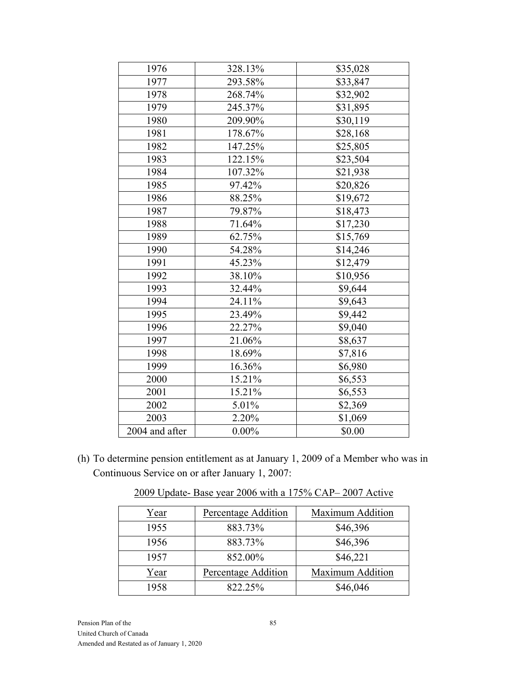| 1976           | 328.13%  | \$35,028 |
|----------------|----------|----------|
| 1977           | 293.58%  | \$33,847 |
| 1978           | 268.74%  | \$32,902 |
| 1979           | 245.37%  | \$31,895 |
| 1980           | 209.90%  | \$30,119 |
| 1981           | 178.67%  | \$28,168 |
| 1982           | 147.25%  | \$25,805 |
| 1983           | 122.15%  | \$23,504 |
| 1984           | 107.32%  | \$21,938 |
| 1985           | 97.42%   | \$20,826 |
| 1986           | 88.25%   | \$19,672 |
| 1987           | 79.87%   | \$18,473 |
| 1988           | 71.64%   | \$17,230 |
| 1989           | 62.75%   | \$15,769 |
| 1990           | 54.28%   | \$14,246 |
| 1991           | 45.23%   | \$12,479 |
| 1992           | 38.10%   | \$10,956 |
| 1993           | 32.44%   | \$9,644  |
| 1994           | 24.11%   | \$9,643  |
| 1995           | 23.49%   | \$9,442  |
| 1996           | 22.27%   | \$9,040  |
| 1997           | 21.06%   | \$8,637  |
| 1998           | 18.69%   | \$7,816  |
| 1999           | 16.36%   | \$6,980  |
| 2000           | 15.21%   | \$6,553  |
| 2001           | 15.21%   | \$6,553  |
| 2002           | 5.01%    | \$2,369  |
| 2003           | 2.20%    | \$1,069  |
| 2004 and after | $0.00\%$ | \$0.00   |
|                |          |          |

(h) To determine pension entitlement as at January 1, 2009 of a Member who was in Continuous Service on or after January 1, 2007:

| Year | Percentage Addition | Maximum Addition |
|------|---------------------|------------------|
| 1955 | 883.73%             | \$46,396         |
| 1956 | 883.73%             | \$46,396         |
| 1957 | 852.00%             | \$46,221         |
| Year | Percentage Addition | Maximum Addition |
| 1958 | 822.25%             | \$46,046         |

2009 Update- Base year 2006 with a 175% CAP– 2007 Active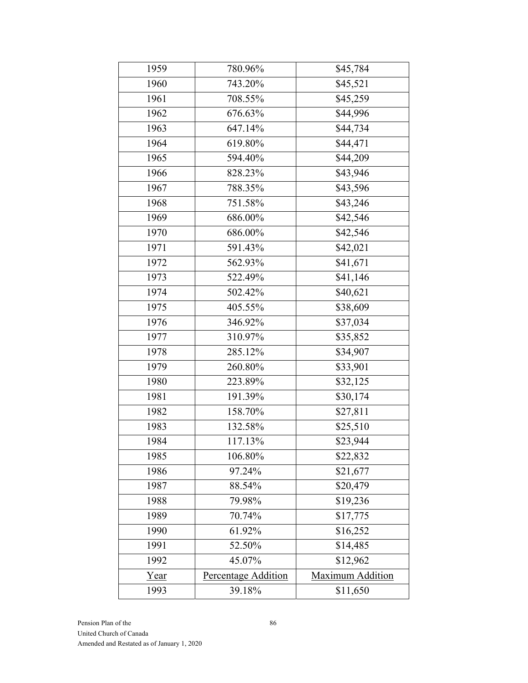| 1959 | 780.96%             | \$45,784         |  |  |
|------|---------------------|------------------|--|--|
| 1960 | 743.20%             | \$45,521         |  |  |
| 1961 | 708.55%             | \$45,259         |  |  |
| 1962 | 676.63%             | \$44,996         |  |  |
| 1963 | 647.14%             | \$44,734         |  |  |
| 1964 | 619.80%             | \$44,471         |  |  |
| 1965 | 594.40%             | \$44,209         |  |  |
| 1966 | 828.23%             | \$43,946         |  |  |
| 1967 | 788.35%             | \$43,596         |  |  |
| 1968 | 751.58%             | \$43,246         |  |  |
| 1969 | 686.00%             | \$42,546         |  |  |
| 1970 | 686.00%             | \$42,546         |  |  |
| 1971 | 591.43%             | \$42,021         |  |  |
| 1972 | 562.93%             | \$41,671         |  |  |
| 1973 | 522.49%             | \$41,146         |  |  |
| 1974 | 502.42%             | \$40,621         |  |  |
| 1975 | 405.55%             | \$38,609         |  |  |
| 1976 | 346.92%             | \$37,034         |  |  |
| 1977 | 310.97%             | \$35,852         |  |  |
| 1978 | 285.12%             | \$34,907         |  |  |
| 1979 | 260.80%             | \$33,901         |  |  |
| 1980 | 223.89%             | \$32,125         |  |  |
| 1981 | 191.39%             | \$30,174         |  |  |
| 1982 | 158.70%             | \$27,811         |  |  |
| 1983 | 132.58%             | \$25,510         |  |  |
| 1984 | 117.13%             | \$23,944         |  |  |
| 1985 | 106.80%             | \$22,832         |  |  |
| 1986 | 97.24%              | \$21,677         |  |  |
| 1987 | 88.54%              | \$20,479         |  |  |
| 1988 | 79.98%              | \$19,236         |  |  |
| 1989 | 70.74%              | \$17,775         |  |  |
| 1990 | 61.92%              | \$16,252         |  |  |
| 1991 | 52.50%              | \$14,485         |  |  |
| 1992 | 45.07%              | \$12,962         |  |  |
| Year | Percentage Addition | Maximum Addition |  |  |
| 1993 | 39.18%              | \$11,650         |  |  |
|      |                     |                  |  |  |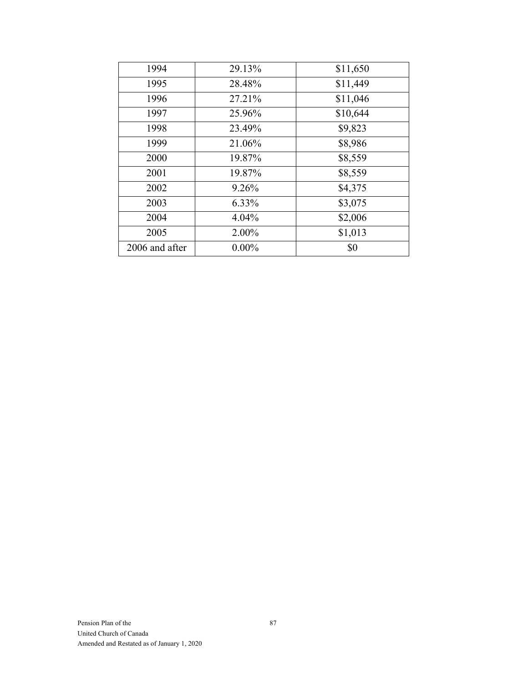| 1994<br>29.13%<br>\$11,650<br>1995<br>\$11,449<br>28.48%<br>\$11,046<br>1996<br>27.21%<br>\$10,644<br>1997<br>25.96%<br>\$9,823<br>1998<br>23.49%<br>1999<br>21.06%<br>\$8,986<br>\$8,559<br>2000<br>19.87%<br>\$8,559<br>2001<br>19.87%<br>\$4,375<br>2002<br>9.26%<br>\$3,075<br>2003<br>6.33%<br>\$2,006<br>2004<br>$4.04\%$<br>\$1,013<br>2005<br>2.00%<br>\$0<br>$0.00\%$<br>2006 and after |  |  |
|--------------------------------------------------------------------------------------------------------------------------------------------------------------------------------------------------------------------------------------------------------------------------------------------------------------------------------------------------------------------------------------------------|--|--|
|                                                                                                                                                                                                                                                                                                                                                                                                  |  |  |
|                                                                                                                                                                                                                                                                                                                                                                                                  |  |  |
|                                                                                                                                                                                                                                                                                                                                                                                                  |  |  |
|                                                                                                                                                                                                                                                                                                                                                                                                  |  |  |
|                                                                                                                                                                                                                                                                                                                                                                                                  |  |  |
|                                                                                                                                                                                                                                                                                                                                                                                                  |  |  |
|                                                                                                                                                                                                                                                                                                                                                                                                  |  |  |
|                                                                                                                                                                                                                                                                                                                                                                                                  |  |  |
|                                                                                                                                                                                                                                                                                                                                                                                                  |  |  |
|                                                                                                                                                                                                                                                                                                                                                                                                  |  |  |
|                                                                                                                                                                                                                                                                                                                                                                                                  |  |  |
|                                                                                                                                                                                                                                                                                                                                                                                                  |  |  |
|                                                                                                                                                                                                                                                                                                                                                                                                  |  |  |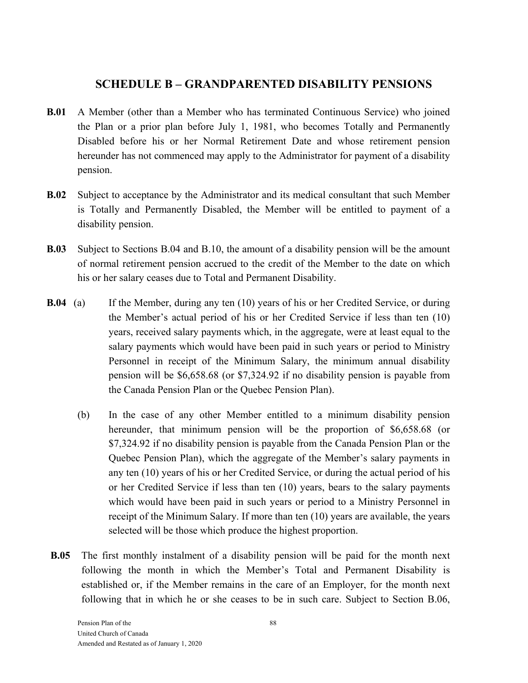# **SCHEDULE B – GRANDPARENTED DISABILITY PENSIONS**

- **B.01** A Member (other than a Member who has terminated Continuous Service) who joined the Plan or a prior plan before July 1, 1981, who becomes Totally and Permanently Disabled before his or her Normal Retirement Date and whose retirement pension hereunder has not commenced may apply to the Administrator for payment of a disability pension.
- **B.02** Subject to acceptance by the Administrator and its medical consultant that such Member is Totally and Permanently Disabled, the Member will be entitled to payment of a disability pension.
- **B.03** Subject to Sections B.04 and B.10, the amount of a disability pension will be the amount of normal retirement pension accrued to the credit of the Member to the date on which his or her salary ceases due to Total and Permanent Disability.
- **B.04** (a) If the Member, during any ten (10) years of his or her Credited Service, or during the Member's actual period of his or her Credited Service if less than ten (10) years, received salary payments which, in the aggregate, were at least equal to the salary payments which would have been paid in such years or period to Ministry Personnel in receipt of the Minimum Salary, the minimum annual disability pension will be \$6,658.68 (or \$7,324.92 if no disability pension is payable from the Canada Pension Plan or the Quebec Pension Plan).
	- (b) In the case of any other Member entitled to a minimum disability pension hereunder, that minimum pension will be the proportion of \$6,658.68 (or \$7,324.92 if no disability pension is payable from the Canada Pension Plan or the Quebec Pension Plan), which the aggregate of the Member's salary payments in any ten (10) years of his or her Credited Service, or during the actual period of his or her Credited Service if less than ten (10) years, bears to the salary payments which would have been paid in such years or period to a Ministry Personnel in receipt of the Minimum Salary. If more than ten (10) years are available, the years selected will be those which produce the highest proportion.
- **B.05** The first monthly instalment of a disability pension will be paid for the month next following the month in which the Member's Total and Permanent Disability is established or, if the Member remains in the care of an Employer, for the month next following that in which he or she ceases to be in such care. Subject to Section B.06,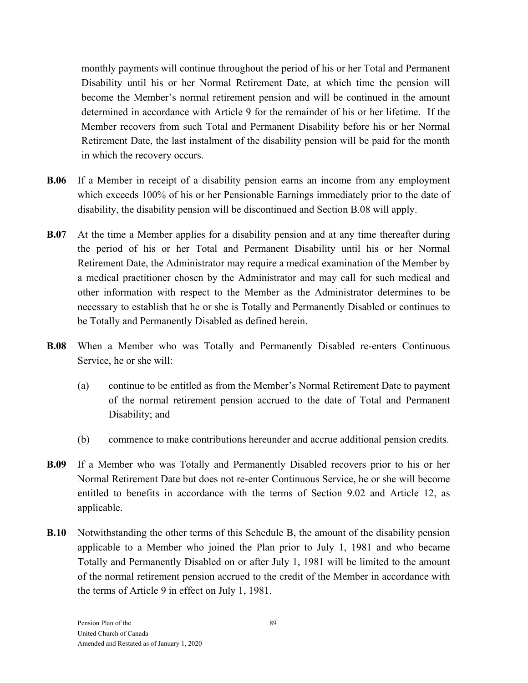monthly payments will continue throughout the period of his or her Total and Permanent Disability until his or her Normal Retirement Date, at which time the pension will become the Member's normal retirement pension and will be continued in the amount determined in accordance with Article 9 for the remainder of his or her lifetime. If the Member recovers from such Total and Permanent Disability before his or her Normal Retirement Date, the last instalment of the disability pension will be paid for the month in which the recovery occurs.

- **B.06** If a Member in receipt of a disability pension earns an income from any employment which exceeds 100% of his or her Pensionable Earnings immediately prior to the date of disability, the disability pension will be discontinued and Section B.08 will apply.
- **B.07** At the time a Member applies for a disability pension and at any time thereafter during the period of his or her Total and Permanent Disability until his or her Normal Retirement Date, the Administrator may require a medical examination of the Member by a medical practitioner chosen by the Administrator and may call for such medical and other information with respect to the Member as the Administrator determines to be necessary to establish that he or she is Totally and Permanently Disabled or continues to be Totally and Permanently Disabled as defined herein.
- **B.08** When a Member who was Totally and Permanently Disabled re-enters Continuous Service, he or she will:
	- (a) continue to be entitled as from the Member's Normal Retirement Date to payment of the normal retirement pension accrued to the date of Total and Permanent Disability; and
	- (b) commence to make contributions hereunder and accrue additional pension credits.
- **B.09** If a Member who was Totally and Permanently Disabled recovers prior to his or her Normal Retirement Date but does not re-enter Continuous Service, he or she will become entitled to benefits in accordance with the terms of Section 9.02 and Article 12, as applicable.
- **B.10** Notwithstanding the other terms of this Schedule B, the amount of the disability pension applicable to a Member who joined the Plan prior to July 1, 1981 and who became Totally and Permanently Disabled on or after July 1, 1981 will be limited to the amount of the normal retirement pension accrued to the credit of the Member in accordance with the terms of Article 9 in effect on July 1, 1981.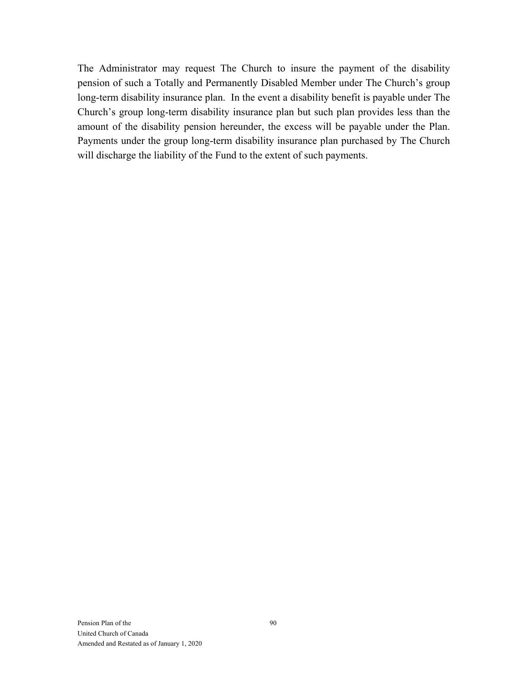The Administrator may request The Church to insure the payment of the disability pension of such a Totally and Permanently Disabled Member under The Church's group long-term disability insurance plan. In the event a disability benefit is payable under The Church's group long-term disability insurance plan but such plan provides less than the amount of the disability pension hereunder, the excess will be payable under the Plan. Payments under the group long-term disability insurance plan purchased by The Church will discharge the liability of the Fund to the extent of such payments.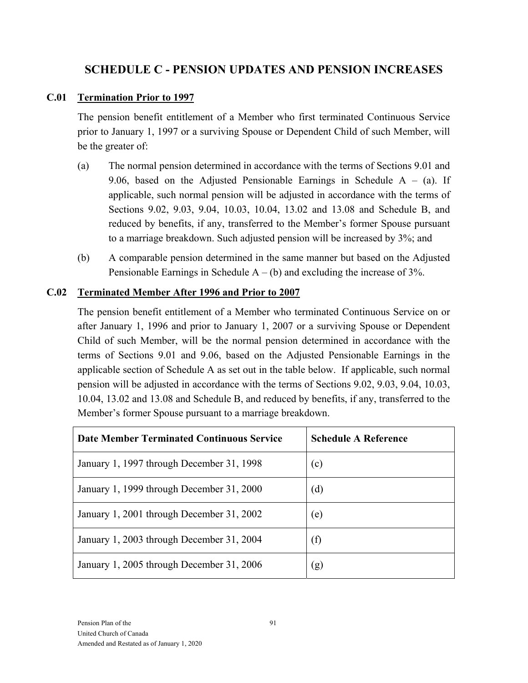# **SCHEDULE C - PENSION UPDATES AND PENSION INCREASES**

#### **C.01 Termination Prior to 1997**

The pension benefit entitlement of a Member who first terminated Continuous Service prior to January 1, 1997 or a surviving Spouse or Dependent Child of such Member, will be the greater of:

- (a) The normal pension determined in accordance with the terms of Sections 9.01 and 9.06, based on the Adjusted Pensionable Earnings in Schedule  $A - (a)$ . If applicable, such normal pension will be adjusted in accordance with the terms of Sections 9.02, 9.03, 9.04, 10.03, 10.04, 13.02 and 13.08 and Schedule B, and reduced by benefits, if any, transferred to the Member's former Spouse pursuant to a marriage breakdown. Such adjusted pension will be increased by 3%; and
- (b) A comparable pension determined in the same manner but based on the Adjusted Pensionable Earnings in Schedule  $A - (b)$  and excluding the increase of 3%.

#### **C.02 Terminated Member After 1996 and Prior to 2007**

The pension benefit entitlement of a Member who terminated Continuous Service on or after January 1, 1996 and prior to January 1, 2007 or a surviving Spouse or Dependent Child of such Member, will be the normal pension determined in accordance with the terms of Sections 9.01 and 9.06, based on the Adjusted Pensionable Earnings in the applicable section of Schedule A as set out in the table below. If applicable, such normal pension will be adjusted in accordance with the terms of Sections 9.02, 9.03, 9.04, 10.03, 10.04, 13.02 and 13.08 and Schedule B, and reduced by benefits, if any, transferred to the Member's former Spouse pursuant to a marriage breakdown.

| <b>Date Member Terminated Continuous Service</b> | <b>Schedule A Reference</b> |
|--------------------------------------------------|-----------------------------|
| January 1, 1997 through December 31, 1998        | (c)                         |
| January 1, 1999 through December 31, 2000        | (d)                         |
| January 1, 2001 through December 31, 2002        | (e)                         |
| January 1, 2003 through December 31, 2004        | (f)                         |
| January 1, 2005 through December 31, 2006        | (g)                         |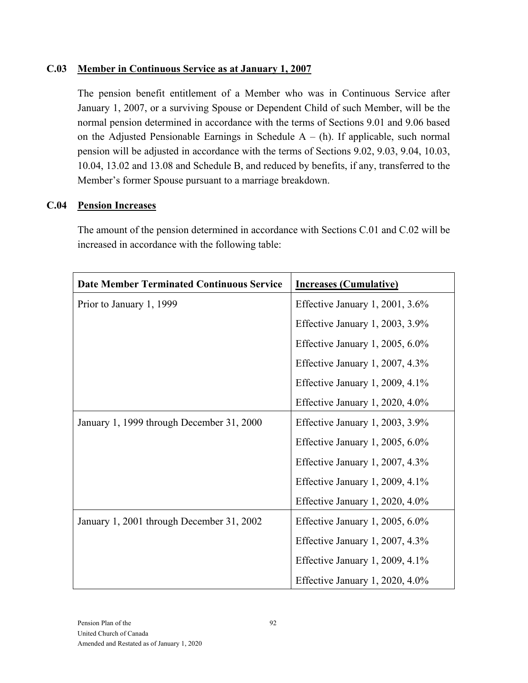#### **C.03 Member in Continuous Service as at January 1, 2007**

The pension benefit entitlement of a Member who was in Continuous Service after January 1, 2007, or a surviving Spouse or Dependent Child of such Member, will be the normal pension determined in accordance with the terms of Sections 9.01 and 9.06 based on the Adjusted Pensionable Earnings in Schedule  $A - (h)$ . If applicable, such normal pension will be adjusted in accordance with the terms of Sections 9.02, 9.03, 9.04, 10.03, 10.04, 13.02 and 13.08 and Schedule B, and reduced by benefits, if any, transferred to the Member's former Spouse pursuant to a marriage breakdown.

#### **C.04 Pension Increases**

The amount of the pension determined in accordance with Sections C.01 and C.02 will be increased in accordance with the following table:

| <b>Date Member Terminated Continuous Service</b> | <b>Increases (Cumulative)</b>      |  |  |
|--------------------------------------------------|------------------------------------|--|--|
| Prior to January 1, 1999                         | Effective January 1, 2001, 3.6%    |  |  |
|                                                  | Effective January 1, 2003, 3.9%    |  |  |
|                                                  | Effective January 1, 2005, $6.0\%$ |  |  |
|                                                  | Effective January 1, 2007, 4.3%    |  |  |
|                                                  | Effective January 1, 2009, 4.1%    |  |  |
|                                                  | Effective January 1, 2020, $4.0\%$ |  |  |
| January 1, 1999 through December 31, 2000        | Effective January 1, 2003, 3.9%    |  |  |
|                                                  | Effective January 1, 2005, 6.0%    |  |  |
|                                                  | Effective January 1, 2007, 4.3%    |  |  |
|                                                  | Effective January 1, 2009, $4.1\%$ |  |  |
|                                                  | Effective January 1, 2020, 4.0%    |  |  |
| January 1, 2001 through December 31, 2002        | Effective January 1, 2005, $6.0\%$ |  |  |
|                                                  | Effective January 1, 2007, 4.3%    |  |  |
|                                                  | Effective January 1, 2009, $4.1\%$ |  |  |
|                                                  | Effective January 1, 2020, 4.0%    |  |  |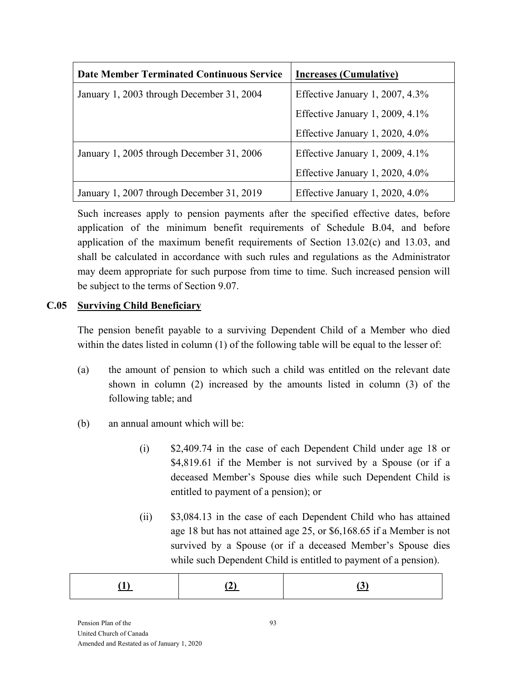| <b>Date Member Terminated Continuous Service</b> | <b>Increases (Cumulative)</b>      |  |  |
|--------------------------------------------------|------------------------------------|--|--|
| January 1, 2003 through December 31, 2004        | Effective January 1, 2007, $4.3\%$ |  |  |
|                                                  | Effective January 1, 2009, 4.1%    |  |  |
|                                                  | Effective January 1, 2020, 4.0%    |  |  |
| January 1, 2005 through December 31, 2006        | Effective January 1, 2009, $4.1\%$ |  |  |
|                                                  | Effective January 1, 2020, $4.0\%$ |  |  |
| January 1, 2007 through December 31, 2019        | Effective January 1, 2020, $4.0\%$ |  |  |

Such increases apply to pension payments after the specified effective dates, before application of the minimum benefit requirements of Schedule B.04, and before application of the maximum benefit requirements of Section 13.02(c) and 13.03, and shall be calculated in accordance with such rules and regulations as the Administrator may deem appropriate for such purpose from time to time. Such increased pension will be subject to the terms of Section 9.07.

### **C.05 Surviving Child Beneficiary**

The pension benefit payable to a surviving Dependent Child of a Member who died within the dates listed in column (1) of the following table will be equal to the lesser of:

- (a) the amount of pension to which such a child was entitled on the relevant date shown in column (2) increased by the amounts listed in column (3) of the following table; and
- (b) an annual amount which will be:
	- (i) \$2,409.74 in the case of each Dependent Child under age 18 or \$4,819.61 if the Member is not survived by a Spouse (or if a deceased Member's Spouse dies while such Dependent Child is entitled to payment of a pension); or
	- (ii) \$3,084.13 in the case of each Dependent Child who has attained age 18 but has not attained age 25, or \$6,168.65 if a Member is not survived by a Spouse (or if a deceased Member's Spouse dies while such Dependent Child is entitled to payment of a pension).

|--|--|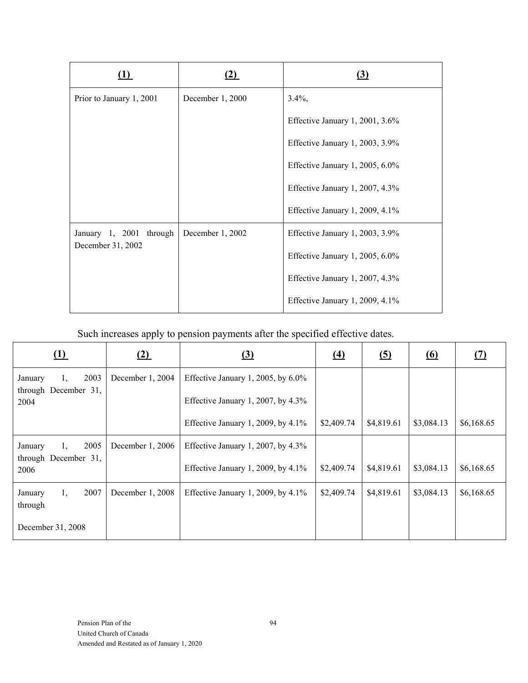|                          | [Z)              | (3)                             |
|--------------------------|------------------|---------------------------------|
| Prior to January 1, 2001 | December 1, 2000 | $3.4\%$ ,                       |
|                          |                  | Effective January 1, 2001, 3.6% |
|                          |                  | Effective January 1, 2003, 3.9% |
|                          |                  | Effective January 1, 2005, 6.0% |
|                          |                  | Effective January 1, 2007, 4.3% |
|                          |                  | Effective January 1, 2009, 4.1% |
| January 1, 2001 through  | December 1, 2002 | Effective January 1, 2003, 3.9% |
| December 31, 2002        |                  | Effective January 1, 2005, 6.0% |
|                          |                  | Effective January 1, 2007, 4.3% |
|                          |                  | Effective January 1, 2009, 4.1% |

Such increases apply to pension payments after the specified effective dates.

| <u>(1)</u>                                    | <u>(2)</u>        | <u>(3)</u>                            | <u>(4)</u> | <u>(5)</u> | <u>(6)</u> |            |
|-----------------------------------------------|-------------------|---------------------------------------|------------|------------|------------|------------|
| 2003<br>January<br>1,<br>through December 31, | December 1, 2004  | Effective January 1, 2005, by $6.0\%$ |            |            |            |            |
| 2004                                          |                   | Effective January 1, 2007, by $4.3\%$ |            |            |            |            |
|                                               |                   | Effective January 1, 2009, by $4.1\%$ | \$2,409.74 | \$4,819.61 | \$3,084.13 | \$6,168.65 |
| 2005<br>January<br>1,                         | December $1,2006$ | Effective January 1, 2007, by $4.3\%$ |            |            |            |            |
| through December 31,<br>2006                  |                   | Effective January 1, 2009, by $4.1\%$ | \$2,409.74 | \$4,819.61 | \$3,084.13 | \$6,168.65 |
| 2007<br>January<br>1,<br>through              | December 1, 2008  | Effective January 1, 2009, by $4.1\%$ | \$2,409.74 | \$4,819.61 | \$3,084.13 | \$6,168.65 |
| December 31, 2008                             |                   |                                       |            |            |            |            |